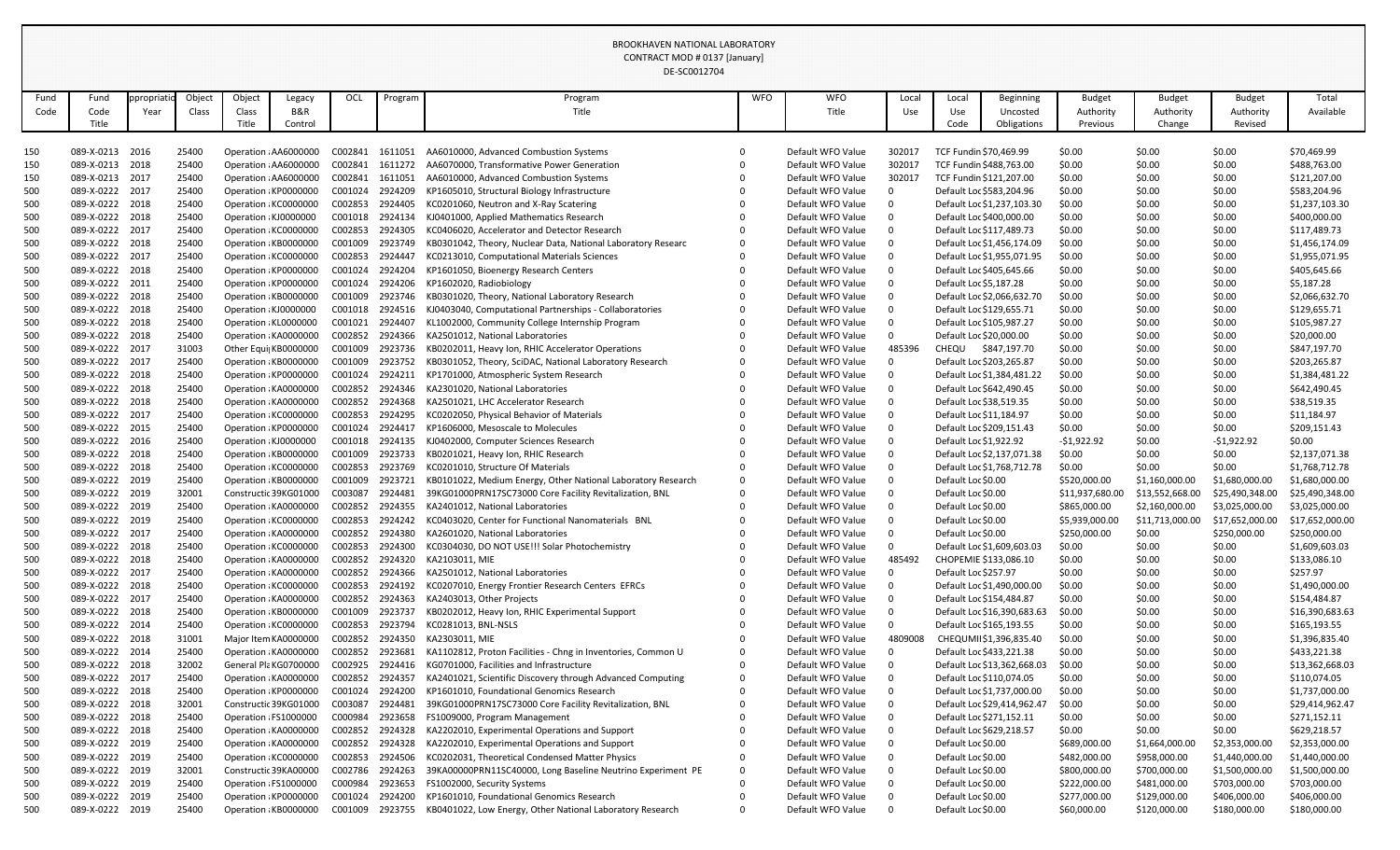|            |                                    |            |                |        |                                                |                    |                    | DE-SC0012704                                                                                                 |            |                                        |         |                                  |                             |                  |                  |                  |                                |
|------------|------------------------------------|------------|----------------|--------|------------------------------------------------|--------------------|--------------------|--------------------------------------------------------------------------------------------------------------|------------|----------------------------------------|---------|----------------------------------|-----------------------------|------------------|------------------|------------------|--------------------------------|
| Fund       | Fund                               | ppropriati | Object         | Object | Legacy                                         | OCL                | Program            | Program                                                                                                      | <b>WFO</b> | <b>WFO</b>                             | Local   | Local                            | <b>Beginning</b>            | <b>Budget</b>    | <b>Budget</b>    | <b>Budget</b>    | Total                          |
| Code       | Code                               | Year       | Class          | Class  | B&R                                            |                    |                    | Title                                                                                                        |            | Title                                  | Use     | Use                              | Uncosted                    | Authority        | Authority        | Authority        | Available                      |
|            | Title                              |            |                | Title  | Control                                        |                    |                    |                                                                                                              |            |                                        |         | Code                             | Obligations                 | Previous         | Change           | Revised          |                                |
|            |                                    |            |                |        |                                                |                    |                    |                                                                                                              |            |                                        |         |                                  |                             |                  |                  |                  |                                |
| 150        | 089-X-0213 2016                    |            | 25400          |        | Operation : AA6000000                          | C002841            | 1611051            | AA6010000, Advanced Combustion Systems                                                                       | $\Omega$   | Default WFO Value                      | 302017  | TCF Fundin \$70,469.99           |                             | \$0.00           | \$0.00           | \$0.00           | \$70,469.99                    |
| 150        | 089-X-0213 2018                    |            | 25400          |        | Operation : AA6000000                          | C002841            | 1611272            | AA6070000, Transformative Power Generation                                                                   |            | Default WFO Value                      | 302017  | TCF Fundin \$488,763.00          |                             | \$0.00           | \$0.00           | \$0.00           | \$488,763.00                   |
| 150        | 089-X-0213 2017                    |            | 25400          |        | Operation : AA6000000                          | C002841            | 1611051            | AA6010000, Advanced Combustion Systems                                                                       |            | Default WFO Value                      | 302017  |                                  | TCF Fundin \$121,207.00     | \$0.00           | \$0.00           | \$0.00           | \$121,207.00                   |
| 500        | 089-X-0222 2017                    |            | 25400          |        | Operation : KP0000000                          | C001024            | 2924209            | KP1605010, Structural Biology Infrastructure                                                                 |            | Default WFO Value                      |         |                                  | Default Loc \$583,204.96    | \$0.00           | \$0.00           | \$0.00           | \$583,204.96                   |
| 500        | 089-X-0222 2018                    |            | 25400          |        | Operation : KC0000000                          | C002853            | 2924405            | KC0201060, Neutron and X-Ray Scatering                                                                       |            | Default WFO Value                      |         |                                  | Default Loc \$1,237,103.30  | \$0.00           | \$0.00           | \$0.00           | \$1,237,103.30                 |
| 500        | 089-X-0222 2018                    |            | 25400          |        | Operation : KJ0000000                          | C001018            | 2924134            | KJ0401000, Applied Mathematics Research                                                                      |            | Default WFO Value                      |         |                                  | Default Loc \$400,000.00    | \$0.00           | \$0.00           | \$0.00           | \$400,000.00                   |
| 500        | 089-X-0222 2017                    |            | 25400          |        | Operation : KC0000000                          | C002853            | 2924305            | KC0406020, Accelerator and Detector Research                                                                 |            | Default WFO Value                      |         |                                  | Default Loc \$117,489.73    | \$0.00           | \$0.00           | \$0.00           | \$117,489.73                   |
| 500        | 089-X-0222 2018                    |            | 25400          |        | Operation : KB0000000                          | C001009            | 2923749            | KB0301042, Theory, Nuclear Data, National Laboratory Researc                                                 | $\Omega$   | Default WFO Value                      |         |                                  | Default Loc \$1,456,174.09  | \$0.00           | \$0.00           | \$0.00           | \$1,456,174.09                 |
| 500        | 089-X-0222 2017                    |            | 25400          |        | Operation : KC0000000                          | C002853            | 2924447            | KC0213010, Computational Materials Sciences                                                                  | $\Omega$   | Default WFO Value                      |         |                                  | Default Loc \$1,955,071.95  | \$0.00           | \$0.00           | \$0.00           | \$1,955,071.95                 |
| 500        | 089-X-0222 2018                    |            | 25400          |        | Operation : KP0000000                          | C001024            | 2924204            | KP1601050, Bioenergy Research Centers                                                                        |            | Default WFO Value                      |         |                                  | Default Loc \$405,645.66    | \$0.00           | \$0.00           | \$0.00           | \$405,645.66                   |
| 500        | 089-X-0222 2011                    |            | 25400          |        | Operation : KP0000000                          | C001024            | 2924206            | KP1602020, Radiobiology                                                                                      |            | Default WFO Value                      |         | Default Loc \$5,187.28           |                             | \$0.00           | \$0.00           | \$0.00           | \$5,187.28                     |
| 500        | 089-X-0222 2018                    |            | 25400          |        | Operation : KB0000000                          | C001009            | 2923746            | KB0301020, Theory, National Laboratory Research                                                              |            | Default WFO Value                      |         |                                  | Default Loc \$2,066,632.70  | \$0.00           | \$0.00           | \$0.00           | \$2,066,632.70                 |
| 500        | 089-X-0222 2018                    |            | 25400          |        | Operation : KJ0000000                          | C001018            | 2924516            | KJ0403040, Computational Partnerships - Collaboratories                                                      |            | Default WFO Value                      |         | Default Loc \$129,655.71         |                             | \$0.00           | \$0.00           | \$0.00           | \$129,655.71                   |
| 500        | 089-X-0222 2018                    |            | 25400          |        | Operation : KL0000000                          | C001021            | 2924407            | KL1002000, Community College Internship Program                                                              |            | Default WFO Value                      |         | Default Loc \$105,987.27         |                             | \$0.00           | \$0.00           | \$0.00           | \$105,987.27                   |
| 500        | 089-X-0222 2018<br>089-X-0222 2017 |            | 25400          |        | Operation : KA0000000                          | C002852<br>C001009 | 2924366<br>2923736 | KA2501012, National Laboratories                                                                             |            | Default WFO Value                      |         | Default Loc \$20,000.00<br>CHEQU |                             | \$0.00           | \$0.00<br>\$0.00 | \$0.00           | \$20,000.00                    |
| 500        | 089-X-0222 2017                    |            | 31003<br>25400 |        | Other Equi KB0000000<br>Operation : KB0000000  | C001009            | 2923752            | KB0202011, Heavy Ion, RHIC Accelerator Operations<br>KB0301052, Theory, SciDAC, National Laboratory Research | $\Omega$   | Default WFO Value<br>Default WFO Value | 485396  | Default Loc \$203,265.87         | \$847,197.70                | \$0.00           |                  | \$0.00           | \$847,197.70<br>\$203,265.87   |
| 500        | 089-X-0222 2018                    |            |                |        |                                                |                    | 2924211            |                                                                                                              |            | Default WFO Value                      |         |                                  |                             | \$0.00           | \$0.00           | \$0.00           |                                |
| 500<br>500 | 089-X-0222 2018                    |            | 25400<br>25400 |        | Operation : KP0000000<br>Operation : KA0000000 | C001024<br>C002852 | 2924346            | KP1701000, Atmospheric System Research<br>KA2301020, National Laboratories                                   |            | Default WFO Value                      |         | Default Loc \$642,490.45         | Default Loc \$1,384,481.22  | \$0.00<br>\$0.00 | \$0.00<br>\$0.00 | \$0.00<br>\$0.00 | \$1,384,481.22<br>\$642,490.45 |
|            | 089-X-0222 2018                    |            | 25400          |        | Operation: KA0000000                           | C002852            | 2924368            | KA2501021, LHC Accelerator Research                                                                          |            | Default WFO Value                      |         | Default Loc \$38,519.35          |                             | \$0.00           | \$0.00           | \$0.00           | \$38,519.35                    |
| 500<br>500 | 089-X-0222 2017                    |            | 25400          |        | Operation : KC0000000                          | C002853            | 2924295            | KC0202050, Physical Behavior of Materials                                                                    |            | Default WFO Value                      |         | Default Loc \$11,184.97          |                             | \$0.00           | \$0.00           | \$0.00           | \$11,184.97                    |
| 500        | 089-X-0222 2015                    |            | 25400          |        | Operation : KP0000000                          | C001024            | 2924417            | KP1606000, Mesoscale to Molecules                                                                            |            | Default WFO Value                      |         |                                  | Default Loc \$209,151.43    | \$0.00           | \$0.00           | \$0.00           | \$209,151.43                   |
| 500        | 089-X-0222 2016                    |            | 25400          |        | Operation : KJ0000000                          | C001018            | 2924135            | KJ0402000, Computer Sciences Research                                                                        |            | Default WFO Value                      |         | Default Loc \$1,922.92           |                             | $-51,922.92$     | \$0.00           | $-51,922.92$     | \$0.00                         |
| 500        | 089-X-0222 2018                    |            | 25400          |        | Operation : KB0000000                          | C001009            | 2923733            | KB0201021, Heavy Ion, RHIC Research                                                                          |            | Default WFO Value                      |         |                                  | Default Loc \$2,137,071.38  | \$0.00           | \$0.00           | \$0.00           | \$2,137,071.38                 |
| 500        | 089-X-0222 2018                    |            | 25400          |        | Operation : KC0000000                          | C002853            | 2923769            | KC0201010, Structure Of Materials                                                                            | $\Omega$   | Default WFO Value                      |         |                                  | Default Loc \$1,768,712.78  | \$0.00           | \$0.00           | \$0.00           | \$1,768,712.78                 |
| 500        | 089-X-0222 2019                    |            | 25400          |        | Operation : KB0000000                          | C001009            | 2923721            | KB0101022, Medium Energy, Other National Laboratory Research                                                 | $\Omega$   | Default WFO Value                      |         | Default Loc \$0.00               |                             | \$520,000.00     | \$1,160,000.00   | \$1,680,000.00   | \$1,680,000.00                 |
| 500        | 089-X-0222 2019                    |            | 32001          |        | Constructic 39KG01000                          | C003087            | 2924481            | 39KG01000PRN17SC73000 Core Facility Revitalization, BNL                                                      |            | Default WFO Value                      |         | Default Loc \$0.00               |                             | \$11,937,680.00  | \$13,552,668.00  | \$25,490,348.00  | \$25,490,348.00                |
| 500        | 089-X-0222 2019                    |            | 25400          |        | Operation : KA0000000                          | C002852            | 2924355            | KA2401012, National Laboratories                                                                             |            | Default WFO Value                      |         | Default Loc \$0.00               |                             | \$865,000.00     | \$2,160,000.00   | \$3,025,000.00   | \$3,025,000.00                 |
| 500        | 089-X-0222 2019                    |            | 25400          |        | Operation : KC0000000                          | C002853            | 2924242            | KC0403020, Center for Functional Nanomaterials BNL                                                           |            | Default WFO Value                      |         | Default Loc \$0.00               |                             | \$5,939,000.00   | \$11,713,000.00  | \$17,652,000.00  | \$17,652,000.00                |
| 500        | 089-X-0222 2017                    |            | 25400          |        | Operation : KA0000000                          | C002852            | 2924380            | KA2601020, National Laboratories                                                                             |            | Default WFO Value                      |         | Default Loc \$0.00               |                             | \$250,000.00     | \$0.00           | \$250,000.00     | \$250,000.00                   |
| 500        | 089-X-0222 2018                    |            | 25400          |        | Operation : KC0000000                          | C002853            | 2924300            | KC0304030, DO NOT USE!!! Solar Photochemistry                                                                |            | Default WFO Value                      |         |                                  | Default Loc \$1,609,603.03  | \$0.00           | \$0.00           | \$0.00           | \$1,609,603.03                 |
| 500        | 089-X-0222 2018                    |            | 25400          |        | Operation : KA0000000                          | C002852            | 2924320            | KA2103011, MIE                                                                                               |            | Default WFO Value                      | 485492  |                                  | CHOPEMIE \$133,086.10       | \$0.00           | \$0.00           | \$0.00           | \$133,086.10                   |
| 500        | 089-X-0222 2017                    |            | 25400          |        | Operation : KA0000000                          | C002852            | 2924366            | KA2501012, National Laboratories                                                                             |            | Default WFO Value                      |         | Default Loc \$257.97             |                             | \$0.00           | \$0.00           | \$0.00           | \$257.97                       |
| 500        | 089-X-0222 2018                    |            | 25400          |        | Operation: KC0000000                           | C002853            | 2924192            | KC0207010, Energy Frontier Research Centers EFRCs                                                            |            | Default WFO Value                      |         |                                  | Default Loc \$1,490,000.00  | \$0.00           | \$0.00           | \$0.00           | \$1,490,000.00                 |
| 500        | 089-X-0222 2017                    |            | 25400          |        | Operation : KA0000000                          | C002852            | 2924363            | KA2403013, Other Projects                                                                                    |            | Default WFO Value                      |         | Default Loc \$154,484.87         |                             | \$0.00           | \$0.00           | \$0.00           | \$154,484.87                   |
| 500        | 089-X-0222 2018                    |            | 25400          |        | Operation : KB0000000                          | C001009            | 2923737            | KB0202012, Heavy Ion, RHIC Experimental Support                                                              |            | Default WFO Value                      |         |                                  | Default Loc \$16,390,683.63 | \$0.00           | \$0.00           | \$0.00           | \$16,390,683.63                |
| 500        | 089-X-0222 2014                    |            | 25400          |        | Operation : KC0000000                          | C002853            | 2923794            | KC0281013, BNL-NSLS                                                                                          |            | Default WFO Value                      |         |                                  | Default Loc \$165,193.55    | \$0.00           | \$0.00           | \$0.00           | \$165,193.55                   |
| 500        | 089-X-0222 2018                    |            | 31001          |        | Major Item KA0000000                           | C002852            | 2924350            | KA2303011, MIE                                                                                               |            | Default WFO Value                      | 4809008 |                                  | CHEQUMII \$1,396,835.40     | \$0.00           | \$0.00           | \$0.00           | \$1,396,835.40                 |
| 500        | 089-X-0222 2014                    |            | 25400          |        | Operation : KA0000000                          | C002852            | 2923681            | KA1102812, Proton Facilities - Chng in Inventories, Common U                                                 | $\Omega$   | Default WFO Value                      |         |                                  | Default Loc \$433,221.38    | \$0.00           | \$0.00           | \$0.00           | \$433,221.38                   |
| 500        | 089-X-0222 2018                    |            | 32002          |        | General Pla KG0700000                          | C002925            | 2924416            | KG0701000, Facilities and Infrastructure                                                                     |            | Default WFO Value                      |         |                                  | Default Loc \$13,362,668.03 | \$0.00           | \$0.00           | \$0.00           | \$13,362,668.03                |
| 500        | 089-X-0222 2017                    |            | 25400          |        | Operation : KA0000000                          | C002852            | 2924357            | KA2401021, Scientific Discovery through Advanced Computing                                                   | $\Omega$   | Default WFO Value                      |         | Default Loc \$110,074.05         |                             | \$0.00           | \$0.00           | \$0.00           | \$110,074.05                   |
| 500        | 089-X-0222 2018                    |            | 25400          |        | Operation: KP0000000                           | C001024            | 2924200            | KP1601010, Foundational Genomics Research                                                                    | $\Omega$   | Default WFO Value                      |         |                                  | Default Loc \$1,737,000.00  | \$0.00           | \$0.00           | \$0.00           | \$1,737,000.00                 |
| 500        | 089-X-0222 2018                    |            | 32001          |        | Constructic 39KG01000                          | C003087            | 2924481            | 39KG01000PRN17SC73000 Core Facility Revitalization, BNL                                                      |            | Default WFO Value                      |         |                                  | Default Loc \$29,414,962.47 | \$0.00           | \$0.00           | \$0.00           | \$29,414,962.47                |
| 500        | 089-X-0222 2018                    |            | 25400          |        | Operation : FS1000000                          | C000984            | 2923658            | FS1009000, Program Management                                                                                |            | Default WFO Value                      |         | Default Loc \$271,152.11         |                             | \$0.00           | \$0.00           | \$0.00           | \$271,152.11                   |
| 500        | 089-X-0222 2018                    |            | 25400          |        | Operation : KA0000000                          | C002852            | 2924328            | KA2202010, Experimental Operations and Support                                                               |            | Default WFO Value                      |         | Default Loc \$629,218.57         |                             | \$0.00           | \$0.00           | \$0.00           | \$629,218.57                   |
| 500        | 089-X-0222 2019                    |            | 25400          |        | Operation : KA0000000                          | C002852            | 2924328            | KA2202010, Experimental Operations and Support                                                               |            | Default WFO Value                      |         | Default Loc \$0.00               |                             | \$689,000.00     | \$1,664,000.00   | \$2,353,000.00   | \$2,353,000.00                 |
| 500        | 089-X-0222 2019                    |            | 25400          |        | Operation : KC0000000                          | C002853            | 2924506            | KC0202031, Theoretical Condensed Matter Physics                                                              | 0          | Default WFO Value                      |         | Default Loc \$0.00               |                             | \$482,000.00     | \$958,000.00     | \$1,440,000.00   | \$1,440,000.00                 |
| 500        | 089-X-0222 2019                    |            | 32001          |        | Constructic 39KA00000                          | C002786            | 2924263            | 39KA00000PRN11SC40000, Long Baseline Neutrino Experiment PE                                                  | $\Omega$   | Default WFO Value                      |         | Default Loc \$0.00               |                             | \$800,000.00     | \$700,000.00     | \$1,500,000.00   | \$1,500,000.00                 |
| 500        | 089-X-0222 2019                    |            | 25400          |        | Operation : FS1000000                          | C000984            | 2923653            | FS1002000, Security Systems                                                                                  | $\Omega$   | Default WFO Value                      |         | Default Loc \$0.00               |                             | \$222,000.00     | \$481,000.00     | \$703,000.00     | \$703,000.00                   |
| 500        | 089-X-0222 2019                    |            | 25400          |        | Operation : KP0000000                          | C001024            | 2924200            | KP1601010, Foundational Genomics Research                                                                    | 0          | Default WFO Value                      |         | Default Loc \$0.00               |                             | \$277,000.00     | \$129,000.00     | \$406,000.00     | \$406,000.00                   |
| 500        | 089-X-0222 2019                    |            | 25400          |        | Operation : KB0000000                          | C001009            | 2923755            | KB0401022, Low Energy, Other National Laboratory Research                                                    | $\Omega$   | Default WFO Value                      | 0       | Default Loc \$0.00               |                             | \$60,000.00      | \$120,000.00     | \$180,000.00     | \$180,000.00                   |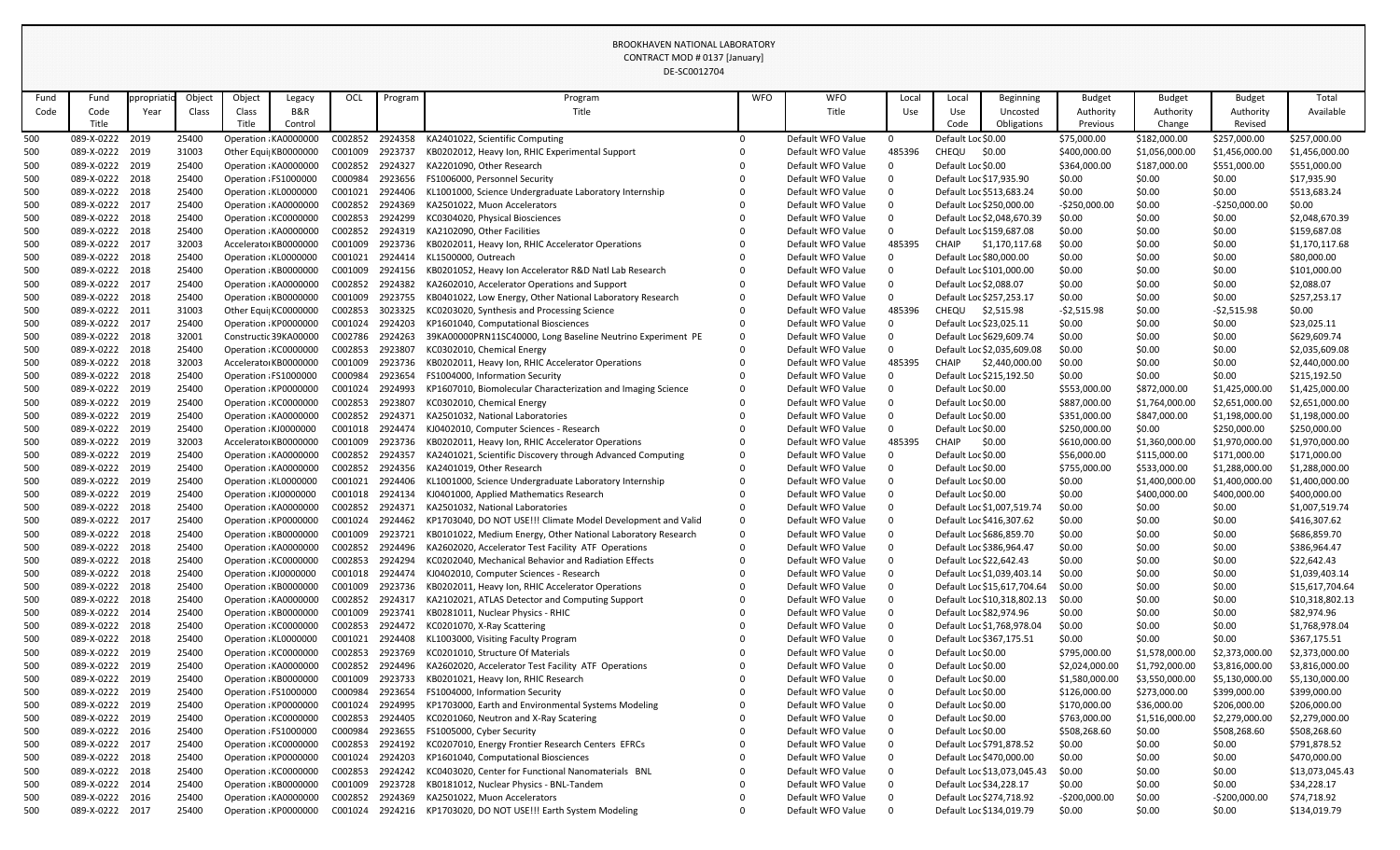|            |                                    |            |                |        |                                               |                    |                    | DE-SC0012704                                                                                  |            |                                        |          |                                          |                                                        |                              |                          |                                |                                |
|------------|------------------------------------|------------|----------------|--------|-----------------------------------------------|--------------------|--------------------|-----------------------------------------------------------------------------------------------|------------|----------------------------------------|----------|------------------------------------------|--------------------------------------------------------|------------------------------|--------------------------|--------------------------------|--------------------------------|
| Fund       | Fund                               | ppropriati | Object         | Object | Legacy                                        | OCL                | Program            | Program                                                                                       | <b>WFO</b> | <b>WFO</b>                             | Local    | Local                                    | <b>Beginning</b>                                       | <b>Budget</b>                | <b>Budget</b>            | <b>Budget</b>                  | Total                          |
| Code       | Code                               | Year       | Class          | Class  | B&R                                           |                    |                    | Title                                                                                         |            | Title                                  | Use      | Use                                      | Uncosted                                               | Authority                    | Authority                | Authority                      | Available                      |
|            | Title                              |            |                | Title  | Control                                       |                    |                    |                                                                                               |            |                                        |          | Code                                     | Obligations                                            | Previous                     | Change                   | Revised                        |                                |
| 500        | 089-X-0222                         | 2019       | 25400          |        | Operation: KA0000000                          | C002852            | 2924358            | KA2401022, Scientific Computing                                                               | $\Omega$   | Default WFO Value                      | $\Omega$ | Default Loc \$0.00                       |                                                        | \$75,000.00                  | \$182,000.00             | \$257,000.00                   | \$257,000.00                   |
| 500        | 089-X-0222 2019                    |            | 31003          |        | Other Equi KB0000000                          | C001009            | 2923737            | KB0202012, Heavy Ion, RHIC Experimental Support                                               |            | Default WFO Value                      | 485396   | CHEQU                                    | \$0.00                                                 | \$400,000.00                 | \$1,056,000.00           | \$1,456,000.00                 | \$1,456,000.00                 |
| 500        | 089-X-0222 2019                    |            | 25400          |        | Operation : KA0000000                         | C002852            | 2924327            | KA2201090, Other Research                                                                     |            | Default WFO Value                      |          | Default Loc \$0.00                       |                                                        | \$364,000.00                 | \$187,000.00             | \$551,000.00                   | \$551,000.00                   |
| 500        | 089-X-0222 2018                    |            | 25400          |        | Operation : FS1000000                         | C000984            | 2923656            | FS1006000, Personnel Security                                                                 |            | Default WFO Value                      |          | Default Loc \$17,935.90                  |                                                        | \$0.00                       | \$0.00                   | \$0.00                         | \$17,935.90                    |
| 500        | 089-X-0222 2018                    |            | 25400          |        | Operation : KL0000000                         | C001021            | 2924406            | KL1001000, Science Undergraduate Laboratory Internship                                        |            | Default WFO Value                      |          |                                          | Default Loc \$513,683.24                               | \$0.00                       | \$0.00                   | \$0.00                         | \$513,683.24                   |
| 500        | 089-X-0222 2017                    |            | 25400          |        | Operation : KA0000000                         | C002852            | 2924369            | KA2501022, Muon Accelerators                                                                  |            | Default WFO Value                      |          |                                          | Default Loc \$250,000.00                               | $-5250,000.00$               | \$0.00                   | $-5250,000.00$                 | \$0.00                         |
| 500        | 089-X-0222 2018                    |            | 25400          |        | Operation : KC0000000                         | C002853            | 2924299            | KC0304020, Physical Biosciences                                                               |            | Default WFO Value                      |          |                                          | Default Loc \$2,048,670.39                             | \$0.00                       | \$0.00                   | \$0.00                         | \$2,048,670.39                 |
| 500        | 089-X-0222 2018                    |            | 25400          |        | Operation : KA0000000                         | C002852            | 2924319            | KA2102090, Other Facilities                                                                   |            | Default WFO Value                      |          |                                          | Default Loc \$159,687.08                               | \$0.00                       | \$0.00                   | \$0.00                         | \$159,687.08                   |
| 500        | 089-X-0222 2017                    |            | 32003          |        | Accelerato KB0000000                          | C001009            | 2923736            | KB0202011, Heavy Ion, RHIC Accelerator Operations                                             |            | Default WFO Value                      | 485395   | <b>CHAIP</b>                             | \$1,170,117.68                                         | \$0.00                       | \$0.00                   | \$0.00                         | \$1,170,117.68                 |
| 500        | 089-X-0222 2018                    |            | 25400          |        | Operation : KL0000000                         | C001021            | 2924414            | KL1500000, Outreach                                                                           |            | Default WFO Value                      |          | Default Loc \$80,000.00                  |                                                        | \$0.00                       | \$0.00                   | \$0.00                         | \$80,000.00                    |
| 500        | 089-X-0222 2018                    |            | 25400          |        | Operation : KB0000000                         | C001009            | 2924156            | KB0201052, Heavy Ion Accelerator R&D Natl Lab Research                                        |            | Default WFO Value                      |          |                                          | Default Loc \$101,000.00                               | \$0.00                       | \$0.00                   | \$0.00                         | \$101,000.00                   |
| 500        | 089-X-0222 2017                    |            | 25400          |        | Operation : KA0000000                         | C002852            | 2924382            | KA2602010, Accelerator Operations and Support                                                 |            | Default WFO Value                      |          | Default Loc \$2,088.07                   |                                                        | \$0.00                       | \$0.00                   | \$0.00                         | \$2,088.07                     |
| 500        | 089-X-0222 2018                    |            | 25400          |        | Operation : KB0000000                         | C001009            | 2923755            | KB0401022, Low Energy, Other National Laboratory Research                                     |            | Default WFO Value                      |          |                                          | Default Loc \$257,253.17                               | \$0.00                       | \$0.00                   | \$0.00                         | \$257,253.17                   |
| 500        | 089-X-0222 2011<br>089-X-0222 2017 |            | 31003<br>25400 |        | Other Equi KC0000000                          | C002853<br>C001024 | 3023325<br>2924203 | KC0203020, Synthesis and Processing Science                                                   |            | Default WFO Value<br>Default WFO Value | 485396   | CHEQU                                    | \$2,515.98                                             | $-52,515.98$                 | \$0.00                   | $-52,515.98$                   | \$0.00                         |
| 500        |                                    |            | 32001          |        | Operation: KP0000000<br>Constructic 39KA00000 | C002786            | 2924263            | KP1601040, Computational Biosciences                                                          | $\Omega$   | Default WFO Value                      |          | Default Loc \$23,025.11                  |                                                        | \$0.00                       | \$0.00                   | \$0.00<br>\$0.00               | \$23,025.11                    |
| 500        | 089-X-0222 2018<br>089-X-0222 2018 |            | 25400          |        | Operation : KC0000000                         | C002853            | 2923807            | 39KA00000PRN11SC40000, Long Baseline Neutrino Experiment PE<br>KC0302010, Chemical Energy     |            | Default WFO Value                      |          |                                          | Default Loc \$629,609.74<br>Default Loc \$2,035,609.08 | \$0.00                       | \$0.00<br>\$0.00         | \$0.00                         | \$629,609.74<br>\$2,035,609.08 |
| 500<br>500 | 089-X-0222 2018                    |            | 32003          |        | Accelerato KB0000000                          | C001009            | 2923736            | KB0202011, Heavy Ion, RHIC Accelerator Operations                                             |            | Default WFO Value                      | 485395   | <b>CHAIP</b>                             | \$2,440,000.00                                         | \$0.00<br>\$0.00             | \$0.00                   | \$0.00                         | \$2,440,000.00                 |
| 500        | 089-X-0222 2018                    |            | 25400          |        | Operation : FS1000000                         | C000984            | 2923654            | FS1004000, Information Security                                                               |            | Default WFO Value                      |          |                                          | Default Loc \$215,192.50                               | \$0.00                       | \$0.00                   | \$0.00                         | \$215,192.50                   |
| 500        | 089-X-0222 2019                    |            | 25400          |        | Operation: KP0000000                          | C001024            | 2924993            | KP1607010, Biomolecular Characterization and Imaging Science                                  | $\Omega$   | Default WFO Value                      |          | Default Loc \$0.00                       |                                                        | \$553,000.00                 | \$872,000.00             | \$1,425,000.00                 | \$1,425,000.00                 |
| 500        | 089-X-0222 2019                    |            | 25400          |        | Operation KC0000000                           | C002853            | 2923807            | KC0302010, Chemical Energy                                                                    |            | Default WFO Value                      |          | Default Loc \$0.00                       |                                                        | \$887,000.00                 | \$1,764,000.00           | \$2,651,000.00                 | \$2,651,000.00                 |
| 500        | 089-X-0222 2019                    |            | 25400          |        | Operation : KA0000000                         | C002852            | 2924371            | KA2501032, National Laboratories                                                              |            | Default WFO Value                      |          | Default Loc \$0.00                       |                                                        | \$351,000.00                 | \$847,000.00             | \$1,198,000.00                 | \$1,198,000.00                 |
| 500        | 089-X-0222 2019                    |            | 25400          |        | Operation : KJ0000000                         | C001018            | 2924474            | KJ0402010, Computer Sciences - Research                                                       |            | Default WFO Value                      |          | Default Loc \$0.00                       |                                                        | \$250,000.00                 | \$0.00                   | \$250,000.00                   | \$250,000.00                   |
| 500        | 089-X-0222 2019                    |            | 32003          |        | Accelerato KB0000000                          | C001009            | 2923736            | KB0202011, Heavy Ion, RHIC Accelerator Operations                                             |            | Default WFO Value                      | 485395   | <b>CHAIP</b>                             | \$0.00                                                 | \$610,000.00                 | \$1,360,000.00           | \$1,970,000.00                 | \$1,970,000.00                 |
| 500        | 089-X-0222 2019                    |            | 25400          |        | Operation : KA0000000                         | C002852            | 2924357            | KA2401021, Scientific Discovery through Advanced Computing                                    |            | Default WFO Value                      |          | Default Loc \$0.00                       |                                                        | \$56,000.00                  | \$115,000.00             | \$171,000.00                   | \$171,000.00                   |
| 500        | 089-X-0222 2019                    |            | 25400          |        | Operation: KA0000000                          | C002852            | 2924356            | KA2401019, Other Research                                                                     |            | Default WFO Value                      |          | Default Loc \$0.00                       |                                                        | \$755,000.00                 | \$533,000.00             | \$1,288,000.00                 | \$1,288,000.00                 |
| 500        | 089-X-0222 2019                    |            | 25400          |        | Operation KL0000000                           | C001021            | 2924406            | KL1001000, Science Undergraduate Laboratory Internship                                        |            | Default WFO Value                      |          | Default Loc \$0.00                       |                                                        | \$0.00                       | \$1,400,000.00           | \$1,400,000.00                 | \$1,400,000.00                 |
| 500        | 089-X-0222 2019                    |            | 25400          |        | Operation : KJ0000000                         | C001018            | 2924134            | KJ0401000, Applied Mathematics Research                                                       |            | Default WFO Value                      |          | Default Loc \$0.00                       |                                                        | \$0.00                       | \$400,000.00             | \$400,000.00                   | \$400,000.00                   |
| 500        | 089-X-0222 2018                    |            | 25400          |        | Operation : KA0000000                         | C002852            | 2924371            | KA2501032, National Laboratories                                                              |            | Default WFO Value                      |          |                                          | Default Loc \$1,007,519.74                             | \$0.00                       | \$0.00                   | \$0.00                         | \$1,007,519.74                 |
| 500        | 089-X-0222 2017                    |            | 25400          |        | Operation KP0000000                           | C001024            | 2924462            | KP1703040, DO NOT USE!!! Climate Model Development and Valid                                  | $\Omega$   | Default WFO Value                      |          |                                          | Default Loc \$416,307.62                               | \$0.00                       | \$0.00                   | \$0.00                         | \$416,307.62                   |
| 500        | 089-X-0222 2018                    |            | 25400          |        | Operation KB0000000                           | C001009            | 2923721            | KB0101022, Medium Energy, Other National Laboratory Research                                  | $\Omega$   | Default WFO Value                      |          |                                          | Default Loc \$686,859.70                               | \$0.00                       | \$0.00                   | \$0.00                         | \$686,859.70                   |
| 500        | 089-X-0222 2018                    |            | 25400          |        | Operation KA0000000                           | C002852            | 2924496            | KA2602020, Accelerator Test Facility ATF Operations                                           |            | Default WFO Value                      |          |                                          | Default Loc \$386,964.47                               | \$0.00                       | \$0.00                   | \$0.00                         | \$386,964.47                   |
| 500        | 089-X-0222 2018                    |            | 25400          |        | Operation KC0000000                           | C002853 2924294    |                    | KC0202040, Mechanical Behavior and Radiation Effects                                          |            | Default WFO Value                      |          | Default Loc \$22,642.43                  |                                                        | \$0.00                       | \$0.00                   | \$0.00                         | \$22,642.43                    |
| 500        | 089-X-0222 2018                    |            | 25400          |        | Operation : KJ0000000                         | C001018            | 2924474            | KJ0402010, Computer Sciences - Research                                                       |            | Default WFO Value                      |          |                                          | Default Loc \$1,039,403.14                             | \$0.00                       | \$0.00                   | \$0.00                         | \$1,039,403.14                 |
| 500        | 089-X-0222 2018                    |            | 25400          |        | Operation KB0000000                           | C001009            | 2923736            | KB0202011, Heavy Ion, RHIC Accelerator Operations                                             |            | Default WFO Value                      |          |                                          | Default Loc \$15,617,704.64                            | \$0.00                       | \$0.00                   | \$0.00                         | \$15,617,704.64                |
| 500        | 089-X-0222 2018                    |            | 25400          |        | Operation : KA0000000                         | C002852            | 2924317            | KA2102021, ATLAS Detector and Computing Support                                               |            | Default WFO Value                      |          |                                          | Default Loc \$10,318,802.13                            | \$0.00                       | \$0.00                   | \$0.00                         | \$10,318,802.13                |
| 500        | 089-X-0222 2014                    |            | 25400          |        | Operation : KB0000000                         | C001009            | 2923741            | KB0281011, Nuclear Physics - RHIC                                                             |            | Default WFO Value                      |          | Default Loc \$82,974.96                  |                                                        | \$0.00                       | \$0.00                   | \$0.00                         | \$82,974.96                    |
| 500        | 089-X-0222 2018                    |            | 25400          |        | Operation KC0000000                           | C002853            | 2924472            | KC0201070, X-Ray Scattering                                                                   |            | Default WFO Value                      |          |                                          | Default Loc \$1,768,978.04                             | \$0.00                       | \$0.00                   | \$0.00                         | \$1,768,978.04                 |
| 500        | 089-X-0222 2018                    |            | 25400          |        | Operation: KL0000000                          | C001021            | 2924408            | KL1003000, Visiting Faculty Program                                                           |            | Default WFO Value                      |          |                                          | Default Loc \$367,175.51                               | \$0.00                       | \$0.00                   | \$0.00                         | \$367,175.51                   |
| 500        | 089-X-0222 2019                    |            | 25400          |        | Operation : KC0000000                         | C002853            | 2923769            | KC0201010, Structure Of Materials                                                             |            | Default WFO Value                      |          | Default Loc \$0.00                       |                                                        | \$795,000.00                 | \$1,578,000.00           | \$2,373,000.00                 | \$2,373,000.00                 |
| 500        | 089-X-0222 2019                    |            | 25400          |        | Operation : KA0000000                         | C002852            | 2924496            | KA2602020, Accelerator Test Facility ATF Operations                                           |            | Default WFO Value                      |          | Default Loc \$0.00                       |                                                        | \$2,024,000.00               | \$1,792,000.00           | \$3,816,000.00                 | \$3,816,000.00                 |
| 500        | 089-X-0222 2019                    |            | 25400          |        | Operation : KB0000000                         | C001009            | 2923733            | KB0201021, Heavy Ion, RHIC Research                                                           |            | Default WFO Value                      |          | Default Loc \$0.00                       |                                                        | \$1,580,000.00               | \$3,550,000.00           | \$5,130,000.00                 | \$5,130,000.00                 |
| 500        | 089-X-0222 2019                    |            | 25400          |        | Operation : FS1000000                         | C000984            | 2923654            | FS1004000, Information Security                                                               |            | Default WFO Value                      |          | Default Loc \$0.00                       |                                                        | \$126,000.00                 | \$273,000.00             | \$399,000.00                   | \$399,000.00                   |
| 500        | 089-X-0222 2019<br>089-X-0222 2019 |            | 25400<br>25400 |        | Operation KP0000000<br>Operation KC0000000    | C001024<br>C002853 | 2924995<br>2924405 | KP1703000, Earth and Environmental Systems Modeling<br>KC0201060, Neutron and X-Ray Scatering |            | Default WFO Value<br>Default WFO Value |          | Default Loc \$0.00<br>Default Loc \$0.00 |                                                        | \$170,000.00                 | \$36,000.00              | \$206,000.00<br>\$2,279,000.00 | \$206,000.00<br>\$2,279,000.00 |
| 500        | 089-X-0222 2016                    |            | 25400          |        | Operation : FS1000000                         | C000984            | 2923655            | FS1005000, Cyber Security                                                                     |            | Default WFO Value                      |          | Default Loc \$0.00                       |                                                        | \$763,000.00<br>\$508,268.60 | \$1,516,000.00<br>\$0.00 | \$508,268.60                   | \$508,268.60                   |
| 500        | 089-X-0222 2017                    |            | 25400          |        | Operation: KC0000000                          | C002853            | 2924192            | KC0207010, Energy Frontier Research Centers EFRCs                                             |            | Default WFO Value                      |          |                                          | Default Loc \$791,878.52                               | \$0.00                       | \$0.00                   | \$0.00                         | \$791,878.52                   |
| 500<br>500 | 089-X-0222 2018                    |            | 25400          |        | Operation KP0000000                           | C001024            | 2924203            | KP1601040, Computational Biosciences                                                          |            | Default WFO Value                      |          |                                          | Default Loc \$470,000.00                               | \$0.00                       | \$0.00                   | \$0.00                         | \$470,000.00                   |
| 500        | 089-X-0222 2018                    |            | 25400          |        | Operation : KC0000000                         | C002853            | 2924242            | KC0403020, Center for Functional Nanomaterials BNL                                            |            | Default WFO Value                      |          |                                          | Default Loc \$13,073,045.43                            | \$0.00                       | \$0.00                   | \$0.00                         | \$13,073,045.43                |
| 500        | 089-X-0222 2014                    |            | 25400          |        | Operation : KB0000000                         | C001009            | 2923728            | KB0181012, Nuclear Physics - BNL-Tandem                                                       |            | Default WFO Value                      |          | Default Loc \$34,228.17                  |                                                        | \$0.00                       | \$0.00                   | \$0.00                         | \$34,228.17                    |
| 500        | 089-X-0222 2016                    |            | 25400          |        | Operation : KA0000000                         | C002852            | 2924369            | KA2501022, Muon Accelerators                                                                  |            | Default WFO Value                      |          |                                          | Default Loc \$274,718.92                               | $-5200,000.00$               | \$0.00                   | $-5200,000.00$                 | \$74,718.92                    |
| 500        | 089-X-0222 2017                    |            | 25400          |        | Operation : KP0000000                         | C001024            | 2924216            | KP1703020, DO NOT USE!!! Earth System Modeling                                                |            | Default WFO Value                      | 0        |                                          | Default Loc \$134,019.79                               | \$0.00                       | \$0.00                   | \$0.00                         | \$134,019.79                   |
|            |                                    |            |                |        |                                               |                    |                    |                                                                                               |            |                                        |          |                                          |                                                        |                              |                          |                                |                                |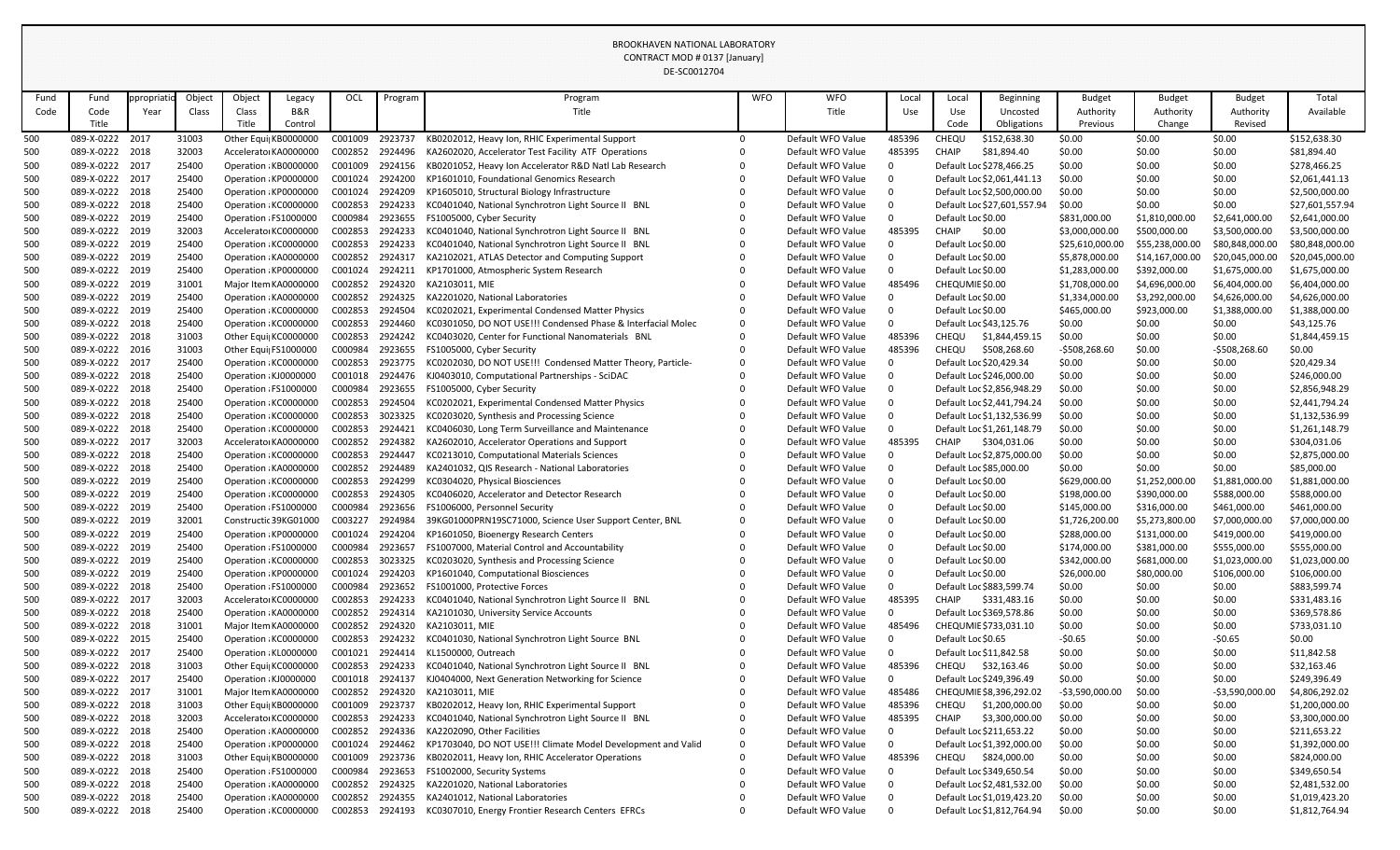|            |                                    |            |                |                       |                                              |                    |                    | DE-SC0012704                                                                                                       |                      |                                        |                |                                  |                                            |                         |                  |                          |                              |
|------------|------------------------------------|------------|----------------|-----------------------|----------------------------------------------|--------------------|--------------------|--------------------------------------------------------------------------------------------------------------------|----------------------|----------------------------------------|----------------|----------------------------------|--------------------------------------------|-------------------------|------------------|--------------------------|------------------------------|
| Fund       | Fund                               | ppropriati | Object         | Object                | Legacy                                       | OCL                | Program            | Program                                                                                                            | <b>WFO</b>           | <b>WFO</b>                             | Local          | Local                            | Beginning                                  | <b>Budget</b>           | <b>Budget</b>    | <b>Budget</b>            | Total                        |
| Code       | Code                               | Year       | Class          | Class                 | B&R                                          |                    |                    | Title                                                                                                              |                      | Title                                  | Use            | Use                              | Uncosted                                   | Authority               | Authority        | Authority                | Available                    |
|            | Title                              |            |                | Title                 | Control                                      |                    |                    |                                                                                                                    |                      |                                        |                | Code                             | Obligations                                | Previous                | Change           | Revised                  |                              |
| 500        | 089-X-0222 2017                    |            | 31003          |                       | Other Equi KB0000000                         | C001009            | 2923737            | KB0202012, Heavy Ion, RHIC Experimental Support                                                                    | $\Omega$             | Default WFO Value                      | 485396         | CHEQU                            | \$152,638.30                               | \$0.00                  | \$0.00           | \$0.00                   | \$152,638.30                 |
| 500        | 089-X-0222 2018                    |            | 32003          |                       | Accelerato KA0000000                         | C002852            | 2924496            | KA2602020, Accelerator Test Facility ATF Operations                                                                |                      | Default WFO Value                      | 485395         | <b>CHAIP</b>                     | \$81,894.40                                | \$0.00                  | \$0.00           | \$0.00                   | \$81,894.40                  |
| 500        | 089-X-0222 2017                    |            | 25400          |                       | Operation : KB0000000                        | C001009            | 2924156            | KB0201052, Heavy Ion Accelerator R&D Natl Lab Research                                                             |                      | Default WFO Value                      | $\Omega$       |                                  | Default Loc \$278,466.25                   | \$0.00                  | \$0.00           | \$0.00                   | \$278,466.25                 |
| 500        | 089-X-0222 2017                    |            | 25400          |                       | Operation : KP0000000                        | C001024            | 2924200            | KP1601010, Foundational Genomics Research                                                                          |                      | Default WFO Value                      | 0              |                                  | Default Loc \$2,061,441.13                 | \$0.00                  | \$0.00           | \$0.00                   | \$2,061,441.13               |
| 500        | 089-X-0222 2018                    |            | 25400          |                       | Operation : KP0000000                        | C001024            | 2924209            | KP1605010, Structural Biology Infrastructure                                                                       |                      | Default WFO Value                      | -0             |                                  | Default Loc \$2,500,000.00                 | \$0.00                  | \$0.00           | \$0.00                   | \$2,500,000.00               |
| 500        | 089-X-0222 2018                    |            | 25400          |                       | Operation : KC0000000                        | C002853            | 2924233            | KC0401040, National Synchrotron Light Source II BNL                                                                |                      | Default WFO Value                      | $\Omega$       |                                  | Default Loc \$27,601,557.94                | \$0.00                  | \$0.00           | \$0.00                   | \$27,601,557.94              |
| 500        | 089-X-0222 2019                    |            | 25400          | Operation : FS1000000 |                                              | C000984            | 2923655            | FS1005000, Cyber Security                                                                                          |                      | Default WFO Value                      | $\Omega$       | Default Loc \$0.00               |                                            | \$831,000.00            | \$1,810,000.00   | \$2,641,000.00           | \$2,641,000.00               |
| 500        | 089-X-0222 2019                    |            | 32003          |                       | Accelerato KC0000000                         | C002853            | 2924233            | KC0401040, National Synchrotron Light Source II BNL                                                                |                      | Default WFO Value                      | 485395         | <b>CHAIP</b>                     | \$0.00                                     | \$3,000,000.00          | \$500,000.00     | \$3,500,000.00           | \$3,500,000.00               |
| 500        | 089-X-0222 2019                    |            | 25400          |                       | Operation : KC0000000                        | C002853            | 2924233            | KC0401040, National Synchrotron Light Source II BNL                                                                |                      | Default WFO Value                      | $\Omega$       | Default Loc \$0.00               |                                            | \$25,610,000.00         | \$55,238,000.00  | \$80,848,000.00          | \$80,848,000.00              |
| 500        | 089-X-0222 2019                    |            | 25400          |                       | Operation : KA0000000                        | C002852            | 2924317            | KA2102021, ATLAS Detector and Computing Support                                                                    |                      | Default WFO Value                      | $\overline{0}$ | Default Loc \$0.00               |                                            | \$5,878,000.00          | \$14,167,000.00  | \$20,045,000.00          | \$20,045,000.00              |
| 500        | 089-X-0222 2019                    |            | 25400          |                       | Operation : KP0000000                        | C001024            | 2924211            | KP1701000, Atmospheric System Research                                                                             |                      | Default WFO Value                      | $\overline{0}$ | Default Loc \$0.00               |                                            | \$1,283,000.00          | \$392,000.00     | \$1,675,000.00           | \$1,675,000.00               |
| 500        | 089-X-0222 2019                    |            | 31001          |                       | Major Item KA0000000                         | C002852            | 2924320            | KA2103011, MIE                                                                                                     |                      | Default WFO Value                      | 485496         | CHEQUMIE \$0.00                  |                                            | \$1,708,000.00          | \$4,696,000.00   | \$6,404,000.00           | \$6,404,000.00               |
| 500        | 089-X-0222 2019                    |            | 25400          |                       | Operation : KA0000000                        | C002852            | 2924325            | KA2201020, National Laboratories                                                                                   |                      | Default WFO Value                      | $\Omega$       | Default Loc \$0.00               |                                            | \$1,334,000.00          | \$3,292,000.00   | \$4,626,000.00           | \$4,626,000.00               |
| 500        | 089-X-0222 2019                    |            | 25400          |                       | Operation : KC0000000                        | C002853            | 2924504            | KC0202021, Experimental Condensed Matter Physics                                                                   |                      | Default WFO Value                      | $\Omega$       | Default Loc \$0.00               |                                            | \$465,000.00            | \$923,000.00     | \$1,388,000.00           | \$1,388,000.00               |
| 500        | 089-X-0222 2018                    |            | 25400          |                       | Operation : KC0000000                        | C002853            | 2924460            | KC0301050, DO NOT USE!!! Condensed Phase & Interfacial Molec<br>KC0403020, Center for Functional Nanomaterials BNL | $\Omega$             | Default WFO Value                      | $\overline{0}$ | Default Loc \$43,125.76          |                                            | \$0.00                  | \$0.00           | \$0.00                   | \$43,125.76                  |
| 500        | 089-X-0222 2018                    |            | 31003          |                       | Other Equi KC0000000                         | C002853            | 2924242            |                                                                                                                    | $\Omega$             | Default WFO Value                      | 485396         | <b>CHEQU</b>                     | \$1,844,459.15                             | \$0.00                  | \$0.00           | \$0.00                   | \$1,844,459.15               |
| 500        | 089-X-0222 2016<br>089-X-0222 2017 |            | 31003<br>25400 | Other Equi FS1000000  | Operation : KC0000000                        | C000984<br>C002853 | 2923655<br>2923775 | FS1005000, Cyber Security<br>KC0202030, DO NOT USE!!! Condensed Matter Theory, Particle-                           | $\Omega$             | Default WFO Value<br>Default WFO Value | 485396<br>0    | CHEQU<br>Default Loc \$20,429.34 | \$508,268.60                               | -\$508,268.60<br>\$0.00 | \$0.00<br>\$0.00 | $-5508,268.60$<br>\$0.00 | \$0.00<br>\$20,429.34        |
| 500<br>500 | 089-X-0222 2018                    |            | 25400          | Operation : KJ0000000 |                                              | C001018            | 2924476            | KJ0403010, Computational Partnerships - SciDAC                                                                     |                      | Default WFO Value                      | $\overline{0}$ |                                  | Default Loc \$246,000.00                   | \$0.00                  | \$0.00           | \$0.00                   | \$246,000.00                 |
| 500        | 089-X-0222 2018                    |            | 25400          |                       | Operation : FS1000000                        | C000984            | 2923655            | FS1005000, Cyber Security                                                                                          |                      | Default WFO Value                      | $\Omega$       |                                  | Default Loc \$2,856,948.29                 | \$0.00                  | \$0.00           | \$0.00                   | \$2,856,948.29               |
| 500        | 089-X-0222 2018                    |            | 25400          |                       | Operation : KC0000000                        | C002853            | 2924504            | KC0202021, Experimental Condensed Matter Physics                                                                   |                      | Default WFO Value                      | -0             |                                  | Default Loc \$2,441,794.24                 | \$0.00                  | \$0.00           | \$0.00                   | \$2,441,794.24               |
| 500        | 089-X-0222 2018                    |            | 25400          |                       | Operation : KC0000000                        | C002853            | 3023325            | KC0203020, Synthesis and Processing Science                                                                        |                      | Default WFO Value                      | $\mathbf 0$    |                                  | Default Loc \$1,132,536.99                 | \$0.00                  | \$0.00           | \$0.00                   | \$1,132,536.99               |
| 500        | 089-X-0222 2018                    |            | 25400          |                       | Operation : KC0000000                        | C002853            | 2924421            | KC0406030, Long Term Surveillance and Maintenance                                                                  |                      | Default WFO Value                      | $\mathbf 0$    |                                  | Default Loc \$1,261,148.79                 | \$0.00                  | \$0.00           | \$0.00                   | \$1,261,148.79               |
| 500        | 089-X-0222 2017                    |            | 32003          |                       | Accelerato KA0000000                         | C002852            | 2924382            | KA2602010, Accelerator Operations and Support                                                                      |                      | Default WFO Value                      | 485395         | <b>CHAIP</b>                     | \$304,031.06                               | \$0.00                  | \$0.00           | \$0.00                   | \$304,031.06                 |
| 500        | 089-X-0222 2018                    |            | 25400          |                       | Operation : KC0000000                        | C002853            | 2924447            | KC0213010, Computational Materials Sciences                                                                        |                      | Default WFO Value                      | 0              |                                  | Default Loc \$2,875,000.00                 | \$0.00                  | \$0.00           | \$0.00                   | \$2,875,000.00               |
| 500        | 089-X-0222 2018                    |            | 25400          |                       | Operation: KA0000000                         | C002852            | 2924489            | KA2401032, QIS Research - National Laboratories                                                                    |                      | Default WFO Value                      |                | Default Loc \$85,000.00          |                                            | \$0.00                  | \$0.00           | \$0.00                   | \$85,000.00                  |
| 500        | 089-X-0222 2019                    |            | 25400          |                       | Operation : KC0000000                        | C002853            | 2924299            | KC0304020, Physical Biosciences                                                                                    |                      | Default WFO Value                      | $\Omega$       | Default Loc \$0.00               |                                            | \$629,000.00            | \$1,252,000.00   | \$1,881,000.00           | \$1,881,000.00               |
| 500        | 089-X-0222 2019                    |            | 25400          |                       | Operation : KC0000000                        | C002853            | 2924305            | KC0406020, Accelerator and Detector Research                                                                       |                      | Default WFO Value                      | - 0            | Default Loc \$0.00               |                                            | \$198,000.00            | \$390,000.00     | \$588,000.00             | \$588,000.00                 |
| 500        | 089-X-0222 2019                    |            | 25400          |                       | Operation : FS1000000                        | C000984            | 2923656            | FS1006000, Personnel Security                                                                                      | $\Omega$             | Default WFO Value                      | -0             | Default Loc \$0.00               |                                            | \$145,000.00            | \$316,000.00     | \$461,000.00             | \$461,000.00                 |
| 500        | 089-X-0222 2019                    |            | 32001          |                       | Constructic 39KG01000                        | C003227            | 2924984            | 39KG01000PRN19SC71000, Science User Support Center, BNL                                                            | $\Omega$             | Default WFO Value                      | - 0            | Default Loc \$0.00               |                                            | \$1,726,200.00          | \$5,273,800.00   | \$7,000,000.00           | \$7,000,000.00               |
| 500        | 089-X-0222 2019                    |            | 25400          |                       | Operation : KP0000000                        | C001024            | 2924204            | KP1601050, Bioenergy Research Centers                                                                              |                      | Default WFO Value                      | - 0            | Default Loc \$0.00               |                                            | \$288,000.00            | \$131,000.00     | \$419,000.00             | \$419,000.00                 |
| 500        | 089-X-0222 2019                    |            | 25400          |                       | Operation : FS1000000                        | C000984            | 2923657            | FS1007000, Material Control and Accountability                                                                     |                      | Default WFO Value                      | - 0            | Default Loc \$0.00               |                                            | \$174,000.00            | \$381,000.00     | \$555,000.00             | \$555,000.00                 |
| 500        | 089-X-0222 2019                    |            | 25400          |                       | Operation: KC0000000                         | C002853            | 3023325            | KC0203020, Synthesis and Processing Science                                                                        |                      | Default WFO Value                      | $\overline{0}$ | Default Loc \$0.00               |                                            | \$342,000.00            | \$681,000.00     | \$1,023,000.00           | \$1,023,000.00               |
| 500        | 089-X-0222 2019                    |            | 25400          |                       | Operation : KP0000000                        | C001024            | 2924203            | KP1601040, Computational Biosciences                                                                               |                      | Default WFO Value                      | $\Omega$       | Default Loc \$0.00               |                                            | \$26,000.00             | \$80,000.00      | \$106,000.00             | \$106,000.00                 |
| 500        | 089-X-0222 2018                    |            | 25400          |                       | Operation : FS1000000                        | C000984            | 2923652            | FS1001000, Protective Forces                                                                                       |                      | Default WFO Value                      | $\overline{0}$ |                                  | Default Loc \$883,599.74                   | \$0.00                  | \$0.00           | \$0.00                   | \$883,599.74                 |
| 500        | 089-X-0222 2017                    |            | 32003          |                       | Accelerato KC0000000                         | C002853            | 2924233            | KC0401040, National Synchrotron Light Source II BNL                                                                |                      | Default WFO Value                      | 485395         | <b>CHAIP</b>                     | \$331,483.16                               | \$0.00                  | \$0.00           | \$0.00                   | \$331,483.16                 |
| 500        | 089-X-0222 2018                    |            | 25400          |                       | Operation KA0000000                          | C002852            | 2924314            | KA2101030, University Service Accounts                                                                             |                      | Default WFO Value                      | 0              |                                  | Default Loc \$369,578.86                   | \$0.00                  | \$0.00           | \$0.00                   | \$369,578.86                 |
| 500        | 089-X-0222 2018                    |            | 31001          |                       | Major Item KA0000000                         | C002852            | 2924320            | KA2103011, MIE                                                                                                     |                      | Default WFO Value                      | 485496         |                                  | CHEQUMIE \$733,031.10                      | \$0.00                  | \$0.00           | \$0.00                   | \$733,031.10                 |
| 500        | 089-X-0222 2015                    |            | 25400          |                       | Operation : KC0000000                        | C002853            | 2924232            | KC0401030, National Synchrotron Light Source BNL                                                                   |                      | Default WFO Value                      | 0              | Default Loc \$0.65               |                                            | $-50.65$                | \$0.00           | $-50.65$                 | \$0.00                       |
| 500        | 089-X-0222 2017                    |            | 25400          |                       | Operation : KL0000000                        | C001021            | 2924414            | KL1500000, Outreach                                                                                                |                      | Default WFO Value                      | 0              | Default Loc \$11,842.58          |                                            | \$0.00                  | \$0.00           | \$0.00                   | \$11,842.58                  |
| 500        | 089-X-0222 2018                    |            | 31003          |                       | Other Equi KC0000000                         | C002853            | 2924233            | KC0401040, National Synchrotron Light Source II BNL                                                                |                      | Default WFO Value                      | 485396         | CHEQU                            | \$32,163.46                                | \$0.00                  | \$0.00           | \$0.00                   | \$32,163.46                  |
| 500        | 089-X-0222 2017                    |            | 25400          | Operation : KJ0000000 |                                              | C001018            | 2924137            | KJ0404000, Next Generation Networking for Science                                                                  |                      | Default WFO Value                      | 0              |                                  | Default Loc \$249,396.49                   | \$0.00                  | \$0.00           | \$0.00                   | \$249,396.49                 |
| 500        | 089-X-0222 2017                    |            | 31001          |                       | Major Item KA0000000                         | C002852            | 2924320            | KA2103011, MIE                                                                                                     |                      | Default WFO Value                      | 485486         |                                  | CHEQUMIE \$8,396,292.02                    | $-53,590,000.00$        | \$0.00           | $-53,590,000.00$         | \$4,806,292.02               |
| 500        | 089-X-0222 2018                    |            | 31003          |                       | Other Equi KB0000000                         | C001009            | 2923737            | KB0202012, Heavy Ion, RHIC Experimental Support                                                                    |                      | Default WFO Value                      | 485396         | <b>CHEQU</b>                     | \$1,200,000.00                             | \$0.00                  | \$0.00           | \$0.00                   | \$1,200,000.00               |
| 500        | 089-X-0222 2018                    |            | 32003          |                       | Accelerato KC0000000                         | C002853            | 2924233            | KC0401040, National Synchrotron Light Source II BNL                                                                |                      | Default WFO Value                      | 485395         | <b>CHAIP</b>                     | \$3,300,000.00                             | \$0.00                  | \$0.00           | \$0.00                   | \$3,300,000.00               |
| 500        | 089-X-0222 2018                    |            | 25400          |                       | Operation KA0000000                          | C002852            | 2924336            | KA2202090, Other Facilities                                                                                        | $\Omega$             | Default WFO Value                      | 0              |                                  | Default Loc \$211,653.22                   | \$0.00                  | \$0.00           | \$0.00                   | \$211,653.22                 |
| 500        | 089-X-0222 2018<br>089-X-0222 2018 |            | 25400<br>31003 |                       | Operation: KP0000000<br>Other Equi KB0000000 | C001024<br>C001009 | 2924462<br>2923736 | KP1703040, DO NOT USE!!! Climate Model Development and Valid<br>KB0202011, Heavy Ion, RHIC Accelerator Operations  | $\Omega$<br>$\Omega$ | Default WFO Value<br>Default WFO Value | 0<br>485396    | CHEQU                            | Default Loc \$1,392,000.00<br>\$824,000.00 | \$0.00<br>\$0.00        | \$0.00           | \$0.00<br>\$0.00         | \$1,392,000.00               |
| 500<br>500 | 089-X-0222 2018                    |            | 25400          | Operation : FS1000000 |                                              | C000984            | 2923653            | FS1002000, Security Systems                                                                                        |                      | Default WFO Value                      | - 0            |                                  | Default Loc \$349,650.54                   | \$0.00                  | \$0.00<br>\$0.00 | \$0.00                   | \$824,000.00<br>\$349,650.54 |
| 500        | 089-X-0222 2018                    |            | 25400          |                       | Operation KA0000000                          | C002852            | 2924325            | KA2201020, National Laboratories                                                                                   |                      | Default WFO Value                      | 0              |                                  | Default Loc \$2,481,532.00                 | \$0.00                  | \$0.00           | \$0.00                   | \$2,481,532.00               |
| 500        | 089-X-0222 2018                    |            | 25400          |                       | Operation KA0000000                          | C002852            | 2924355            | KA2401012, National Laboratories                                                                                   |                      | Default WFO Value                      | - 0            |                                  | Default Loc \$1,019,423.20                 | \$0.00                  | \$0.00           | \$0.00                   | \$1,019,423.20               |
| 500        | 089-X-0222 2018                    |            | 25400          |                       | Operation : KC0000000                        | C002853            | 2924193            | KC0307010, Energy Frontier Research Centers EFRCs                                                                  | $\Omega$             | Default WFO Value                      | $\overline{0}$ |                                  | Default Loc \$1,812,764.94                 | \$0.00                  | \$0.00           | \$0.00                   | \$1,812,764.94               |
|            |                                    |            |                |                       |                                              |                    |                    |                                                                                                                    |                      |                                        |                |                                  |                                            |                         |                  |                          |                              |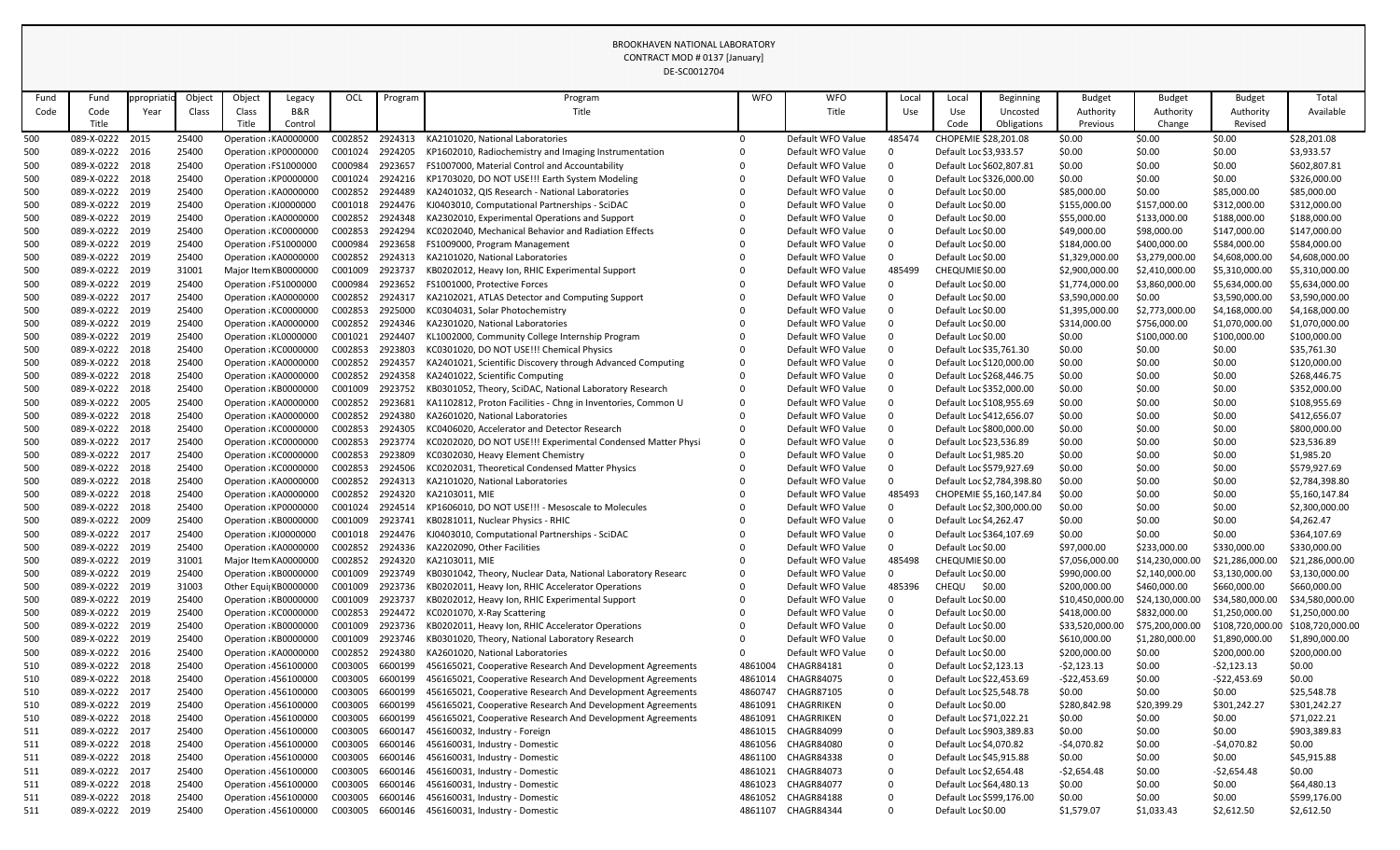|            |                                    |            |                |                       |                                                |                    |                    | DE-SC0012704                                                                                   |            |                                        |             |                                                   |                            |                                  |                          |                                  |                                  |
|------------|------------------------------------|------------|----------------|-----------------------|------------------------------------------------|--------------------|--------------------|------------------------------------------------------------------------------------------------|------------|----------------------------------------|-------------|---------------------------------------------------|----------------------------|----------------------------------|--------------------------|----------------------------------|----------------------------------|
| Fund       | Fund                               | ppropriati | Object         | Object                | Legacy                                         | OCL                | Program            | Program                                                                                        | <b>WFO</b> | <b>WFO</b>                             | Local       | Local                                             | <b>Beginning</b>           | <b>Budget</b>                    | <b>Budget</b>            | <b>Budget</b>                    | Total                            |
| Code       | Code                               | Year       | Class          | Class                 | B&R                                            |                    |                    | Title                                                                                          |            | Title                                  | Use         | Use                                               | Uncosted                   | Authority                        | Authority                | Authority                        | Available                        |
|            | Title                              |            |                | Title                 | Control                                        |                    |                    |                                                                                                |            |                                        |             | Code                                              | Obligations                | Previous                         | Change                   | Revised                          |                                  |
| 500        | 089-X-0222 2015                    |            | 25400          |                       | Operation : KA0000000                          | C002852            | 2924313            | KA2101020, National Laboratories                                                               | $\Omega$   | Default WFO Value                      | 485474      | CHOPEMIE \$28,201.08                              |                            | \$0.00                           | \$0.00                   | \$0.00                           | \$28,201.08                      |
| 500        | 089-X-0222 2016                    |            | 25400          | Operation : KP0000000 |                                                | C001024            | 2924205            | KP1602010, Radiochemistry and Imaging Instrumentation                                          |            | Default WFO Value                      |             | Default Loc \$3,933.57                            |                            | \$0.00                           | \$0.00                   | \$0.00                           | \$3,933.57                       |
| 500        | 089-X-0222 2018                    |            | 25400          | Operation : FS1000000 |                                                | C000984            | 2923657            | FS1007000, Material Control and Accountability                                                 |            | Default WFO Value                      |             | Default Loc \$602,807.81                          |                            | \$0.00                           | \$0.00                   | \$0.00                           | \$602,807.81                     |
| 500        | 089-X-0222 2018                    |            | 25400          |                       | Operation : KP0000000                          | C001024            | 2924216            | KP1703020, DO NOT USE!!! Earth System Modeling                                                 |            | Default WFO Value                      |             |                                                   | Default Loc \$326,000.00   | \$0.00                           | \$0.00                   | \$0.00                           | \$326,000.00                     |
| 500        | 089-X-0222 2019                    |            | 25400          |                       | Operation : KA0000000                          | C002852            | 2924489            | KA2401032, QIS Research - National Laboratories                                                |            | Default WFO Value                      |             | Default Loc \$0.00                                |                            | \$85,000.00                      | \$0.00                   | \$85,000.00                      | \$85,000.00                      |
| 500        | 089-X-0222 2019                    |            | 25400          | Operation : KJ0000000 |                                                | C001018            | 2924476            | KJ0403010, Computational Partnerships - SciDAC                                                 |            | Default WFO Value                      |             | Default Loc \$0.00                                |                            | \$155,000.00                     | \$157,000.00             | \$312,000.00                     | \$312,000.00                     |
| 500        | 089-X-0222 2019                    |            | 25400          |                       | Operation : KA0000000                          | C002852            | 2924348            | KA2302010, Experimental Operations and Support                                                 |            | Default WFO Value                      |             | Default Loc \$0.00                                |                            | \$55,000.00                      | \$133,000.00             | \$188,000.00                     | \$188,000.00                     |
| 500        | 089-X-0222 2019                    |            | 25400          |                       | Operation : KC0000000                          | C002853            | 2924294            | KC0202040, Mechanical Behavior and Radiation Effects                                           |            | Default WFO Value                      |             | Default Loc \$0.00                                |                            | \$49,000.00                      | \$98,000.00              | \$147,000.00                     | \$147,000.00                     |
| 500        | 089-X-0222 2019                    |            | 25400          |                       | Operation : FS1000000                          | C000984            | 2923658            | FS1009000, Program Management                                                                  |            | Default WFO Value                      |             | Default Loc \$0.00                                |                            | \$184,000.00                     | \$400,000.00             | \$584,000.00                     | \$584,000.00                     |
| 500        | 089-X-0222 2019<br>089-X-0222 2019 |            | 25400          |                       | Operation : KA0000000                          | C002852            | 2924313            | KA2101020, National Laboratories                                                               |            | Default WFO Value                      |             | Default Loc \$0.00                                |                            | \$1,329,000.00                   | \$3,279,000.00           | \$4,608,000.00                   | \$4,608,000.00                   |
| 500        |                                    |            | 31001          |                       | Major Item KB0000000                           | C001009<br>C000984 | 2923737            | KB0202012, Heavy Ion, RHIC Experimental Support                                                |            | Default WFO Value                      | 485499      | CHEQUMIE \$0.00<br>Default Loc \$0.00             |                            | \$2,900,000.00                   | \$2,410,000.00           | \$5,310,000.00                   | \$5,310,000.00                   |
| 500        | 089-X-0222 2019<br>089-X-0222 2017 |            | 25400<br>25400 |                       | Operation : FS1000000<br>Operation : KA0000000 | C002852            | 2923652<br>2924317 | FS1001000, Protective Forces<br>KA2102021, ATLAS Detector and Computing Support                |            | Default WFO Value<br>Default WFO Value |             | Default Loc \$0.00                                |                            | \$1,774,000.00                   | \$3,860,000.00<br>\$0.00 | \$5,634,000.00                   | \$5,634,000.00<br>\$3,590,000.00 |
| 500<br>500 | 089-X-0222 2019                    |            | 25400          | Operation : KC0000000 |                                                | C002853            | 2925000            | KC0304031, Solar Photochemistry                                                                |            | Default WFO Value                      |             | Default Loc \$0.00                                |                            | \$3,590,000.00<br>\$1,395,000.00 | \$2,773,000.00           | \$3,590,000.00<br>\$4,168,000.00 | \$4,168,000.00                   |
| 500        | 089-X-0222 2019                    |            | 25400          |                       | Operation : KA0000000                          | C002852            | 2924346            | KA2301020, National Laboratories                                                               |            | Default WFO Value                      |             | Default Loc \$0.00                                |                            | \$314,000.00                     | \$756,000.00             | \$1,070,000.00                   | \$1,070,000.00                   |
| 500        | 089-X-0222 2019                    |            | 25400          |                       | Operation : KL0000000                          | C001021            | 2924407            | KL1002000, Community College Internship Program                                                |            | Default WFO Value                      |             | Default Loc \$0.00                                |                            | \$0.00                           | \$100,000.00             | \$100,000.00                     | \$100,000.00                     |
| 500        | 089-X-0222 2018                    |            | 25400          |                       | Operation : KC0000000                          | C002853            | 2923803            | KC0301020, DO NOT USE!!! Chemical Physics                                                      |            | Default WFO Value                      |             | Default Loc \$35,761.30                           |                            | \$0.00                           | \$0.00                   | \$0.00                           | \$35,761.30                      |
| 500        | 089-X-0222 2018                    |            | 25400          |                       | Operation KA0000000                            | C002852            | 2924357            | KA2401021, Scientific Discovery through Advanced Computing                                     |            | Default WFO Value                      |             | Default Loc \$120,000.00                          |                            | \$0.00                           | \$0.00                   | \$0.00                           | \$120,000.00                     |
| 500        | 089-X-0222 2018                    |            | 25400          |                       | Operation : KA0000000                          | C002852            | 2924358            | KA2401022, Scientific Computing                                                                |            | Default WFO Value                      |             | Default Loc \$268,446.75                          |                            | \$0.00                           | \$0.00                   | \$0.00                           | \$268,446.75                     |
| 500        | 089-X-0222 2018                    |            | 25400          |                       | Operation: KB0000000                           | C001009            | 2923752            | KB0301052, Theory, SciDAC, National Laboratory Research                                        |            | Default WFO Value                      |             | Default Loc \$352,000.00                          |                            | \$0.00                           | \$0.00                   | \$0.00                           | \$352,000.00                     |
| 500        | 089-X-0222 2005                    |            | 25400          | Operation : KA0000000 |                                                | C002852            | 2923681            | KA1102812, Proton Facilities - Chng in Inventories, Common U                                   |            | Default WFO Value                      |             | Default Loc \$108,955.69                          |                            | \$0.00                           | \$0.00                   | \$0.00                           | \$108,955.69                     |
| 500        | 089-X-0222 2018                    |            | 25400          |                       | Operation : KA0000000                          | C002852            | 2924380            | KA2601020, National Laboratories                                                               |            | Default WFO Value                      |             | Default Loc \$412,656.07                          |                            | \$0.00                           | \$0.00                   | \$0.00                           | \$412,656.07                     |
| 500        | 089-X-0222 2018                    |            | 25400          |                       | Operation: KC0000000                           | C002853            | 2924305            | KC0406020, Accelerator and Detector Research                                                   |            | Default WFO Value                      |             | Default Loc \$800,000.00                          |                            | \$0.00                           | \$0.00                   | \$0.00                           | \$800,000.00                     |
| 500        | 089-X-0222 2017                    |            | 25400          | Operation : KC0000000 |                                                | C002853            | 2923774            | KC0202020, DO NOT USE!!! Experimental Condensed Matter Physi                                   |            | Default WFO Value                      |             | Default Loc \$23,536.89                           |                            | \$0.00                           | \$0.00                   | \$0.00                           | \$23,536.89                      |
| 500        | 089-X-0222 2017                    |            | 25400          | Operation : KC0000000 |                                                | C002853            | 2923809            | KC0302030, Heavy Element Chemistry                                                             |            | Default WFO Value                      |             | Default Loc \$1,985.20                            |                            | \$0.00                           | \$0.00                   | \$0.00                           | \$1,985.20                       |
| 500        | 089-X-0222 2018                    |            | 25400          |                       | Operation : KC0000000                          | C002853            | 2924506            | KC0202031, Theoretical Condensed Matter Physics                                                |            | Default WFO Value                      |             | Default Loc \$579,927.69                          |                            | \$0.00                           | \$0.00                   | \$0.00                           | \$579,927.69                     |
| 500        | 089-X-0222 2018                    |            | 25400          |                       | Operation : KA0000000                          | C002852            | 2924313            | KA2101020, National Laboratories                                                               |            | Default WFO Value                      |             |                                                   | Default Loc \$2,784,398.80 | \$0.00                           | \$0.00                   | \$0.00                           | \$2,784,398.80                   |
| 500        | 089-X-0222 2018                    |            | 25400          |                       | Operation : KA0000000                          | C002852            | 2924320            | KA2103011, MIE                                                                                 |            | Default WFO Value                      | 485493      |                                                   | CHOPEMIE \$5,160,147.84    | \$0.00                           | \$0.00                   | \$0.00                           | \$5,160,147.84                   |
| 500        | 089-X-0222 2018                    |            | 25400          |                       | Operation: KP0000000                           | C001024            | 2924514            | KP1606010, DO NOT USE!!! - Mesoscale to Molecules                                              |            | Default WFO Value                      |             |                                                   | Default Loc \$2,300,000.00 | \$0.00                           | \$0.00                   | \$0.00                           | \$2,300,000.00                   |
| 500        | 089-X-0222 2009                    |            | 25400          |                       | Operation : KB0000000                          | C001009            | 2923741            | KB0281011, Nuclear Physics - RHIC                                                              |            | Default WFO Value                      |             | Default Loc \$4,262.47                            |                            | \$0.00                           | \$0.00                   | \$0.00                           | \$4,262.47                       |
| 500        | 089-X-0222 2017                    |            | 25400          |                       | Operation : KJ0000000                          | C001018            | 2924476            | KJ0403010, Computational Partnerships - SciDAC                                                 |            | Default WFO Value                      |             |                                                   | Default Loc \$364,107.69   | \$0.00                           | \$0.00                   | \$0.00                           | \$364,107.69                     |
| 500        | 089-X-0222 2019                    |            | 25400          |                       | Operation : KA0000000                          | C002852            | 2924336            | KA2202090, Other Facilities                                                                    |            | Default WFO Value                      | 0           | Default Loc \$0.00                                |                            | \$97,000.00                      | \$233,000.00             | \$330,000.00                     | \$330,000.00                     |
| 500        | 089-X-0222 2019                    |            | 31001          |                       | Major Item KA0000000                           | C002852            | 2924320            | KA2103011, MIE                                                                                 |            | Default WFO Value                      | 485498      | CHEQUMIE \$0.00                                   |                            | \$7,056,000.00                   | \$14,230,000.00          | \$21,286,000.00                  | \$21,286,000.00                  |
| 500        | 089-X-0222 2019                    |            | 25400          |                       | Operation: KB0000000                           | C001009            | 2923749            | KB0301042, Theory, Nuclear Data, National Laboratory Researc                                   | 0          | Default WFO Value                      |             | Default Loc \$0.00                                |                            | \$990,000.00                     | \$2,140,000.00           | \$3,130,000.00                   | \$3,130,000.00                   |
| 500        | 089-X-0222 2019                    |            | 31003          |                       | Other Equi KB0000000                           | C001009            | 2923736            | KB0202011, Heavy Ion, RHIC Accelerator Operations                                              |            | Default WFO Value                      | 485396      | CHEQU                                             | \$0.00                     | \$200,000.00                     | \$460,000.00             | \$660,000.00                     | \$660,000.00                     |
| 500        | 089-X-0222 2019                    |            | 25400          |                       | Operation : KB0000000                          | C001009            | 2923737            | KB0202012, Heavy Ion, RHIC Experimental Support                                                |            | Default WFO Value                      |             | Default Loc \$0.00                                |                            | \$10,450,000.00                  | \$24,130,000.00          | \$34,580,000.00                  | \$34,580,000.00                  |
| 500        | 089-X-0222 2019                    |            | 25400          |                       | Operation : KC0000000                          | C002853            | 2924472            | KC0201070, X-Ray Scattering                                                                    |            | Default WFO Value                      |             | Default Loc \$0.00                                |                            | \$418,000.00                     | \$832,000.00             | \$1,250,000.00                   | \$1,250,000.00                   |
| 500        | 089-X-0222 2019                    |            | 25400          |                       | Operation : KB0000000                          | C001009            | 2923736            | KB0202011, Heavy Ion, RHIC Accelerator Operations                                              |            | Default WFO Value                      | 0           | Default Loc \$0.00                                |                            | \$33,520,000.00                  | \$75,200,000.00          | \$108,720,000.00                 | \$108,720,000.00                 |
| 500        | 089-X-0222 2019                    |            | 25400          |                       | Operation: KB0000000                           | C001009            | 2923746            | KB0301020, Theory, National Laboratory Research                                                |            | Default WFO Value                      |             | Default Loc \$0.00                                |                            | \$610,000.00                     | \$1,280,000.00           | \$1,890,000.00                   | \$1,890,000.00                   |
| 500        | 089-X-0222 2016<br>089-X-0222 2018 |            | 25400          | Operation : 456100000 | Operation : KA0000000                          | C002852<br>C003005 | 2924380<br>6600199 | KA2601020, National Laboratories<br>456165021, Cooperative Research And Development Agreements | 4861004    | Default WFO Value<br>CHAGR84181        | $\mathbf 0$ | Default Loc \$0.00                                |                            | \$200,000.00                     | \$0.00                   | \$200,000.00<br>$-52,123.13$     | \$200,000.00<br>\$0.00           |
| 510<br>510 | 089-X-0222 2018                    |            | 25400<br>25400 |                       | Operation : 456100000                          | C003005            | 6600199            | 456165021, Cooperative Research And Development Agreements                                     | 4861014    | <b>CHAGR84075</b>                      | 0           | Default Loc \$2,123.13<br>Default Loc \$22,453.69 |                            | $-52,123.13$<br>$-522,453.69$    | \$0.00<br>\$0.00         | $-$22,453.69$                    | \$0.00                           |
| 510        | 089-X-0222 2017                    |            | 25400          | Operation : 456100000 |                                                | C003005            | 6600199            | 456165021, Cooperative Research And Development Agreements                                     | 4860747    | CHAGR87105                             | $\mathbf 0$ | Default Loc \$25,548.78                           |                            | \$0.00                           | \$0.00                   | \$0.00                           | \$25,548.78                      |
| 510        | 089-X-0222 2019                    |            | 25400          | Operation : 456100000 |                                                | C003005            | 6600199            | 456165021, Cooperative Research And Development Agreements                                     | 4861091    | CHAGRRIKEN                             | 0           | Default Loc \$0.00                                |                            | \$280,842.98                     | \$20,399.29              | \$301,242.27                     | \$301,242.27                     |
| 510        | 089-X-0222 2018                    |            | 25400          | Operation : 456100000 |                                                | C003005            | 6600199            | 456165021, Cooperative Research And Development Agreements                                     | 4861091    | CHAGRRIKEN                             | $\mathbf 0$ | Default Loc \$71,022.21                           |                            | \$0.00                           | \$0.00                   | \$0.00                           | \$71,022.21                      |
| 511        | 089-X-0222 2017                    |            | 25400          | Operation : 456100000 |                                                | C003005            | 6600147            | 456160032, Industry - Foreign                                                                  | 4861015    | <b>CHAGR84099</b>                      | $\mathbf 0$ | Default Loc \$903,389.83                          |                            | \$0.00                           | \$0.00                   | \$0.00                           | \$903,389.83                     |
| 511        | 089-X-0222 2018                    |            | 25400          |                       | Operation : 456100000                          | C003005            | 6600146            | 456160031, Industry - Domestic                                                                 | 4861056    | CHAGR84080                             | $\mathbf 0$ | Default Loc \$4,070.82                            |                            | $-$4,070.82$                     | \$0.00                   | $-54,070.82$                     | \$0.00                           |
| 511        | 089-X-0222 2018                    |            | 25400          |                       | Operation : 456100000                          | C003005            | 6600146            | 456160031, Industry - Domestic                                                                 | 4861100    | <b>CHAGR84338</b>                      | $\mathbf 0$ | Default Loc \$45,915.88                           |                            | \$0.00                           | \$0.00                   | \$0.00                           | \$45,915.88                      |
| 511        | 089-X-0222 2017                    |            | 25400          | Operation : 456100000 |                                                | C003005            | 6600146            | 456160031, Industry - Domestic                                                                 | 4861021    | CHAGR84073                             | $\mathbf 0$ | Default Loc \$2,654.48                            |                            | $-52,654.48$                     | \$0.00                   | $-52,654.48$                     | \$0.00                           |
| 511        | 089-X-0222 2018                    |            | 25400          |                       | Operation : 456100000                          | C003005            | 6600146            | 456160031, Industry - Domestic                                                                 | 4861023    | <b>CHAGR84077</b>                      | 0           | Default Loc \$64,480.13                           |                            | \$0.00                           | \$0.00                   | \$0.00                           | \$64,480.13                      |
| 511        | 089-X-0222 2018                    |            | 25400          |                       | Operation : 456100000                          | C003005            | 6600146            | 456160031, Industry - Domestic                                                                 | 4861052    | CHAGR84188                             | $\mathbf 0$ |                                                   | Default Loc \$599,176.00   | \$0.00                           | \$0.00                   | \$0.00                           | \$599,176.00                     |
| 511        | 089-X-0222 2019                    |            | 25400          |                       | Operation : 456100000                          | C003005            | 6600146            | 456160031, Industry - Domestic                                                                 | 4861107    | CHAGR84344                             | $\mathbf 0$ | Default Loc \$0.00                                |                            | \$1,579.07                       | \$1,033.43               | \$2,612.50                       | \$2,612.50                       |
|            |                                    |            |                |                       |                                                |                    |                    |                                                                                                |            |                                        |             |                                                   |                            |                                  |                          |                                  |                                  |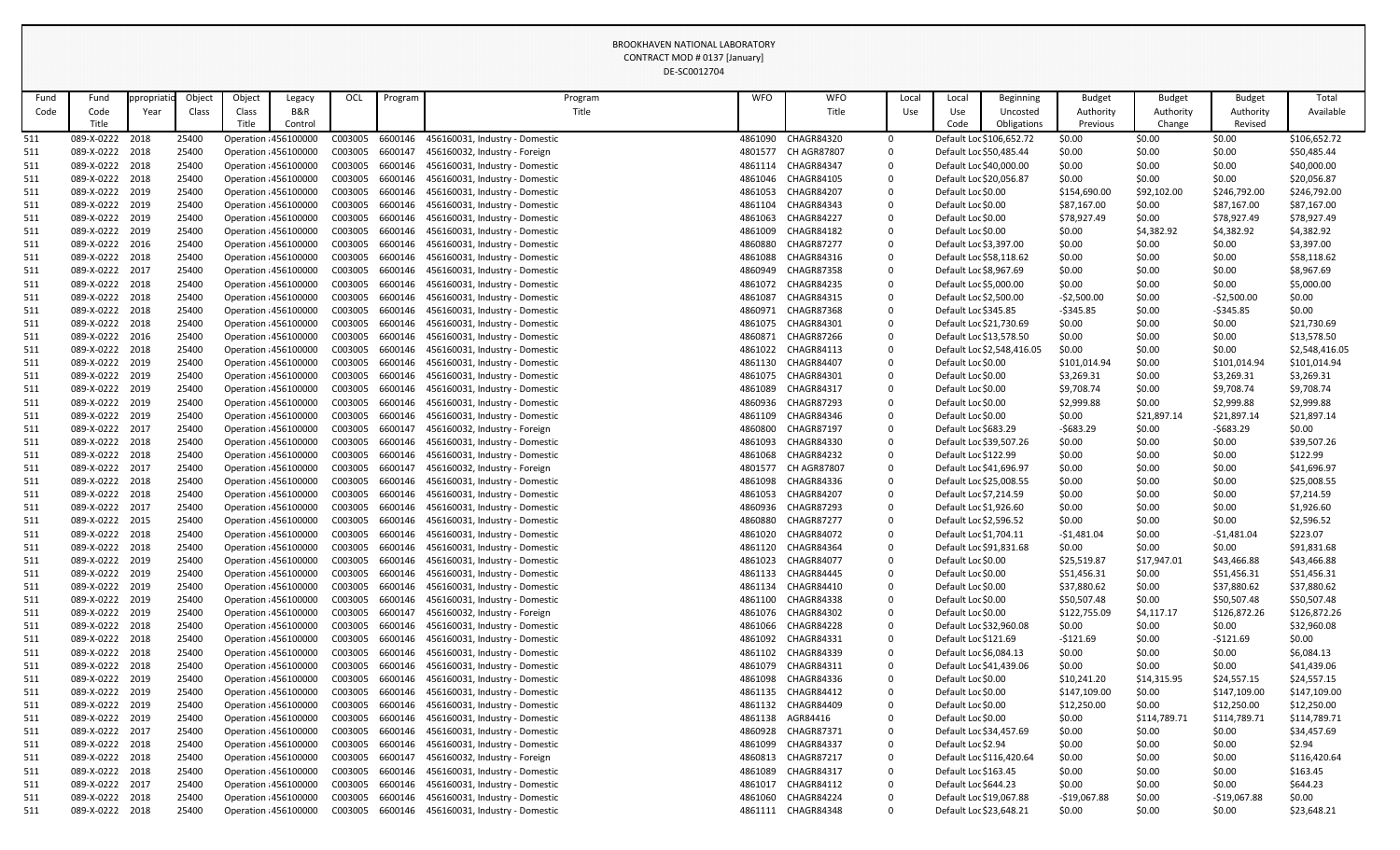|            |                                    |            |                |        |                                                |                    |                    | DE-SC0012704                                                    |                    |                                 |        |                                                 |                            |                  |                  |                  |                         |
|------------|------------------------------------|------------|----------------|--------|------------------------------------------------|--------------------|--------------------|-----------------------------------------------------------------|--------------------|---------------------------------|--------|-------------------------------------------------|----------------------------|------------------|------------------|------------------|-------------------------|
| Fund       | Fund                               | opropriati | Object         | Object | Legacy                                         | OCL                | Program            | Program                                                         | <b>WFO</b>         | <b>WFO</b>                      | Local  | Local                                           | <b>Beginning</b>           | <b>Budget</b>    | <b>Budget</b>    | <b>Budget</b>    | Total                   |
| Code       | Code                               | Year       | Class          | Class  | B&R                                            |                    |                    | Title                                                           |                    | Title                           | Use    | Use                                             | Uncosted                   | Authority        | Authority        | Authority        | Available               |
|            | Title                              |            |                | Title  | Control                                        |                    |                    |                                                                 |                    |                                 |        | Code                                            | Obligations                | Previous         | Change           | Revised          |                         |
| 511        | 089-X-0222                         | 2018       | 25400          |        | Operation : 456100000                          | C003005            | 6600146            | 456160031, Industry - Domestic                                  | 4861090            | <b>CHAGR84320</b>               | 0      |                                                 | Default Loc \$106,652.72   | \$0.00           | \$0.00           | \$0.00           | \$106,652.72            |
| 511        | 089-X-0222 2018                    |            | 25400          |        | Operation : 456100000                          | C003005            | 6600147            | 456160032, Industry - Foreign                                   | 4801577            | <b>CH AGR87807</b>              | 0      | Default Loc \$50,485.44                         |                            | \$0.00           | \$0.00           | \$0.00           | \$50,485.44             |
| 511        | 089-X-0222 2018                    |            | 25400          |        | Operation : 456100000                          | C003005            | 6600146            | 456160031, Industry - Domestic                                  | 4861114            | CHAGR84347                      | 0      | Default Loc \$40,000.00                         |                            | \$0.00           | \$0.00           | \$0.00           | \$40,000.00             |
| 511        | 089-X-0222 2018                    |            | 25400          |        | Operation : 456100000                          | C003005            | 6600146            | 456160031, Industry - Domestic                                  | 4861046            | <b>CHAGR84105</b>               | 0      | Default Loc \$20,056.87                         |                            | \$0.00           | \$0.00           | \$0.00           | \$20,056.87             |
| 511        | 089-X-0222 2019                    |            | 25400          |        | Operation : 456100000                          | C003005            | 6600146            | 456160031, Industry - Domestic                                  | 4861053            | <b>CHAGR84207</b>               | 0      | Default Loc \$0.00                              |                            | \$154,690.00     | \$92,102.00      | \$246,792.00     | \$246,792.00            |
| 511        | 089-X-0222 2019                    |            | 25400          |        | Operation : 456100000                          | C003005            | 6600146            | 456160031, Industry - Domestic                                  | 4861104            | <b>CHAGR84343</b>               | 0      | Default Loc \$0.00                              |                            | \$87,167.00      | \$0.00           | \$87,167.00      | \$87,167.00             |
| 511        | 089-X-0222 2019                    |            | 25400          |        | Operation : 456100000                          | C003005            | 6600146            | 456160031, Industry - Domestic                                  | 4861063            | <b>CHAGR84227</b>               | 0      | Default Loc \$0.00                              |                            | \$78,927.49      | \$0.00           | \$78,927.49      | \$78,927.49             |
| 511        | 089-X-0222 2019                    |            | 25400          |        | Operation : 456100000                          | C003005            | 6600146            | 456160031, Industry - Domestic                                  | 4861009            | <b>CHAGR84182</b>               | 0      | Default Loc \$0.00                              |                            | \$0.00           | \$4,382.92       | \$4,382.92       | \$4,382.92              |
| 511        | 089-X-0222 2016                    |            | 25400          |        | Operation : 456100000                          | C003005            | 6600146            | 456160031, Industry - Domestic                                  | 4860880            | <b>CHAGR87277</b>               | 0      | Default Loc \$3,397.00                          |                            | \$0.00           | \$0.00           | \$0.00           | \$3,397.00              |
| 511        | 089-X-0222 2018                    |            | 25400          |        | Operation : 456100000                          | C003005            | 6600146            | 456160031, Industry - Domestic                                  | 4861088            | CHAGR84316                      | 0      | Default Loc \$58,118.62                         |                            | \$0.00           | \$0.00           | \$0.00           | \$58,118.62             |
| 511        | 089-X-0222 2017                    |            | 25400          |        | Operation : 456100000                          | C003005            | 6600146            | 456160031, Industry - Domestic                                  | 4860949            | <b>CHAGR87358</b>               | 0      | Default Loc \$8,967.69                          |                            | \$0.00           | \$0.00           | \$0.00           | \$8,967.69              |
| 511        | 089-X-0222 2018                    |            | 25400          |        | Operation : 456100000                          | C003005            | 6600146            | 456160031, Industry - Domestic                                  | 4861072            | <b>CHAGR84235</b>               | 0      | Default Loc \$5,000.00                          |                            | \$0.00           | \$0.00           | \$0.00           | \$5,000.00              |
| 511        | 089-X-0222 2018                    |            | 25400          |        | Operation : 456100000                          | C003005            | 6600146            | 456160031, Industry - Domestic                                  | 4861087            | CHAGR84315                      | 0      | Default Loc \$2,500.00                          |                            | $-52,500.00$     | \$0.00           | $-52,500.00$     | \$0.00                  |
| 511        | 089-X-0222 2018                    |            | 25400          |        | Operation : 456100000                          | C003005            | 6600146            | 456160031, Industry - Domestic                                  | 4860971            | CHAGR87368                      | 0      | Default Loc \$345.85                            |                            | $-5345.85$       | \$0.00           | $-5345.85$       | \$0.00                  |
| 511        | 089-X-0222 2018                    |            | 25400          |        | Operation : 456100000                          | C003005            | 6600146            | 456160031, Industry - Domestic                                  | 4861075            | <b>CHAGR84301</b>               | 0      | Default Loc \$21,730.69                         |                            | \$0.00           | \$0.00           | \$0.00           | \$21,730.69             |
| 511        | 089-X-0222 2016                    |            | 25400          |        | Operation : 456100000                          | C003005            | 6600146            | 456160031, Industry - Domestic                                  | 4860871            | CHAGR87266                      | 0      | Default Loc \$13,578.50                         |                            | \$0.00           | \$0.00           | \$0.00           | \$13,578.50             |
| 511        | 089-X-0222 2018                    |            | 25400          |        | Operation : 456100000                          | C003005            | 6600146            | 456160031, Industry - Domestic                                  | 4861022            | <b>CHAGR84113</b>               | 0      |                                                 | Default Loc \$2,548,416.05 | \$0.00           | \$0.00           | \$0.00           | \$2,548,416.05          |
| 511        | 089-X-0222 2019                    |            | 25400          |        | Operation : 456100000                          | C003005            | 6600146            | 456160031, Industry - Domestic                                  | 4861130            | <b>CHAGR84407</b>               | 0      | Default Loc \$0.00                              |                            | \$101,014.94     | \$0.00           | \$101,014.94     | \$101,014.94            |
| 511        | 089-X-0222 2019                    |            | 25400          |        | Operation : 456100000                          | C003005            | 6600146            | 456160031, Industry - Domestic                                  | 4861075            | <b>CHAGR84301</b>               | 0      | Default Loc \$0.00                              |                            | \$3,269.31       | \$0.00           | \$3,269.31       | \$3,269.31              |
| 511        | 089-X-0222 2019                    |            | 25400          |        | Operation : 456100000                          | C003005            | 6600146            | 456160031, Industry - Domestic                                  | 4861089            | <b>CHAGR84317</b>               | 0      | Default Loc \$0.00                              |                            | \$9,708.74       | \$0.00           | \$9,708.74       | \$9,708.74              |
| 511        | 089-X-0222 2019                    |            | 25400          |        | Operation : 456100000                          | C003005            | 6600146            | 456160031, Industry - Domestic                                  | 4860936            | <b>CHAGR87293</b>               | 0      | Default Loc \$0.00                              |                            | \$2,999.88       | \$0.00           | \$2,999.88       | \$2,999.88              |
| 511        | 089-X-0222 2019                    |            | 25400          |        | Operation : 456100000                          | C003005            | 6600146            | 456160031, Industry - Domestic                                  | 4861109            | CHAGR84346                      | 0      | Default Loc \$0.00                              |                            | \$0.00           | \$21,897.14      | \$21,897.14      | \$21,897.14             |
| 511        | 089-X-0222 2017                    |            | 25400          |        | Operation : 456100000                          | C003005            | 6600147<br>6600146 | 456160032, Industry - Foreign                                   | 4860800            | <b>CHAGR87197</b>               | 0      | Default Loc \$683.29                            |                            | $-5683.29$       | \$0.00           | $-5683.29$       | \$0.00                  |
| 511        | 089-X-0222 2018<br>089-X-0222 2018 |            | 25400          |        | Operation : 456100000                          | C003005<br>C003005 | 6600146            | 456160031, Industry - Domestic                                  | 4861093            | <b>CHAGR84330</b><br>CHAGR84232 | 0      | Default Loc \$39,507.26<br>Default Loc \$122.99 |                            | \$0.00           | \$0.00           | \$0.00           | \$39,507.26<br>\$122.99 |
| 511        | 089-X-0222 2017                    |            | 25400<br>25400 |        | Operation : 456100000<br>Operation : 456100000 | C003005            | 6600147            | 456160031, Industry - Domestic<br>456160032, Industry - Foreign | 4861068<br>4801577 | <b>CH AGR87807</b>              | 0<br>0 | Default Loc \$41,696.97                         |                            | \$0.00<br>\$0.00 | \$0.00<br>\$0.00 | \$0.00<br>\$0.00 | \$41,696.97             |
| 511<br>511 | 089-X-0222 2018                    |            | 25400          |        | Operation : 456100000                          | C003005            | 6600146            | 456160031, Industry - Domestic                                  | 4861098            | CHAGR84336                      |        | Default Loc \$25,008.55                         |                            | \$0.00           | \$0.00           | \$0.00           | \$25,008.55             |
| 511        | 089-X-0222 2018                    |            | 25400          |        | Operation : 456100000                          | C003005            | 6600146            | 456160031, Industry - Domestic                                  | 4861053            | <b>CHAGR84207</b>               | 0      | Default Loc \$7,214.59                          |                            | \$0.00           | \$0.00           | \$0.00           | \$7,214.59              |
| 511        | 089-X-0222 2017                    |            | 25400          |        | Operation : 456100000                          | C003005            | 6600146            | 456160031, Industry - Domestic                                  | 4860936            | <b>CHAGR87293</b>               | 0      | Default Loc \$1,926.60                          |                            | \$0.00           | \$0.00           | \$0.00           | \$1,926.60              |
| 511        | 089-X-0222 2015                    |            | 25400          |        | Operation : 456100000                          | C003005            | 6600146            | 456160031, Industry - Domestic                                  | 4860880            | CHAGR87277                      | 0      | Default Loc \$2,596.52                          |                            | \$0.00           | \$0.00           | \$0.00           | \$2,596.52              |
| 511        | 089-X-0222 2018                    |            | 25400          |        | Operation : 456100000                          | C003005            | 6600146            | 456160031, Industry - Domestic                                  | 4861020            | CHAGR84072                      | 0      | Default Loc \$1,704.11                          |                            | -\$1,481.04      | \$0.00           | -\$1,481.04      | \$223.07                |
| 511        | 089-X-0222 2018                    |            | 25400          |        | Operation : 456100000                          | C003005            | 6600146            | 456160031, Industry - Domestic                                  | 4861120            | CHAGR84364                      | 0      | Default Loc \$91,831.68                         |                            | \$0.00           | \$0.00           | \$0.00           | \$91,831.68             |
| 511        | 089-X-0222 2019                    |            | 25400          |        | Operation : 456100000                          | C003005            | 6600146            | 456160031, Industry - Domestic                                  | 4861023            | <b>CHAGR84077</b>               | 0      | Default Loc \$0.00                              |                            | \$25,519.87      | \$17,947.01      | \$43,466.88      | \$43,466.88             |
| 511        | 089-X-0222 2019                    |            | 25400          |        | Operation : 456100000                          | C003005            | 6600146            | 456160031, Industry - Domestic                                  | 4861133            | CHAGR84445                      | 0      | Default Loc \$0.00                              |                            | \$51,456.31      | \$0.00           | \$51,456.31      | \$51,456.31             |
| 511        | 089-X-0222 2019                    |            | 25400          |        | Operation : 456100000                          | C003005            | 6600146            | 456160031, Industry - Domestic                                  | 4861134            | CHAGR84410                      | 0      | Default Loc \$0.00                              |                            | \$37,880.62      | \$0.00           | \$37,880.62      | \$37,880.62             |
| 511        | 089-X-0222 2019                    |            | 25400          |        | Operation : 456100000                          | C003005            | 6600146            | 456160031, Industry - Domestic                                  | 4861100            | <b>CHAGR84338</b>               | 0      | Default Loc \$0.00                              |                            | \$50,507.48      | \$0.00           | \$50,507.48      | \$50,507.48             |
| 511        | 089-X-0222 2019                    |            | 25400          |        | Operation : 456100000                          | C003005            | 6600147            | 456160032, Industry - Foreign                                   | 4861076            | <b>CHAGR84302</b>               | 0      | Default Loc \$0.00                              |                            | \$122,755.09     | \$4,117.17       | \$126,872.26     | \$126,872.26            |
| 511        | 089-X-0222 2018                    |            | 25400          |        | Operation : 456100000                          | C003005            | 6600146            | 456160031, Industry - Domestic                                  | 4861066            | <b>CHAGR84228</b>               | 0      | Default Loc \$32,960.08                         |                            | \$0.00           | \$0.00           | \$0.00           | \$32,960.08             |
| 511        | 089-X-0222 2018                    |            | 25400          |        | Operation : 456100000                          | C003005            | 6600146            | 456160031, Industry - Domestic                                  | 4861092            | <b>CHAGR84331</b>               | 0      | Default Loc \$121.69                            |                            | $-5121.69$       | \$0.00           | $-5121.69$       | \$0.00                  |
| 511        | 089-X-0222 2018                    |            | 25400          |        | Operation : 456100000                          | C003005            | 6600146            | 456160031, Industry - Domestic                                  | 4861102            | <b>CHAGR84339</b>               | 0      | Default Loc \$6,084.13                          |                            | \$0.00           | \$0.00           | \$0.00           | \$6,084.13              |
| 511        | 089-X-0222 2018                    |            | 25400          |        | Operation : 456100000                          | C003005            | 6600146            | 456160031, Industry - Domestic                                  | 4861079            | CHAGR84311                      | 0      | Default Loc \$41,439.06                         |                            | \$0.00           | \$0.00           | \$0.00           | \$41,439.06             |
| 511        | 089-X-0222 2019                    |            | 25400          |        | Operation : 456100000                          | C003005            | 6600146            | 456160031, Industry - Domestic                                  | 4861098            | CHAGR84336                      | 0      | Default Loc \$0.00                              |                            | \$10,241.20      | \$14,315.95      | \$24,557.15      | \$24,557.15             |
| 511        | 089-X-0222 2019                    |            | 25400          |        | Operation : 456100000                          | C003005            | 6600146            | 456160031, Industry - Domestic                                  | 4861135            | <b>CHAGR84412</b>               | 0      | Default Loc \$0.00                              |                            | \$147,109.00     | \$0.00           | \$147,109.00     | \$147,109.00            |
| 511        | 089-X-0222 2019                    |            | 25400          |        | Operation : 456100000                          | C003005            | 6600146            | 456160031, Industry - Domestic                                  | 4861132            | CHAGR84409                      | 0      | Default Loc \$0.00                              |                            | \$12,250.00      | \$0.00           | \$12,250.00      | \$12,250.00             |
| 511        | 089-X-0222 2019                    |            | 25400          |        | Operation : 456100000                          | C003005            | 6600146            | 456160031, Industry - Domestic                                  | 4861138            | AGR84416                        | 0      | Default Loc \$0.00                              |                            | \$0.00           | \$114,789.71     | \$114,789.71     | \$114,789.71            |
| 511        | 089-X-0222 2017                    |            | 25400          |        | Operation : 456100000                          | C003005            | 6600146            | 456160031, Industry - Domestic                                  | 4860928            | <b>CHAGR87371</b>               | 0      | Default Loc \$34,457.69                         |                            | \$0.00           | \$0.00           | \$0.00           | \$34,457.69             |
| 511        | 089-X-0222 2018                    |            | 25400          |        | Operation : 456100000                          | C003005            | 6600146            | 456160031, Industry - Domestic                                  | 4861099            | <b>CHAGR84337</b>               | 0      | Default Loc \$2.94                              |                            | \$0.00           | \$0.00           | \$0.00           | \$2.94                  |
| 511        | 089-X-0222 2018                    |            | 25400          |        | Operation : 456100000                          | C003005            | 6600147            | 456160032, Industry - Foreign                                   | 4860813            | <b>CHAGR87217</b>               | 0      |                                                 | Default Loc \$116,420.64   | \$0.00           | \$0.00           | \$0.00           | \$116,420.64            |
| 511        | 089-X-0222 2018                    |            | 25400          |        | Operation : 456100000                          | C003005            | 6600146            | 456160031, Industry - Domestic                                  | 4861089            | <b>CHAGR84317</b>               | 0      | Default Loc \$163.45                            |                            | \$0.00           | \$0.00           | \$0.00           | \$163.45                |
| 511        | 089-X-0222 2017                    |            | 25400          |        | Operation : 456100000                          | C003005 6600146    |                    | 456160031, Industry - Domestic                                  | 4861017            | <b>CHAGR84112</b>               | 0      | Default Loc \$644.23                            |                            | \$0.00           | \$0.00           | \$0.00           | \$644.23                |
| 511        | 089-X-0222 2018                    |            | 25400          |        | Operation : 456100000                          | C003005            | 6600146            | 456160031, Industry - Domestic                                  | 4861060            | CHAGR84224                      | 0      | Default Loc \$19,067.88                         |                            | -\$19,067.88     | \$0.00           | $-$19,067.88$    | \$0.00                  |
| 511        | 089-X-0222 2018                    |            | 25400          |        | Operation : 456100000                          | C003005            | 6600146            | 456160031, Industry - Domestic                                  | 4861111            | CHAGR84348                      | 0      | Default Loc \$23,648.21                         |                            | \$0.00           | \$0.00           | \$0.00           | \$23,648.21             |
|            |                                    |            |                |        |                                                |                    |                    |                                                                 |                    |                                 |        |                                                 |                            |                  |                  |                  |                         |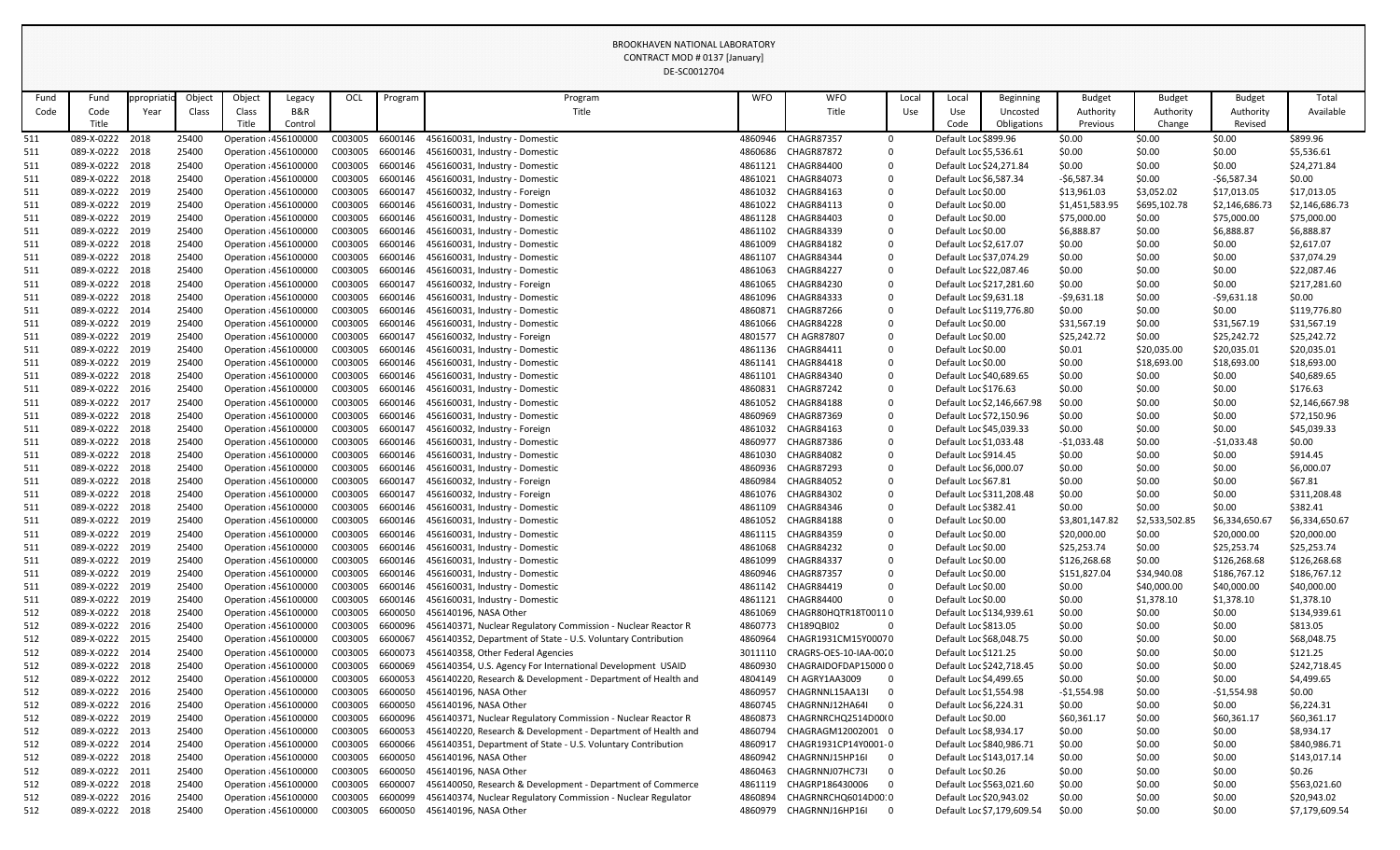|            |                                    |           |                |        |                                                |                    |                    | DE-SC0012704                                                                          |                    |                                           |             |                         |                            |                            |                       |                            |                              |
|------------|------------------------------------|-----------|----------------|--------|------------------------------------------------|--------------------|--------------------|---------------------------------------------------------------------------------------|--------------------|-------------------------------------------|-------------|-------------------------|----------------------------|----------------------------|-----------------------|----------------------------|------------------------------|
| Fund       | Fund                               | propriati | Object         | Object | Legacy                                         | OCL                | Program            | Program                                                                               | <b>WFO</b>         | <b>WFO</b>                                | Local       | Local                   | <b>Beginning</b>           | <b>Budget</b>              | <b>Budget</b>         | <b>Budget</b>              | Total                        |
| Code       | Code                               | Year      | Class          | Class  | B&R                                            |                    |                    | Title                                                                                 |                    | Title                                     | Use         | Use                     | Uncosted                   | Authority                  | Authority             | Authority                  | Available                    |
|            | Title                              |           |                | Title  | Control                                        |                    |                    |                                                                                       |                    |                                           |             | Code                    | Obligations                | Previous                   | Change                | Revised                    |                              |
| 511        | 089-X-0222                         | 2018      | 25400          |        | Operation : 456100000                          | C003005            | 6600146            | 456160031, Industry - Domestic                                                        | 4860946            | <b>CHAGR87357</b>                         | $\Omega$    | Default Loc \$899.96    |                            | \$0.00                     | \$0.00                | \$0.00                     | \$899.96                     |
| 511        | 089-X-0222 2018                    |           | 25400          |        | Operation : 456100000                          | C003005            | 6600146            | 456160031, Industry - Domestic                                                        | 4860686            | <b>CHAGR87872</b>                         | 0           | Default Loc \$5,536.61  |                            | \$0.00                     | \$0.00                | \$0.00                     | \$5,536.61                   |
| 511        | 089-X-0222 2018                    |           | 25400          |        | Operation : 456100000                          | C003005            | 6600146            | 456160031, Industry - Domestic                                                        | 4861121            | CHAGR84400                                | 0           | Default Loc \$24,271.84 |                            | \$0.00                     | \$0.00                | \$0.00                     | \$24,271.84                  |
| 511        | 089-X-0222 2018                    |           | 25400          |        | Operation : 456100000                          | C003005            | 6600146            | 456160031, Industry - Domestic                                                        | 4861021            | <b>CHAGR84073</b>                         | 0           | Default Loc \$6,587.34  |                            | $-56,587.34$               | \$0.00                | $-56,587.34$               | \$0.00                       |
| 511        | 089-X-0222 2019                    |           | 25400          |        | Operation : 456100000                          | C003005            | 6600147            | 456160032, Industry - Foreign                                                         | 4861032            | CHAGR84163                                | 0           | Default Loc \$0.00      |                            | \$13,961.03                | \$3,052.02            | \$17,013.05                | \$17,013.05                  |
| 511        | 089-X-0222 2019                    |           | 25400          |        | Operation : 456100000                          | C003005            | 6600146            | 456160031, Industry - Domestic                                                        | 4861022            | <b>CHAGR84113</b>                         | $\mathbf 0$ | Default Loc \$0.00      |                            | \$1,451,583.95             | \$695,102.78          | \$2,146,686.73             | \$2,146,686.73               |
| 511        | 089-X-0222 2019                    |           | 25400          |        | Operation : 456100000                          | C003005            | 6600146            | 456160031, Industry - Domestic                                                        | 4861128            | CHAGR84403                                | 0           | Default Loc \$0.00      |                            | \$75,000.00                | \$0.00                | \$75,000.00                | \$75,000.00                  |
| 511        | 089-X-0222 2019                    |           | 25400          |        | Operation : 456100000                          | C003005            | 6600146            | 456160031, Industry - Domestic                                                        | 4861102            | <b>CHAGR84339</b>                         | 0           | Default Loc \$0.00      |                            | \$6,888.87                 | \$0.00                | \$6,888.87                 | \$6,888.87                   |
| 511        | 089-X-0222 2018                    |           | 25400          |        | Operation : 456100000                          | C003005            | 6600146            | 456160031, Industry - Domestic                                                        | 4861009            | <b>CHAGR84182</b>                         | $\mathbf 0$ | Default Loc \$2,617.07  |                            | \$0.00                     | \$0.00                | \$0.00                     | \$2,617.07                   |
| 511        | 089-X-0222 2018                    |           | 25400          |        | Operation : 456100000                          | C003005            | 6600146            | 456160031, Industry - Domestic                                                        | 4861107            | CHAGR84344                                | 0           | Default Loc \$37,074.29 |                            | \$0.00                     | \$0.00                | \$0.00                     | \$37,074.29                  |
| 511        | 089-X-0222 2018                    |           | 25400          |        | Operation : 456100000                          | C003005            | 6600146            | 456160031, Industry - Domestic                                                        | 4861063            | <b>CHAGR84227</b>                         | 0           | Default Loc \$22,087.46 |                            | \$0.00                     | \$0.00                | \$0.00                     | \$22,087.46                  |
| 511        | 089-X-0222 2018                    |           | 25400          |        | Operation : 456100000                          | C003005            | 6600147            | 456160032, Industry - Foreign                                                         | 4861065            | CHAGR84230                                | $\mathbf 0$ |                         | Default Loc \$217,281.60   | \$0.00                     | \$0.00                | \$0.00                     | \$217,281.60                 |
| 511        | 089-X-0222 2018                    |           | 25400          |        | Operation : 456100000                          | C003005            | 6600146            | 456160031, Industry - Domestic                                                        | 4861096            | <b>CHAGR84333</b><br>CHAGR87266           | 0           | Default Loc \$9,631.18  |                            | $-59,631.18$               | \$0.00                | $-59,631.18$               | \$0.00                       |
| 511        | 089-X-0222 2014<br>089-X-0222 2019 |           | 25400          |        | Operation : 456100000                          | C003005<br>C003005 | 6600146<br>6600146 | 456160031, Industry - Domestic                                                        | 4860871            | CHAGR84228                                | 0           | Default Loc \$0.00      | Default Loc \$119,776.80   | \$0.00                     | \$0.00                | \$0.00                     | \$119,776.80                 |
| 511        | 089-X-0222 2019                    |           | 25400<br>25400 |        | Operation : 456100000<br>Operation : 456100000 | C003005            | 6600147            | 456160031, Industry - Domestic<br>456160032, Industry - Foreign                       | 4861066<br>4801577 | <b>CH AGR87807</b>                        | 0           | Default Loc \$0.00      |                            | \$31,567.19<br>\$25,242.72 | \$0.00                | \$31,567.19<br>\$25,242.72 | \$31,567.19<br>\$25,242.72   |
| 511<br>511 | 089-X-0222 2019                    |           | 25400          |        | Operation : 456100000                          | C003005            | 6600146            | 456160031, Industry - Domestic                                                        | 4861136            | <b>CHAGR84411</b>                         | 0<br>0      | Default Loc \$0.00      |                            | \$0.01                     | \$0.00<br>\$20,035.00 | \$20,035.01                | \$20,035.01                  |
| 511        | 089-X-0222 2019                    |           | 25400          |        | Operation : 456100000                          | C003005            | 6600146            | 456160031, Industry - Domestic                                                        | 4861141            | CHAGR84418                                | 0           | Default Loc \$0.00      |                            | \$0.00                     | \$18,693.00           | \$18,693.00                | \$18,693.00                  |
| 511        | 089-X-0222 2018                    |           | 25400          |        | Operation : 456100000                          | C003005            | 6600146            | 456160031, Industry - Domestic                                                        | 4861101            | CHAGR84340                                | 0           | Default Loc \$40,689.65 |                            | \$0.00                     | \$0.00                | \$0.00                     | \$40,689.65                  |
| 511        | 089-X-0222 2016                    |           | 25400          |        | Operation : 456100000                          | C003005            | 6600146            | 456160031, Industry - Domestic                                                        | 4860831            | CHAGR87242                                | 0           | Default Loc \$176.63    |                            | \$0.00                     | \$0.00                | \$0.00                     | \$176.63                     |
| 511        | 089-X-0222 2017                    |           | 25400          |        | Operation : 456100000                          | C003005            | 6600146            | 456160031, Industry - Domestic                                                        | 4861052            | <b>CHAGR84188</b>                         | 0           |                         | Default Loc \$2,146,667.98 | \$0.00                     | \$0.00                | \$0.00                     | \$2,146,667.98               |
| 511        | 089-X-0222 2018                    |           | 25400          |        | Operation : 456100000                          | C003005            | 6600146            | 456160031, Industry - Domestic                                                        | 4860969            | <b>CHAGR87369</b>                         | 0           | Default Loc \$72,150.96 |                            | \$0.00                     | \$0.00                | \$0.00                     | \$72,150.96                  |
| 511        | 089-X-0222 2018                    |           | 25400          |        | Operation : 456100000                          | C003005            | 6600147            | 456160032, Industry - Foreign                                                         | 4861032            | <b>CHAGR84163</b>                         | $\mathbf 0$ | Default Loc \$45,039.33 |                            | \$0.00                     | \$0.00                | \$0.00                     | \$45,039.33                  |
| 511        | 089-X-0222 2018                    |           | 25400          |        | Operation : 456100000                          | C003005            | 6600146            | 456160031, Industry - Domestic                                                        | 4860977            | CHAGR87386                                | 0           | Default Loc \$1,033.48  |                            | $-$1,033.48$               | \$0.00                | $-$1,033.48$               | \$0.00                       |
| 511        | 089-X-0222 2018                    |           | 25400          |        | Operation : 456100000                          | C003005            | 6600146            | 456160031, Industry - Domestic                                                        | 4861030            | <b>CHAGR84082</b>                         | 0           | Default Loc \$914.45    |                            | \$0.00                     | \$0.00                | \$0.00                     | \$914.45                     |
| 511        | 089-X-0222 2018                    |           | 25400          |        | Operation : 456100000                          | C003005            | 6600146            | 456160031, Industry - Domestic                                                        | 4860936            | <b>CHAGR87293</b>                         | $\mathbf 0$ | Default Loc \$6,000.07  |                            | \$0.00                     | \$0.00                | \$0.00                     | \$6,000.07                   |
| 511        | 089-X-0222 2018                    |           | 25400          |        | Operation : 456100000                          | C003005            | 6600147            | 456160032, Industry - Foreign                                                         | 4860984            | CHAGR84052                                | 0           | Default Loc \$67.81     |                            | \$0.00                     | \$0.00                | \$0.00                     | \$67.81                      |
| 511        | 089-X-0222 2018                    |           | 25400          |        | Operation : 456100000                          | C003005            | 6600147            | 456160032, Industry - Foreign                                                         | 4861076            | <b>CHAGR84302</b>                         | 0           |                         | Default Loc \$311,208.48   | \$0.00                     | \$0.00                | \$0.00                     | \$311,208.48                 |
| 511        | 089-X-0222 2018                    |           | 25400          |        | Operation : 456100000                          | C003005            | 6600146            | 456160031, Industry - Domestic                                                        | 4861109            | CHAGR84346                                | 0           | Default Loc \$382.41    |                            | \$0.00                     | \$0.00                | \$0.00                     | \$382.41                     |
| 511        | 089-X-0222 2019                    |           | 25400          |        | Operation : 456100000                          | C003005            | 6600146            | 456160031, Industry - Domestic                                                        | 4861052            | <b>CHAGR84188</b>                         | 0           | Default Loc \$0.00      |                            | \$3,801,147.82             | \$2,533,502.85        | \$6,334,650.67             | \$6,334,650.67               |
| 511        | 089-X-0222 2019                    |           | 25400          |        | Operation : 456100000                          | C003005            | 6600146            | 456160031, Industry - Domestic                                                        | 4861115            | <b>CHAGR84359</b>                         | 0           | Default Loc \$0.00      |                            | \$20,000.00                | \$0.00                | \$20,000.00                | \$20,000.00                  |
| 511        | 089-X-0222 2019                    |           | 25400          |        | Operation : 456100000                          | C003005            | 6600146            | 456160031, Industry - Domestic                                                        | 4861068            | <b>CHAGR84232</b>                         | $\mathbf 0$ | Default Loc \$0.00      |                            | \$25,253.74                | \$0.00                | \$25,253.74                | \$25,253.74                  |
| 511        | 089-X-0222 2019                    |           | 25400          |        | Operation : 456100000                          | C003005            | 6600146            | 456160031, Industry - Domestic                                                        | 4861099            | <b>CHAGR84337</b>                         | 0           | Default Loc \$0.00      |                            | \$126,268.68               | \$0.00                | \$126,268.68               | \$126,268.68                 |
| 511        | 089-X-0222 2019                    |           | 25400          |        | Operation : 456100000                          | C003005            | 6600146            | 456160031, Industry - Domestic                                                        | 4860946            | <b>CHAGR87357</b>                         | 0           | Default Loc \$0.00      |                            | \$151,827.04               | \$34,940.08           | \$186,767.12               | \$186,767.12                 |
| 511        | 089-X-0222 2019                    |           | 25400          |        | Operation : 456100000                          | C003005            | 6600146            | 456160031, Industry - Domestic                                                        | 4861142            | CHAGR84419                                | 0           | Default Loc \$0.00      |                            | \$0.00                     | \$40,000.00           | \$40,000.00                | \$40,000.00                  |
| 511        | 089-X-0222 2019                    |           | 25400          |        | Operation : 456100000                          | C003005            | 6600146            | 456160031, Industry - Domestic                                                        | 4861121            | CHAGR84400                                |             | Default Loc \$0.00      |                            | \$0.00                     | \$1,378.10            | \$1,378.10                 | \$1,378.10                   |
| 512        | 089-X-0222 2018                    |           | 25400          |        | Operation : 456100000                          | C003005            | 6600050            | 456140196, NASA Other                                                                 | 4861069            | CHAGR80HQTR18T00110                       |             |                         | Default Loc \$134,939.61   | \$0.00                     | \$0.00                | \$0.00                     | \$134,939.61                 |
| 512        | 089-X-0222 2016                    |           | 25400          |        | Operation : 456100000                          | C003005            | 6600096            | 456140371, Nuclear Regulatory Commission - Nuclear Reactor R                          | 4860773            | CH189QBI02                                | $\mathbf 0$ | Default Loc \$813.05    |                            | \$0.00                     | \$0.00                | \$0.00                     | \$813.05                     |
| 512        | 089-X-0222 2015                    |           | 25400          |        | Operation : 456100000                          | C003005            | 6600067            | 456140352, Department of State - U.S. Voluntary Contribution                          | 4860964            | CHAGR1931CM15Y00070                       |             | Default Loc \$68,048.75 |                            | \$0.00                     | \$0.00                | \$0.00                     | \$68,048.75                  |
| 512        | 089-X-0222 2014                    |           | 25400          |        | Operation : 456100000                          | C003005            | 6600073            | 456140358, Other Federal Agencies                                                     | 3011110            | CRAGRS-OES-10-IAA-00.0                    |             | Default Loc \$121.25    |                            | \$0.00                     | \$0.00                | \$0.00                     | \$121.25                     |
| 512        | 089-X-0222 2018                    |           | 25400          |        | Operation : 456100000                          | C003005            | 6600069            | 456140354, U.S. Agency For International Development USAID                            | 4860930            | CHAGRAIDOFDAP150000                       |             |                         | Default Loc \$242,718.45   | \$0.00                     | \$0.00                | \$0.00                     | \$242,718.45                 |
| 512        | 089-X-0222 2012                    |           | 25400          |        | Operation : 456100000                          | C003005            | 6600053            | 456140220, Research & Development - Department of Health and                          | 4804149            | CH AGRY1AA3009                            | $\mathbf 0$ | Default Loc \$4,499.65  |                            | \$0.00                     | \$0.00                | \$0.00                     | \$4,499.65                   |
| 512        | 089-X-0222 2016                    |           | 25400          |        | Operation : 456100000                          | C003005            | 6600050            | 456140196, NASA Other                                                                 | 4860957            | CHAGRNNL15AA13I                           |             | Default Loc \$1,554.98  |                            | $-$1,554.98$               | \$0.00                | $-$1,554.98$               | \$0.00                       |
| 512        | 089-X-0222 2016                    |           | 25400          |        | Operation : 456100000                          | C003005            | 6600050            | 456140196, NASA Other                                                                 | 4860745            | CHAGRNNJ12HA64I                           | 0           | Default Loc \$6,224.31  |                            | \$0.00                     | \$0.00                | \$0.00                     | \$6,224.31                   |
| 512        | 089-X-0222 2019                    |           | 25400          |        | Operation : 456100000                          | C003005            | 6600096<br>6600053 | 456140371, Nuclear Regulatory Commission - Nuclear Reactor R                          | 4860873            | CHAGRNRCHQ2514D00(0<br>CHAGRAGM12002001 0 |             | Default Loc \$0.00      |                            | \$60,361.17                | \$0.00                | \$60,361.17                | \$60,361.17                  |
| 512        | 089-X-0222 2013<br>089-X-0222 2014 |           | 25400<br>25400 |        | Operation : 456100000<br>Operation : 456100000 | C003005<br>C003005 | 6600066            | 456140220, Research & Development - Department of Health and                          | 4860794<br>4860917 | CHAGR1931CP14Y0001-0                      |             | Default Loc \$8,934.17  | Default Loc \$840,986.71   | \$0.00                     | \$0.00                | \$0.00<br>\$0.00           | \$8,934.17                   |
| 512<br>512 | 089-X-0222 2018                    |           | 25400          |        | Operation : 456100000                          | C003005            | 6600050            | 456140351, Department of State - U.S. Voluntary Contribution<br>456140196, NASA Other | 4860942            | CHAGRNNJ15HP16I                           | -0          |                         | Default Loc \$143,017.14   | \$0.00<br>\$0.00           | \$0.00<br>\$0.00      | \$0.00                     | \$840,986.71<br>\$143,017.14 |
| 512        | 089-X-0222 2011                    |           | 25400          |        | Operation : 456100000                          | C003005            | 6600050            | 456140196, NASA Other                                                                 | 4860463            | CHAGRNNJ07HC73I                           | $\mathbf 0$ | Default Loc \$0.26      |                            | \$0.00                     | \$0.00                | \$0.00                     | \$0.26                       |
| 512        | 089-X-0222 2018                    |           | 25400          |        | Operation : 456100000                          | C003005            | 6600007            | 456140050, Research & Development - Department of Commerce                            | 4861119            | CHAGRP186430006                           | - 0         |                         | Default Loc \$563,021.60   | \$0.00                     | \$0.00                | \$0.00                     | \$563,021.60                 |
| 512        | 089-X-0222 2016                    |           | 25400          |        | Operation : 456100000                          | C003005            | 6600099            | 456140374, Nuclear Regulatory Commission - Nuclear Regulator                          | 4860894            | CHAGRNRCHQ6014D0010                       |             | Default Loc \$20,943.02 |                            | \$0.00                     | \$0.00                | \$0.00                     | \$20,943.02                  |
| 512        | 089-X-0222 2018                    |           | 25400          |        | Operation : 456100000                          | C003005            | 6600050            | 456140196, NASA Other                                                                 | 4860979            | CHAGRNNJ16HP16I                           | - 0         |                         | Default Loc \$7,179,609.54 | \$0.00                     | \$0.00                | \$0.00                     | \$7,179,609.54               |
|            |                                    |           |                |        |                                                |                    |                    |                                                                                       |                    |                                           |             |                         |                            |                            |                       |                            |                              |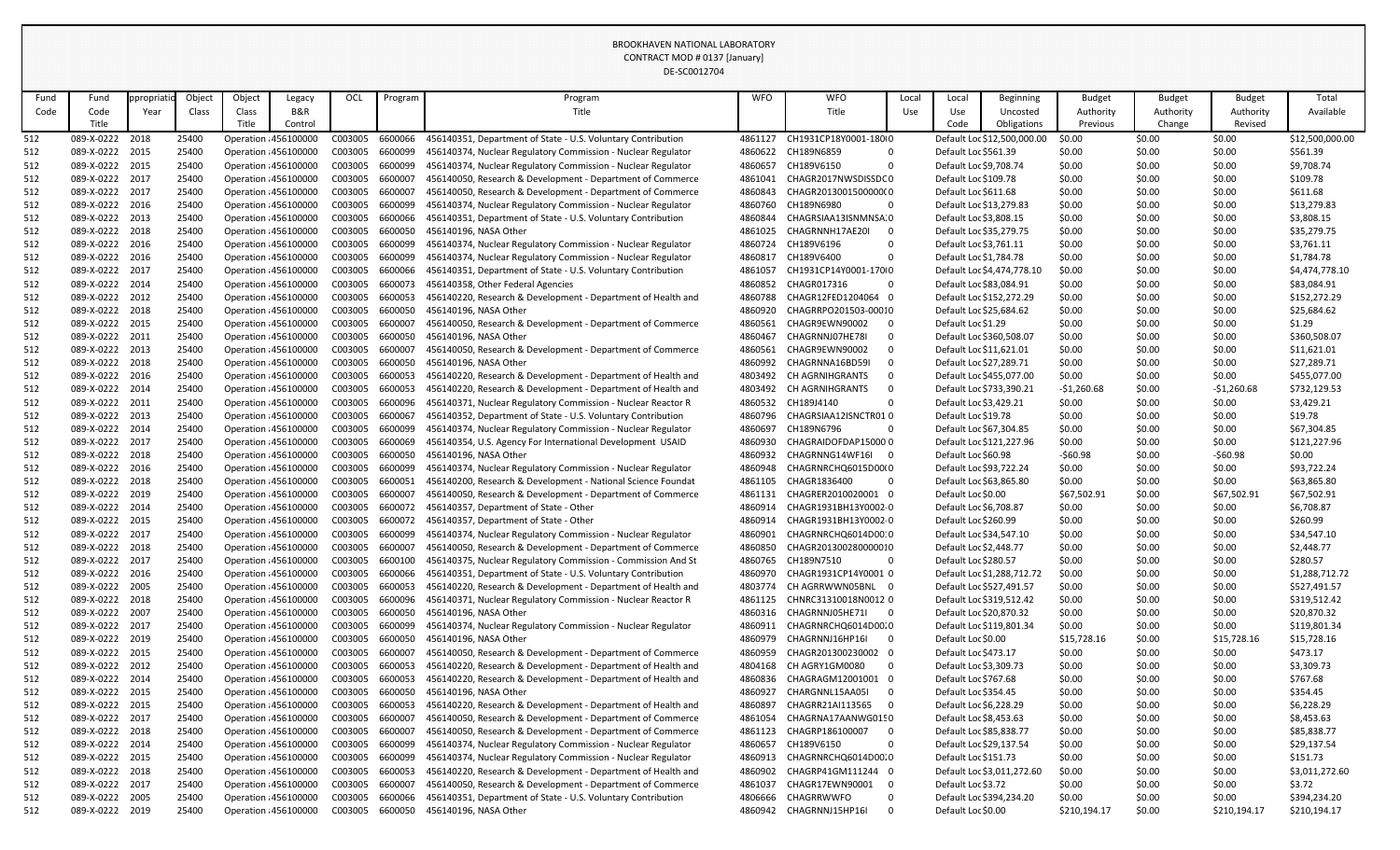|      |                 |           |        |                       |         |         |         | <b>DE-SC0012704</b>                                          |            |                                            |       |                          |                             |               |               |               |                 |
|------|-----------------|-----------|--------|-----------------------|---------|---------|---------|--------------------------------------------------------------|------------|--------------------------------------------|-------|--------------------------|-----------------------------|---------------|---------------|---------------|-----------------|
| Fund | Fund            | ppropriat | Object | Object                | Legacy  | OCL     | Program | Program                                                      | <b>WFO</b> | <b>WFO</b>                                 | Local | Local                    | Beginning                   | <b>Budget</b> | <b>Budget</b> | <b>Budget</b> | Total           |
| Code | Code            | Year      | Class  | Class                 | B&R     |         |         | Title                                                        |            | Title                                      | Use   | Use                      | Uncosted                    | Authority     | Authority     | Authority     | Available       |
|      | Title           |           |        | Title                 | Control |         |         |                                                              |            |                                            |       | Code                     | Obligations                 | Previous      | Change        | Revised       |                 |
| 512  | 089-X-0222      | 2018      | 25400  | Operation : 456100000 |         | C003005 | 6600066 | 456140351, Department of State - U.S. Voluntary Contribution | 4861127    | CH1931CP18Y0001-180(0                      |       |                          | Default Loc \$12,500,000.00 | \$0.00        | \$0.00        | \$0.00        | \$12,500,000.00 |
| 512  | 089-X-0222      | 2015      | 25400  | Operation : 456100000 |         | C003005 | 6600099 | 456140374, Nuclear Regulatory Commission - Nuclear Regulator | 4860622    | CH189N6859<br>$\mathbf 0$                  |       | Default Loc \$561.39     |                             | \$0.00        | \$0.00        | \$0.00        | \$561.39        |
| 512  | 089-X-0222 2015 |           | 25400  | Operation : 456100000 |         | C003005 | 6600099 | 456140374, Nuclear Regulatory Commission - Nuclear Regulator | 4860657    | CH189V6150<br>$\Omega$                     |       | Default Loc \$9,708.74   |                             | \$0.00        | \$0.00        | \$0.00        | \$9,708.74      |
| 512  | 089-X-0222 2017 |           | 25400  | Operation : 456100000 |         | C003005 | 6600007 | 456140050, Research & Development - Department of Commerce   | 4861041    | CHAGR2017NWSDISSDC0                        |       | Default Loc \$109.78     |                             | \$0.00        | \$0.00        | \$0.00        | \$109.78        |
| 512  | 089-X-0222 2017 |           | 25400  | Operation : 456100000 |         | C003005 | 6600007 | 456140050, Research & Development - Department of Commerce   | 4860843    | CHAGR2013001500000(0                       |       | Default Loc \$611.68     |                             | \$0.00        | \$0.00        | \$0.00        | \$611.68        |
| 512  | 089-X-0222 2016 |           | 25400  | Operation : 456100000 |         | C003005 | 6600099 | 456140374, Nuclear Regulatory Commission - Nuclear Regulator | 4860760    | CH189N6980<br>$\overline{0}$               |       | Default Loc \$13,279.83  |                             | \$0.00        | \$0.00        | \$0.00        | \$13,279.83     |
| 512  | 089-X-0222 2013 |           | 25400  | Operation : 456100000 |         | C003005 | 6600066 | 456140351, Department of State - U.S. Voluntary Contribution | 4860844    | CHAGRSIAA13ISNMNSA.0                       |       | Default Loc \$3,808.15   |                             | \$0.00        | \$0.00        | \$0.00        | \$3,808.15      |
| 512  | 089-X-0222      | 2018      | 25400  | Operation : 456100000 |         | C003005 | 6600050 | 456140196, NASA Other                                        | 4861025    | CHAGRNNH17AE20I<br>$\overline{0}$          |       | Default Loc \$35,279.75  |                             | \$0.00        | \$0.00        | \$0.00        | \$35,279.75     |
| 512  | 089-X-0222 2016 |           | 25400  | Operation : 456100000 |         | C003005 | 6600099 | 456140374, Nuclear Regulatory Commission - Nuclear Regulator | 4860724    | CH189V6196<br>$\Omega$                     |       | Default Loc \$3,761.11   |                             | \$0.00        | \$0.00        | \$0.00        | \$3,761.11      |
| 512  | 089-X-0222 2016 |           | 25400  | Operation : 456100000 |         | C003005 | 6600099 | 456140374, Nuclear Regulatory Commission - Nuclear Regulator | 4860817    | CH189V6400<br>0                            |       | Default Loc \$1,784.78   |                             | \$0.00        | \$0.00        | \$0.00        | \$1,784.78      |
| 512  | 089-X-0222      | 2017      | 25400  | Operation : 456100000 |         | C003005 | 6600066 | 456140351, Department of State - U.S. Voluntary Contribution | 4861057    | CH1931CP14Y0001-170(0                      |       |                          | Default Loc \$4,474,778.10  | \$0.00        | \$0.00        | \$0.00        | \$4,474,778.10  |
| 512  | 089-X-0222 2014 |           | 25400  | Operation : 456100000 |         | C003005 | 6600073 | 456140358, Other Federal Agencies                            | 4860852    | CHAGR017316<br>$\overline{0}$              |       | Default Loc \$83,084.91  |                             | \$0.00        | \$0.00        | \$0.00        | \$83,084.91     |
| 512  | 089-X-0222 2012 |           | 25400  | Operation : 456100000 |         | C003005 | 6600053 | 456140220, Research & Development - Department of Health and | 4860788    | CHAGR12FED1204064 0                        |       |                          | Default Loc \$152,272.29    | \$0.00        | \$0.00        | \$0.00        | \$152,272.29    |
| 512  | 089-X-0222 2018 |           | 25400  | Operation : 456100000 |         | C003005 | 6600050 | 456140196, NASA Other                                        | 4860920    | CHAGRRPO201503-00010                       |       | Default Loc \$25,684.62  |                             | \$0.00        | \$0.00        | \$0.00        | \$25,684.62     |
| 512  | 089-X-0222 2015 |           | 25400  | Operation : 456100000 |         | C003005 | 6600007 | 456140050, Research & Development - Department of Commerce   | 4860561    | CHAGR9EWN90002<br>- 0                      |       | Default Loc \$1.29       |                             | \$0.00        | \$0.00        | \$0.00        | \$1.29          |
| 512  | 089-X-0222      | 2011      | 25400  | Operation : 456100000 |         | C003005 | 6600050 | 456140196, NASA Other                                        | 4860467    | CHAGRNNJ07HE78I<br>$\overline{0}$          |       | Default Loc \$360,508.07 |                             | \$0.00        | \$0.00        | \$0.00        | \$360,508.07    |
| 512  | 089-X-0222 2013 |           | 25400  | Operation : 456100000 |         | C003005 | 6600007 | 456140050, Research & Development - Department of Commerce   | 4860561    | CHAGR9EWN90002<br>- 0                      |       | Default Loc \$11,621.01  |                             | \$0.00        | \$0.00        | \$0.00        | \$11,621.01     |
| 512  | 089-X-0222 2018 |           | 25400  | Operation : 456100000 |         | C003005 | 6600050 | 456140196, NASA Other                                        | 4860992    | CHAGRNNA16BD59I<br>- 0                     |       | Default Loc \$27,289.71  |                             | \$0.00        | \$0.00        | \$0.00        | \$27,289.71     |
| 512  | 089-X-0222 2016 |           | 25400  | Operation : 456100000 |         | C003005 | 6600053 | 456140220, Research & Development - Department of Health and | 4803492    | CH AGRNIHGRANTS<br>$\overline{0}$          |       |                          | Default Loc \$455,077.00    | \$0.00        | \$0.00        | \$0.00        | \$455,077.00    |
| 512  | 089-X-0222 2014 |           | 25400  | Operation : 456100000 |         | C003005 | 6600053 | 456140220, Research & Development - Department of Health and | 4803492    | CH AGRNIHGRANTS<br>- 0                     |       | Default Loc \$733,390.21 |                             | $-51,260.68$  | \$0.00        | $-51,260.68$  | \$732,129.53    |
| 512  | 089-X-0222 2011 |           | 25400  | Operation : 456100000 |         | C003005 | 6600096 | 456140371, Nuclear Regulatory Commission - Nuclear Reactor R | 4860532    | CH189J4140<br>0                            |       | Default Loc \$3,429.21   |                             | \$0.00        | \$0.00        | \$0.00        | \$3,429.21      |
| 512  | 089-X-0222      | 2013      | 25400  | Operation : 456100000 |         | C003005 | 6600067 | 456140352, Department of State - U.S. Voluntary Contribution | 4860796    | CHAGRSIAA12ISNCTR010                       |       | Default Loc \$19.78      |                             | \$0.00        | \$0.00        | \$0.00        | \$19.78         |
| 512  | 089-X-0222 2014 |           | 25400  | Operation : 456100000 |         | C003005 | 6600099 | 456140374, Nuclear Regulatory Commission - Nuclear Regulator | 4860697    | CH189N6796<br>$\Omega$                     |       | Default Loc \$67,304.85  |                             | \$0.00        | \$0.00        | \$0.00        | \$67,304.85     |
| 512  | 089-X-0222 2017 |           | 25400  | Operation : 456100000 |         | C003005 | 6600069 | 456140354, U.S. Agency For International Development USAID   | 4860930    | CHAGRAIDOFDAP150000                        |       |                          | Default Loc \$121,227.96    | \$0.00        | \$0.00        | \$0.00        | \$121,227.96    |
| 512  | 089-X-0222 2018 |           | 25400  | Operation : 456100000 |         | C003005 | 6600050 | 456140196, NASA Other                                        | 4860932    | CHAGRNNG14WF16I 0                          |       | Default Loc \$60.98      |                             | $-560.98$     | \$0.00        | $-560.98$     | \$0.00          |
| 512  | 089-X-0222 2016 |           | 25400  | Operation : 456100000 |         | C003005 | 6600099 | 456140374, Nuclear Regulatory Commission - Nuclear Regulator | 4860948    | CHAGRNRCHQ6015D00(0                        |       | Default Loc \$93,722.24  |                             | \$0.00        | \$0.00        | \$0.00        | \$93,722.24     |
| 512  | 089-X-0222      | 2018      | 25400  | Operation : 456100000 |         | C003005 | 6600051 | 456140200, Research & Development - National Science Foundat | 4861105    | CHAGR1836400<br>$\Omega$                   |       | Default Loc \$63,865.80  |                             | \$0.00        | \$0.00        | \$0.00        | \$63,865.80     |
| 512  | 089-X-0222 2019 |           | 25400  | Operation : 456100000 |         | C003005 | 6600007 | 456140050, Research & Development - Department of Commerce   | 4861131    | CHAGRER2010020001 0                        |       | Default Loc \$0.00       |                             | \$67,502.91   | \$0.00        | \$67,502.91   | \$67,502.91     |
| 512  | 089-X-0222 2014 |           | 25400  | Operation : 456100000 |         | C003005 | 6600072 | 456140357, Department of State - Other                       | 4860914    | CHAGR1931BH13Y0002-0                       |       | Default Loc \$6,708.87   |                             | \$0.00        | \$0.00        | \$0.00        | \$6,708.87      |
| 512  | 089-X-0222 2015 |           | 25400  | Operation : 456100000 |         | C003005 | 6600072 | 456140357, Department of State - Other                       | 4860914    | CHAGR1931BH13Y0002 0                       |       | Default Loc \$260.99     |                             | \$0.00        | \$0.00        | \$0.00        | \$260.99        |
| 512  | 089-X-0222 2017 |           | 25400  | Operation : 456100000 |         | C003005 | 6600099 | 456140374, Nuclear Regulatory Commission - Nuclear Regulator | 4860901    | CHAGRNRCHQ6014D0010                        |       | Default Loc \$34,547.10  |                             | \$0.00        | \$0.00        | \$0.00        | \$34,547.10     |
| 512  | 089-X-0222 2018 |           | 25400  | Operation : 456100000 |         | C003005 | 6600007 | 456140050, Research & Development - Department of Commerce   | 4860850    | CHAGR201300280000010                       |       | Default Loc \$2,448.77   |                             | \$0.00        | \$0.00        | \$0.00        | \$2,448.77      |
| 512  | 089-X-0222 2017 |           | 25400  | Operation : 456100000 |         | C003005 | 6600100 | 456140375, Nuclear Regulatory Commission - Commission And St | 4860765    | CH189N7510<br>$\overline{0}$               |       | Default Loc \$280.57     |                             | \$0.00        | \$0.00        | \$0.00        | \$280.57        |
| 512  | 089-X-0222 2016 |           | 25400  | Operation : 456100000 |         | C003005 | 6600066 | 456140351, Department of State - U.S. Voluntary Contribution | 4860970    | CHAGR1931CP14Y0001 0                       |       |                          | Default Loc \$1,288,712.72  | \$0.00        | \$0.00        | \$0.00        | \$1,288,712.72  |
| 512  | 089-X-0222 2005 |           | 25400  | Operation : 456100000 |         | C003005 | 6600053 | 456140220, Research & Development - Department of Health and | 4803774    | CH AGRRWWN05BNL 0                          |       | Default Loc \$527,491.57 |                             | \$0.00        | \$0.00        | \$0.00        | \$527,491.57    |
| 512  | 089-X-0222 2018 |           | 25400  | Operation : 456100000 |         | C003005 | 6600096 | 456140371, Nuclear Regulatory Commission - Nuclear Reactor R | 4861125    | CHNRC31310018N0012 0                       |       | Default Loc \$319,512.42 |                             | \$0.00        | \$0.00        | \$0.00        | \$319,512.42    |
| 512  | 089-X-0222 2007 |           | 25400  | Operation : 456100000 |         | C003005 | 6600050 | 456140196, NASA Other                                        | 4860316    | CHAGRNNJ05HE71I<br>- 0                     |       | Default Loc \$20,870.32  |                             | \$0.00        | \$0.00        | \$0.00        | \$20,870.32     |
| 512  | 089-X-0222 2017 |           | 25400  | Operation : 456100000 |         | C003005 | 6600099 | 456140374, Nuclear Regulatory Commission - Nuclear Regulator | 4860911    | CHAGRNRCHQ6014D00.0                        |       |                          | Default Loc \$119,801.34    | \$0.00        | \$0.00        | \$0.00        | \$119,801.34    |
| 512  | 089-X-0222 2019 |           | 25400  | Operation : 456100000 |         | C003005 | 6600050 | 456140196, NASA Other                                        | 4860979    | CHAGRNNJ16HP16I<br>$\overline{\mathbf{0}}$ |       | Default Loc \$0.00       |                             | \$15,728.16   | \$0.00        | \$15,728.16   | \$15,728.16     |
| 512  | 089-X-0222 2015 |           | 25400  | Operation : 456100000 |         | C003005 | 6600007 | 456140050, Research & Development - Department of Commerce   | 4860959    | CHAGR201300230002 0                        |       | Default Loc \$473.17     |                             | \$0.00        | \$0.00        | \$0.00        | \$473.17        |
| 512  | 089-X-0222 2012 |           | 25400  | Operation : 456100000 |         | C003005 | 6600053 | 456140220, Research & Development - Department of Health and | 4804168    | CH AGRY1GM0080<br>$\overline{0}$           |       | Default Loc \$3,309.73   |                             | \$0.00        | \$0.00        | \$0.00        | \$3,309.73      |
| 512  | 089-X-0222 2014 |           | 25400  | Operation : 456100000 |         | C003005 | 6600053 | 456140220, Research & Development - Department of Health and | 4860836    | CHAGRAGM12001001 0                         |       | Default Loc \$767.68     |                             | \$0.00        | \$0.00        | \$0.00        | \$767.68        |
| 512  | 089-X-0222 2015 |           | 25400  | Operation : 456100000 |         | C003005 | 6600050 | 456140196, NASA Other                                        | 4860927    | CHARGNNL15AA05I<br>$\overline{0}$          |       | Default Loc \$354.45     |                             | \$0.00        | \$0.00        | \$0.00        | \$354.45        |
| 512  | 089-X-0222 2015 |           | 25400  | Operation : 456100000 |         | C003005 | 6600053 | 456140220, Research & Development - Department of Health and | 4860897    | CHAGRR21AI113565<br>- 0                    |       | Default Loc \$6,228.29   |                             | \$0.00        | \$0.00        | \$0.00        | \$6,228.29      |
| 512  | 089-X-0222 2017 |           | 25400  | Operation : 456100000 |         | C003005 | 6600007 | 456140050, Research & Development - Department of Commerce   | 4861054    | CHAGRNA17AANWG0150                         |       | Default Loc \$8,453.63   |                             | \$0.00        | \$0.00        | \$0.00        | \$8,453.63      |
| 512  | 089-X-0222 2018 |           | 25400  | Operation : 456100000 |         | C003005 | 6600007 | 456140050, Research & Development - Department of Commerce   | 4861123    | CHAGRP186100007<br>$\overline{0}$          |       | Default Loc \$85,838.77  |                             | \$0.00        | \$0.00        | \$0.00        | \$85,838.77     |
| 512  | 089-X-0222 2014 |           | 25400  | Operation : 456100000 |         | C003005 | 6600099 | 456140374, Nuclear Regulatory Commission - Nuclear Regulator | 4860657    | CH189V6150<br>$\mathbf 0$                  |       | Default Loc \$29,137.54  |                             | \$0.00        | \$0.00        | \$0.00        | \$29,137.54     |
| 512  | 089-X-0222 2015 |           | 25400  | Operation : 456100000 |         | C003005 | 6600099 | 456140374, Nuclear Regulatory Commission - Nuclear Regulator | 4860913    | CHAGRNRCHQ6014D00.0                        |       | Default Loc \$151.73     |                             | \$0.00        | \$0.00        | \$0.00        | \$151.73        |
| 512  | 089-X-0222 2018 |           | 25400  | Operation : 456100000 |         | C003005 | 6600053 | 456140220, Research & Development - Department of Health and | 4860902    | CHAGRP41GM111244 0                         |       |                          | Default Loc \$3,011,272.60  | \$0.00        | \$0.00        | \$0.00        | \$3,011,272.60  |
| 512  | 089-X-0222 2017 |           | 25400  | Operation : 456100000 |         | C003005 | 6600007 | 456140050, Research & Development - Department of Commerce   | 4861037    | CHAGR17EWN90001<br>- 0                     |       | Default Loc \$3.72       |                             | \$0.00        | \$0.00        | \$0.00        | \$3.72          |
| 512  | 089-X-0222 2005 |           | 25400  | Operation : 456100000 |         | C003005 | 6600066 | 456140351, Department of State - U.S. Voluntary Contribution | 4806666    | CHAGRRWWFO<br>0                            |       |                          | Default Loc \$394,234.20    | \$0.00        | \$0.00        | \$0.00        | \$394,234.20    |
| 512  | 089-X-0222 2019 |           | 25400  | Operation : 456100000 |         | C003005 | 6600050 | 456140196, NASA Other                                        | 4860942    | CHAGRNNJ15HP16I<br>$\mathbf{0}$            |       | Default Loc \$0.00       |                             | \$210,194.17  | \$0.00        | \$210,194.17  | \$210,194.17    |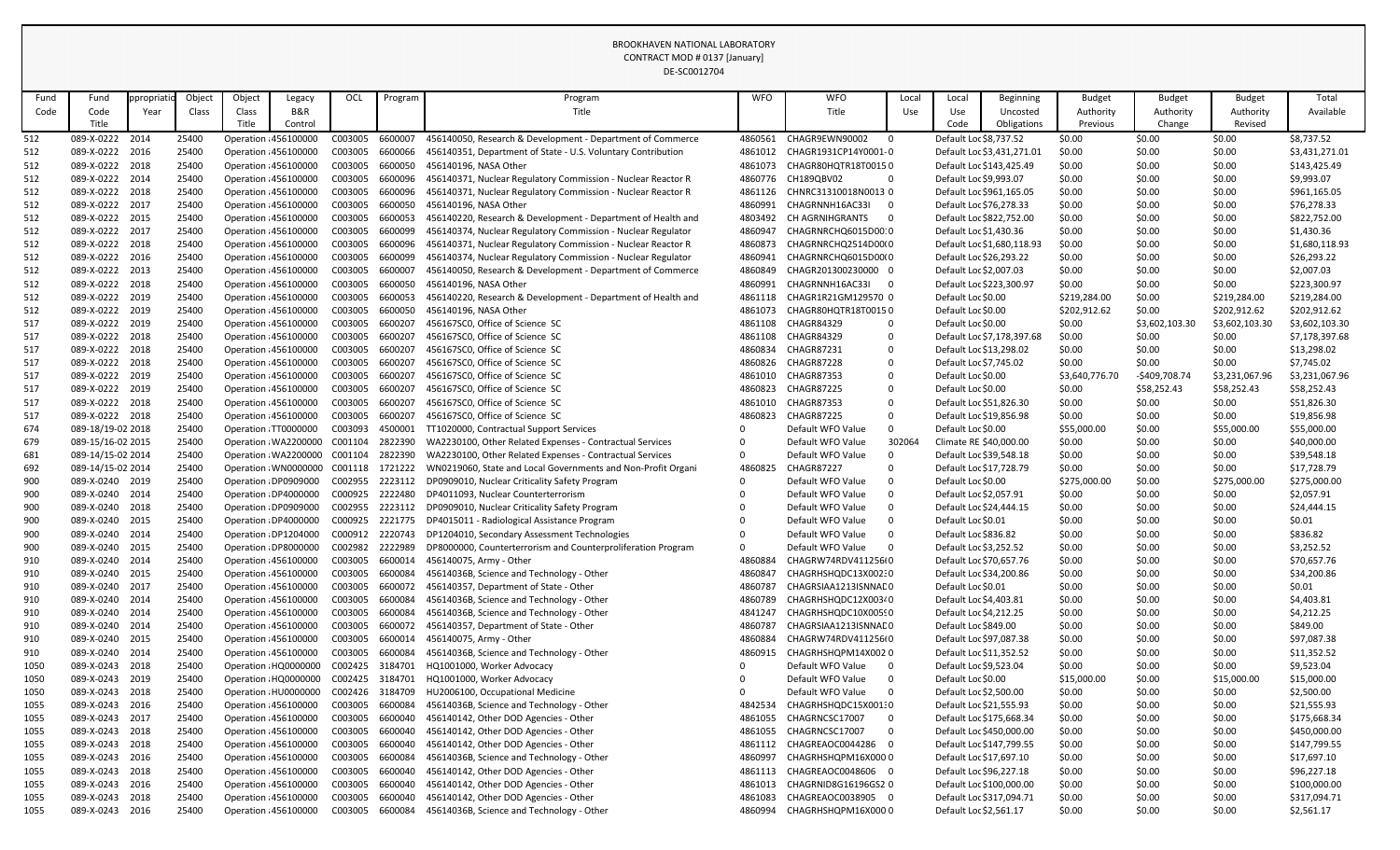|            |                                    |            |                |                       |                                                |                    |                    | DE-SC0012704                                                                            |                     |                                            |                |                                                   |                            |                  |                  |                  |                           |
|------------|------------------------------------|------------|----------------|-----------------------|------------------------------------------------|--------------------|--------------------|-----------------------------------------------------------------------------------------|---------------------|--------------------------------------------|----------------|---------------------------------------------------|----------------------------|------------------|------------------|------------------|---------------------------|
| Fund       | Fund                               | ppropriati | Object         | Object                | Legacy                                         | OCL                | Program            | Program                                                                                 | <b>WFO</b>          | <b>WFO</b>                                 | Local          | Local                                             | Beginning                  | <b>Budget</b>    | <b>Budget</b>    | <b>Budget</b>    | Total                     |
| Code       | Code                               | Year       | Class          | Class                 | B&R                                            |                    |                    | Title                                                                                   |                     | Title                                      | Use            | Use                                               | Uncosted                   | Authority        | Authority        | Authority        | Available                 |
|            | Title                              |            |                | Title                 | Control                                        |                    |                    |                                                                                         |                     |                                            |                | Code                                              | Obligations                | Previous         | Change           | Revised          |                           |
| 512        | 089-X-0222                         | 2014       | 25400          | Operation : 456100000 |                                                | C003005            | 6600007            | 456140050, Research & Development - Department of Commerce                              | 4860561             | CHAGR9EWN90002                             | $\overline{0}$ | Default Loc \$8,737.52                            |                            | \$0.00           | \$0.00           | \$0.00           | \$8,737.52                |
| 512        | 089-X-0222 2016                    |            | 25400          | Operation : 456100000 |                                                | C003005            | 6600066            | 456140351, Department of State - U.S. Voluntary Contribution                            | 4861012             | CHAGR1931CP14Y0001-0                       |                |                                                   | Default Loc \$3,431,271.01 | \$0.00           | \$0.00           | \$0.00           | \$3,431,271.01            |
| 512        | 089-X-0222 2018                    |            | 25400          |                       | Operation : 456100000                          | C003005            | 6600050            | 456140196, NASA Other                                                                   | 4861073             | CHAGR80HQTR18T00150                        |                |                                                   | Default Loc \$143,425.49   | \$0.00           | \$0.00           | \$0.00           | \$143,425.49              |
| 512        | 089-X-0222 2014                    |            | 25400          | Operation : 456100000 |                                                | C003005            | 6600096            | 456140371, Nuclear Regulatory Commission - Nuclear Reactor R                            | 4860776             | CH189QBV02                                 | $\mathbf{0}$   | Default Loc \$9,993.07                            |                            | \$0.00           | \$0.00           | \$0.00           | \$9,993.07                |
| 512        | 089-X-0222 2018                    |            | 25400          | Operation : 456100000 |                                                | C003005            | 6600096            | 456140371, Nuclear Regulatory Commission - Nuclear Reactor R                            | 4861126             | CHNRC31310018N0013 0                       |                |                                                   | Default Loc \$961,165.05   | \$0.00           | \$0.00           | \$0.00           | \$961,165.05              |
| 512        | 089-X-0222 2017                    |            | 25400          |                       | Operation : 456100000                          | C003005            | 6600050            | 456140196, NASA Other                                                                   | 4860991             | CHAGRNNH16AC33I                            | - 0            | Default Loc \$76,278.33                           |                            | \$0.00           | \$0.00           | \$0.00           | \$76,278.33               |
| 512        | 089-X-0222 2015                    |            | 25400          | Operation : 456100000 |                                                | C003005            | 6600053            | 456140220, Research & Development - Department of Health and                            | 4803492             | CH AGRNIHGRANTS                            | $\overline{0}$ |                                                   | Default Loc \$822,752.00   | \$0.00           | \$0.00           | \$0.00           | \$822,752.00              |
| 512        | 089-X-0222 2017                    |            | 25400          | Operation : 456100000 |                                                | C003005            | 6600099            | 456140374, Nuclear Regulatory Commission - Nuclear Regulator                            | 4860947             | CHAGRNRCHQ6015D0010                        |                | Default Loc \$1,430.36                            |                            | \$0.00           | \$0.00           | \$0.00           | \$1,430.36                |
| 512        | 089-X-0222 2018                    |            | 25400          |                       | Operation : 456100000                          | C003005            | 6600096            | 456140371, Nuclear Regulatory Commission - Nuclear Reactor R                            | 4860873             | CHAGRNRCHQ2514D00(0                        |                |                                                   | Default Loc \$1,680,118.93 | \$0.00           | \$0.00           | \$0.00           | \$1,680,118.93            |
| 512        | 089-X-0222 2016<br>089-X-0222 2013 |            | 25400<br>25400 | Operation : 456100000 |                                                | C003005<br>C003005 | 6600099<br>6600007 | 456140374, Nuclear Regulatory Commission - Nuclear Regulator                            | 4860941<br>4860849  | CHAGRNRCHQ6015D00(0<br>CHAGR201300230000 0 |                | Default Loc \$26,293.22<br>Default Loc \$2,007.03 |                            | \$0.00<br>\$0.00 | \$0.00<br>\$0.00 | \$0.00<br>\$0.00 | \$26,293.22<br>\$2,007.03 |
| 512<br>512 | 089-X-0222 2018                    |            | 25400          | Operation : 456100000 | Operation : 456100000                          | C003005            | 6600050            | 456140050, Research & Development - Department of Commerce<br>456140196, NASA Other     | 4860991             | CHAGRNNH16AC33I                            | - 0            |                                                   | Default Loc \$223,300.97   | \$0.00           | \$0.00           | \$0.00           | \$223,300.97              |
| 512        | 089-X-0222 2019                    |            | 25400          | Operation : 456100000 |                                                | C003005            | 6600053            | 456140220, Research & Development - Department of Health and                            | 4861118             | CHAGR1R21GM129570 0                        |                | Default Loc \$0.00                                |                            | \$219,284.00     | \$0.00           | \$219,284.00     | \$219,284.00              |
| 512        | 089-X-0222 2019                    |            | 25400          | Operation : 456100000 |                                                | C003005            | 6600050            | 456140196, NASA Other                                                                   | 4861073             | CHAGR80HQTR18T00150                        |                | Default Loc \$0.00                                |                            | \$202,912.62     | \$0.00           | \$202,912.62     | \$202,912.62              |
| 517        | 089-X-0222 2019                    |            | 25400          |                       | Operation : 456100000                          | C003005            | 6600207            | 456167SC0, Office of Science SC                                                         | 4861108             | <b>CHAGR84329</b>                          | $\mathbf 0$    | Default Loc \$0.00                                |                            | \$0.00           | \$3,602,103.30   | \$3,602,103.30   | \$3,602,103.30            |
| 517        | 089-X-0222 2018                    |            | 25400          | Operation : 456100000 |                                                | C003005            | 6600207            | 456167SC0, Office of Science SC                                                         | 4861108             | <b>CHAGR84329</b>                          | 0              |                                                   | Default Loc \$7,178,397.68 | \$0.00           | \$0.00           | \$0.00           | \$7,178,397.68            |
| 517        | 089-X-0222 2018                    |            | 25400          |                       | Operation : 456100000                          | C003005            | 6600207            | 456167SC0, Office of Science SC                                                         | 4860834             | <b>CHAGR87231</b>                          | $\mathbf 0$    | Default Loc \$13,298.02                           |                            | \$0.00           | \$0.00           | \$0.00           | \$13,298.02               |
| 517        | 089-X-0222 2018                    |            | 25400          | Operation : 456100000 |                                                | C003005            | 6600207            | 456167SC0, Office of Science SC                                                         | 4860826             | CHAGR87228                                 | 0              | Default Loc \$7,745.02                            |                            | \$0.00           | \$0.00           | \$0.00           | \$7,745.02                |
| 517        | 089-X-0222 2019                    |            | 25400          |                       | Operation : 456100000                          | C003005            | 6600207            | 456167SC0, Office of Science SC                                                         | 4861010             | <b>CHAGR87353</b>                          | $\mathbf 0$    | Default Loc \$0.00                                |                            | \$3,640,776.70   | -\$409,708.74    | \$3,231,067.96   | \$3,231,067.96            |
| 517        | 089-X-0222 2019                    |            | 25400          |                       | Operation : 456100000                          | C003005            | 6600207            | 456167SC0, Office of Science SC                                                         | 4860823             | <b>CHAGR87225</b>                          | 0              | Default Loc \$0.00                                |                            | \$0.00           | \$58,252.43      | \$58,252.43      | \$58,252.43               |
| 517        | 089-X-0222 2018                    |            | 25400          | Operation : 456100000 |                                                | C003005            | 6600207            | 456167SC0, Office of Science SC                                                         | 4861010             | <b>CHAGR87353</b>                          | $\mathbf 0$    | Default Loc \$51,826.30                           |                            | \$0.00           | \$0.00           | \$0.00           | \$51,826.30               |
| 517        | 089-X-0222 2018                    |            | 25400          | Operation : 456100000 |                                                | C003005            | 6600207            | 456167SC0, Office of Science SC                                                         | 4860823             | <b>CHAGR87225</b>                          | $\mathbf 0$    | Default Loc \$19,856.98                           |                            | \$0.00           | \$0.00           | \$0.00           | \$19,856.98               |
| 674        | 089-18/19-02 2018                  |            | 25400          |                       | Operation : TT0000000                          | C003093            | 4500001            | TT1020000, Contractual Support Services                                                 |                     | Default WFO Value                          | $\Omega$       | Default Loc \$0.00                                |                            | \$55,000.00      | \$0.00           | \$55,000.00      | \$55,000.00               |
| 679        | 089-15/16-02 2015                  |            | 25400          |                       | Operation : WA2200000                          | C001104            | 2822390            | WA2230100, Other Related Expenses - Contractual Services                                | 0                   | Default WFO Value                          | 302064         | Climate RE \$40,000.00                            |                            | \$0.00           | \$0.00           | \$0.00           | \$40,000.00               |
| 681        | 089-14/15-02 2014                  |            | 25400          |                       | Operation : WA2200000                          | C001104            | 2822390            | WA2230100, Other Related Expenses - Contractual Services                                | 0                   | Default WFO Value                          | 0              | Default Loc \$39,548.18                           |                            | \$0.00           | \$0.00           | \$0.00           | \$39,548.18               |
| 692        | 089-14/15-02 2014                  |            | 25400          |                       | Operation: WN0000000                           | C001118            | 1721222            | WN0219060, State and Local Governments and Non-Profit Organi                            | 4860825             | <b>CHAGR87227</b>                          | $\Omega$       | Default Loc \$17,728.79                           |                            | \$0.00           | \$0.00           | \$0.00           | \$17,728.79               |
| 900        | 089-X-0240 2019                    |            | 25400          |                       | Operation: DP0909000                           | C002955            | 2223112            | DP0909010, Nuclear Criticality Safety Program                                           | $\Omega$            | Default WFO Value                          | $\Omega$       | Default Loc \$0.00                                |                            | \$275,000.00     | \$0.00           | \$275,000.00     | \$275,000.00              |
| 900        | 089-X-0240 2014                    |            | 25400          |                       | Operation: DP4000000                           | C000925            | 2222480            | DP4011093, Nuclear Counterterrorism                                                     |                     | Default WFO Value                          | - 0            | Default Loc \$2,057.91                            |                            | \$0.00           | \$0.00           | \$0.00           | \$2,057.91                |
| 900        | 089-X-0240 2018                    |            | 25400          |                       | Operation : DP0909000                          | C002955            | 2223112            | DP0909010, Nuclear Criticality Safety Program                                           |                     | Default WFO Value                          | $\mathbf 0$    | Default Loc \$24,444.15                           |                            | \$0.00           | \$0.00           | \$0.00           | \$24,444.15               |
| 900        | 089-X-0240 2015                    |            | 25400          |                       | Operation : DP4000000                          | C000925            | 2221775            | DP4015011 - Radiological Assistance Program                                             |                     | Default WFO Value                          | -0             | Default Loc \$0.01                                |                            | \$0.00           | \$0.00           | \$0.00           | \$0.01                    |
| 900        | 089-X-0240 2014                    |            | 25400          |                       | Operation : DP1204000                          |                    | C000912 2220743    | DP1204010, Secondary Assessment Technologies                                            | $\Omega$            | Default WFO Value                          | 0              | Default Loc \$836.82                              |                            | \$0.00           | \$0.00           | \$0.00           | \$836.82                  |
| 900<br>910 | 089-X-0240 2015<br>089-X-0240 2014 |            | 25400<br>25400 |                       | Operation : DP8000000<br>Operation : 456100000 | C002982<br>C003005 | 2222989<br>6600014 | DP8000000, Counterterrorism and Counterproliferation Program<br>456140075, Army - Other | $\Omega$<br>4860884 | Default WFO Value<br>CHAGRW74RDV411256(0   | $\overline{0}$ | Default Loc \$3,252.52<br>Default Loc \$70,657.76 |                            | \$0.00<br>\$0.00 | \$0.00<br>\$0.00 | \$0.00<br>\$0.00 | \$3,252.52<br>\$70,657.76 |
| 910        | 089-X-0240 2015                    |            | 25400          |                       | Operation : 456100000                          | C003005            | 6600084            | 45614036B, Science and Technology - Other                                               | 4860847             | CHAGRHSHQDC13X002.0                        |                | Default Loc \$34,200.86                           |                            | \$0.00           | \$0.00           | \$0.00           | \$34,200.86               |
| 910        | 089-X-0240 2017                    |            | 25400          | Operation : 456100000 |                                                | C003005            | 6600072            | 456140357, Department of State - Other                                                  | 4860787             | CHAGRSIAA1213ISNNAE0                       |                | Default Loc \$0.01                                |                            | \$0.00           | \$0.00           | \$0.00           | \$0.01                    |
| 910        | 089-X-0240 2014                    |            | 25400          | Operation : 456100000 |                                                | C003005            | 6600084            | 45614036B, Science and Technology - Other                                               | 4860789             | CHAGRHSHQDC12X00340                        |                | Default Loc \$4,403.81                            |                            | \$0.00           | \$0.00           | \$0.00           | \$4,403.81                |
| 910        | 089-X-0240 2014                    |            | 25400          |                       | Operation : 456100000                          | C003005            | 6600084            | 45614036B, Science and Technology - Other                                               | 4841247             | CHAGRHSHQDC10X00590                        |                | Default Loc \$4,212.25                            |                            | \$0.00           | \$0.00           | \$0.00           | \$4,212.25                |
| 910        | 089-X-0240 2014                    |            | 25400          | Operation : 456100000 |                                                | C003005            | 6600072            | 456140357, Department of State - Other                                                  | 4860787             | CHAGRSIAA1213ISNNAE0                       |                | Default Loc \$849.00                              |                            | \$0.00           | \$0.00           | \$0.00           | \$849.00                  |
| 910        | 089-X-0240 2015                    |            | 25400          | Operation : 456100000 |                                                | C003005            | 6600014            | 456140075, Army - Other                                                                 | 4860884             | CHAGRW74RDV411256(0                        |                | Default Loc \$97,087.38                           |                            | \$0.00           | \$0.00           | \$0.00           | \$97,087.38               |
| 910        | 089-X-0240 2014                    |            | 25400          |                       | Operation : 456100000                          | C003005            | 6600084            | 45614036B, Science and Technology - Other                                               | 4860915             | CHAGRHSHQPM14X0020                         |                | Default Loc \$11,352.52                           |                            | \$0.00           | \$0.00           | \$0.00           | \$11,352.52               |
| 1050       | 089-X-0243 2018                    |            | 25400          |                       | Operation : HQ0000000                          | C002425            | 3184701            | HQ1001000, Worker Advocacy                                                              |                     | Default WFO Value                          | -0             | Default Loc \$9,523.04                            |                            | \$0.00           | \$0.00           | \$0.00           | \$9,523.04                |
| 1050       | 089-X-0243 2019                    |            | 25400          |                       | Operation : HQ0000000                          | C002425 3184701    |                    | HQ1001000, Worker Advocacy                                                              |                     | Default WFO Value                          | $\mathbf{0}$   | Default Loc \$0.00                                |                            | \$15,000.00      | \$0.00           | \$15,000.00      | \$15,000.00               |
| 1050       | 089-X-0243 2018                    |            | 25400          |                       | Operation : HU0000000                          | C002426            | 3184709            | HU2006100, Occupational Medicine                                                        | $\Omega$            | Default WFO Value                          | $\mathbf{0}$   | Default Loc \$2,500.00                            |                            | \$0.00           | \$0.00           | \$0.00           | \$2,500.00                |
| 1055       | 089-X-0243 2016                    |            | 25400          |                       | Operation : 456100000                          | C003005            | 6600084            | 45614036B, Science and Technology - Other                                               | 4842534             | CHAGRHSHQDC15X00110                        |                | Default Loc \$21,555.93                           |                            | \$0.00           | \$0.00           | \$0.00           | \$21,555.93               |
| 1055       | 089-X-0243 2017                    |            | 25400          |                       | Operation : 456100000                          | C003005            | 6600040            | 456140142, Other DOD Agencies - Other                                                   | 4861055             | CHAGRNCSC17007                             | - 0            |                                                   | Default Loc \$175,668.34   | \$0.00           | \$0.00           | \$0.00           | \$175,668.34              |
| 1055       | 089-X-0243 2018                    |            | 25400          | Operation : 456100000 |                                                | C003005            | 6600040            | 456140142, Other DOD Agencies - Other                                                   | 4861055             | CHAGRNCSC17007                             | $\mathbf{0}$   |                                                   | Default Loc \$450,000.00   | \$0.00           | \$0.00           | \$0.00           | \$450,000.00              |
| 1055       | 089-X-0243 2018                    |            | 25400          |                       | Operation : 456100000                          | C003005            | 6600040            | 456140142, Other DOD Agencies - Other                                                   | 4861112             | CHAGREAOC0044286 0                         |                |                                                   | Default Loc \$147,799.55   | \$0.00           | \$0.00           | \$0.00           | \$147,799.55              |
| 1055       | 089-X-0243 2016                    |            | 25400          |                       | Operation : 456100000                          | C003005            | 6600084            | 45614036B, Science and Technology - Other                                               | 4860997             | CHAGRHSHQPM16X0000                         |                | Default Loc \$17,697.10                           |                            | \$0.00           | \$0.00           | \$0.00           | \$17,697.10               |
| 1055       | 089-X-0243 2018                    |            | 25400          | Operation : 456100000 |                                                | C003005            | 6600040            | 456140142, Other DOD Agencies - Other                                                   | 4861113             | CHAGREAOC0048606 0                         |                | Default Loc \$96,227.18                           |                            | \$0.00           | \$0.00           | \$0.00           | \$96,227.18               |
| 1055       | 089-X-0243 2016                    |            | 25400          |                       | Operation : 456100000                          | C003005            | 6600040            | 456140142, Other DOD Agencies - Other                                                   | 4861013             | CHAGRNID8G16196GS2 0                       |                | Default Loc \$100,000.00                          |                            | \$0.00           | \$0.00           | \$0.00           | \$100,000.00              |
| 1055       | 089-X-0243 2018                    |            | 25400          |                       | Operation : 456100000                          | C003005            | 6600040            | 456140142, Other DOD Agencies - Other                                                   | 4861083             | CHAGREAOC0038905 0                         |                | Default Loc \$317,094.71                          |                            | \$0.00           | \$0.00           | \$0.00           | \$317,094.71              |
| 1055       | 089-X-0243 2016                    |            | 25400          |                       | Operation: 456100000                           | C003005            | 6600084            | 45614036B, Science and Technology - Other                                               | 4860994             | CHAGRHSHQPM16X0000                         |                | Default Loc \$2,561.17                            |                            | \$0.00           | \$0.00           | \$0.00           | \$2,561.17                |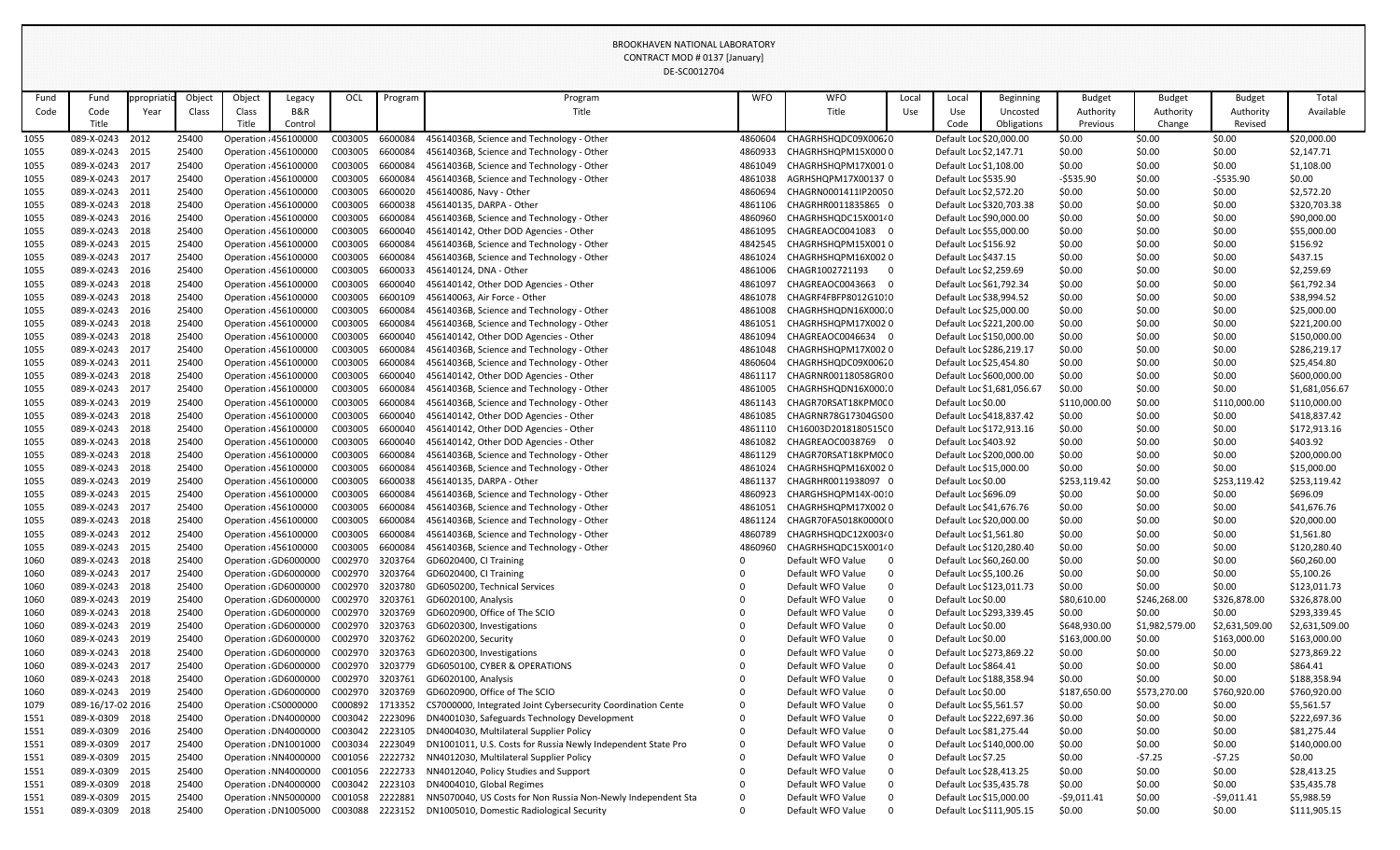|              |                                    |            |                |                                                |                                                |                            |                    | DE-SCOUTZ704                                                                                            |                    |                                                            |       |                                                    |                            |                  |                    |                    |                            |
|--------------|------------------------------------|------------|----------------|------------------------------------------------|------------------------------------------------|----------------------------|--------------------|---------------------------------------------------------------------------------------------------------|--------------------|------------------------------------------------------------|-------|----------------------------------------------------|----------------------------|------------------|--------------------|--------------------|----------------------------|
| Fund         | Fund                               | ppropriati | Object         | Object                                         | Legacy                                         | OCL                        | Program            | Program                                                                                                 | <b>WFO</b>         | <b>WFO</b>                                                 | Local | Local                                              | <b>Beginning</b>           | <b>Budget</b>    | <b>Budget</b>      | <b>Budget</b>      | Total                      |
| Code         | Code                               | Year       | Class          | Class                                          | B&R                                            |                            |                    | Title                                                                                                   |                    | Title                                                      | Use   | Use                                                | Uncosted                   | Authority        | Authority          | Authority          | Available                  |
|              | Title                              |            |                | Title                                          | Control                                        |                            |                    |                                                                                                         |                    |                                                            |       | Code                                               | Obligations                | Previous         | Change             | Revised            |                            |
| 1055         | 089-X-0243 2012                    |            | 25400          | Operation : 456100000                          |                                                | C003005                    | 6600084            | 45614036B, Science and Technology - Other                                                               | 4860604            | CHAGRHSHQDC09X00620                                        |       | Default Loc \$20,000.00                            |                            | \$0.00           | \$0.00             | \$0.00             | \$20,000.00                |
| 1055         | 089-X-0243                         | 2015       | 25400          | Operation : 456100000                          |                                                | C003005                    | 6600084            | 45614036B, Science and Technology - Other                                                               | 4860933            | CHAGRHSHQPM15X0000                                         |       | Default Loc \$2,147.71                             |                            | \$0.00           | \$0.00             | \$0.00             | \$2,147.71                 |
| 1055         | 089-X-0243 2017                    |            | 25400          | Operation : 456100000                          |                                                | C003005                    | 6600084            | 45614036B, Science and Technology - Other                                                               | 4861049            | CHAGRHSHQPM17X0010                                         |       | Default Loc \$1,108.00                             |                            | \$0.00           | \$0.00             | \$0.00             | \$1,108.00                 |
| 1055         | 089-X-0243 2017                    |            | 25400          | Operation : 456100000                          |                                                | C003005                    | 6600084            | 45614036B, Science and Technology - Other                                                               | 4861038            | AGRHSHQPM17X00137 0                                        |       | Default Loc \$535.90                               |                            | $-5535.90$       | \$0.00             | $-5535.90$         | \$0.00                     |
| 1055         | 089-X-0243 2011                    |            | 25400          | Operation : 456100000                          |                                                | C003005                    | 6600020            | 456140086, Navy - Other                                                                                 | 4860694            | CHAGRN0001411IP20050                                       |       | Default Loc \$2,572.20                             |                            | \$0.00           | \$0.00             | \$0.00             | \$2,572.20                 |
| 1055         | 089-X-0243 2018                    |            | 25400          | Operation : 456100000                          |                                                | C003005                    | 6600038            | 456140135, DARPA - Other                                                                                | 4861106            | CHAGRHR0011835865 0                                        |       |                                                    | Default Loc \$320,703.38   | \$0.00           | \$0.00             | \$0.00             | \$320,703.38               |
| 1055         | 089-X-0243 2016                    |            | 25400          | Operation : 456100000                          |                                                | C003005                    | 6600084            | 45614036B, Science and Technology - Other                                                               | 4860960            | CHAGRHSHQDC15X00140                                        |       | Default Loc \$90,000.00                            |                            | \$0.00           | \$0.00             | \$0.00             | \$90,000.00                |
| 1055         | 089-X-0243 2018                    |            | 25400          | Operation : 456100000                          |                                                | C003005                    | 6600040            | 456140142, Other DOD Agencies - Other                                                                   | 4861095            | CHAGREAOC0041083 0                                         |       | Default Loc \$55,000.00                            |                            | \$0.00           | \$0.00             | \$0.00             | \$55,000.00                |
| 1055         | 089-X-0243 2015                    |            | 25400          | Operation : 456100000                          |                                                | C003005                    | 6600084            | 45614036B, Science and Technology - Other                                                               | 4842545            | CHAGRHSHQPM15X0010                                         |       | Default Loc \$156.92                               |                            | \$0.00           | \$0.00             | \$0.00             | \$156.92                   |
| 1055         | 089-X-0243 2017                    |            | 25400          | Operation : 456100000                          |                                                | C003005                    | 6600084            | 45614036B, Science and Technology - Other                                                               | 4861024            | CHAGRHSHQPM16X0020                                         |       | Default Loc \$437.15                               |                            | \$0.00           | \$0.00             | \$0.00             | \$437.15                   |
| 1055         | 089-X-0243 2016                    |            | 25400          | Operation : 456100000                          |                                                | C003005                    | 6600033            | 456140124, DNA - Other                                                                                  | 4861006            | CHAGR1002721193<br>- 0                                     |       | Default Loc \$2,259.69                             |                            | \$0.00           | \$0.00             | \$0.00             | \$2,259.69                 |
| 1055         | 089-X-0243 2018<br>089-X-0243 2018 |            | 25400<br>25400 | Operation : 456100000                          |                                                | C003005                    | 6600040<br>6600109 | 456140142, Other DOD Agencies - Other<br>456140063, Air Force - Other                                   | 4861097            | CHAGREAOC0043663<br>$\overline{0}$<br>CHAGRF4FBFP8012G1010 |       | Default Loc \$61,792.34                            |                            | \$0.00           | \$0.00             | \$0.00             | \$61,792.34                |
| 1055         | 089-X-0243 2016                    |            | 25400          | Operation : 456100000<br>Operation : 456100000 |                                                | C003005<br>C003005         | 6600084            | 45614036B, Science and Technology - Other                                                               | 4861078<br>4861008 | CHAGRHSHQDN16X000.0                                        |       | Default Loc \$38,994.52<br>Default Loc \$25,000.00 |                            | \$0.00<br>\$0.00 | \$0.00<br>\$0.00   | \$0.00<br>\$0.00   | \$38,994.52<br>\$25,000.00 |
| 1055<br>1055 | 089-X-0243 2018                    |            | 25400          | Operation : 456100000                          |                                                | C003005                    | 6600084            | 45614036B, Science and Technology - Other                                                               | 4861051            | CHAGRHSHQPM17X0020                                         |       |                                                    | Default Loc \$221,200.00   | \$0.00           | \$0.00             | \$0.00             | \$221,200.00               |
| 1055         | 089-X-0243                         | 2018       | 25400          | Operation : 456100000                          |                                                | C003005                    | 6600040            | 456140142, Other DOD Agencies - Other                                                                   | 4861094            | CHAGREAOC0046634 0                                         |       |                                                    | Default Loc \$150,000.00   | \$0.00           | \$0.00             | \$0.00             | \$150,000.00               |
| 1055         | 089-X-0243 2017                    |            | 25400          | Operation : 456100000                          |                                                | C003005                    | 6600084            | 45614036B, Science and Technology - Other                                                               | 4861048            | CHAGRHSHQPM17X0020                                         |       |                                                    | Default Loc \$286,219.17   | \$0.00           | \$0.00             | \$0.00             | \$286,219.17               |
| 1055         | 089-X-0243 2011                    |            | 25400          | Operation : 456100000                          |                                                | C003005                    | 6600084            | 45614036B, Science and Technology - Other                                                               | 4860604            | CHAGRHSHQDC09X00620                                        |       | Default Loc \$25,454.80                            |                            | \$0.00           | \$0.00             | \$0.00             | \$25,454.80                |
| 1055         | 089-X-0243 2018                    |            | 25400          | Operation : 456100000                          |                                                | C003005                    | 6600040            | 456140142, Other DOD Agencies - Other                                                                   | 4861117            | CHAGRNR00118058GR00                                        |       |                                                    | Default Loc \$600,000.00   | \$0.00           | \$0.00             | \$0.00             | \$600,000.00               |
| 1055         | 089-X-0243 2017                    |            | 25400          | Operation : 456100000                          |                                                | C003005                    | 6600084            | 45614036B, Science and Technology - Other                                                               | 4861005            | CHAGRHSHQDN16X000.0                                        |       |                                                    | Default Loc \$1,681,056.67 | \$0.00           | \$0.00             | \$0.00             | \$1,681,056.67             |
| 1055         | 089-X-0243 2019                    |            | 25400          | Operation : 456100000                          |                                                | C003005                    | 6600084            | 45614036B, Science and Technology - Other                                                               | 4861143            | CHAGR70RSAT18KPM0C0                                        |       | Default Loc \$0.00                                 |                            | \$110,000.00     | \$0.00             | \$110,000.00       | \$110,000.00               |
| 1055         | 089-X-0243 2018                    |            | 25400          | Operation : 456100000                          |                                                | C003005                    | 6600040            | 456140142, Other DOD Agencies - Other                                                                   | 4861085            | CHAGRNR78G17304GS00                                        |       |                                                    | Default Loc \$418,837.42   | \$0.00           | \$0.00             | \$0.00             | \$418,837.42               |
| 1055         | 089-X-0243 2018                    |            | 25400          | Operation : 456100000                          |                                                | C003005                    | 6600040            | 456140142, Other DOD Agencies - Other                                                                   | 4861110            | CH16003D2018180515C0                                       |       |                                                    | Default Loc \$172,913.16   | \$0.00           | \$0.00             | \$0.00             | \$172,913.16               |
| 1055         | 089-X-0243 2018                    |            | 25400          | Operation : 456100000                          |                                                | C003005                    | 6600040            | 456140142, Other DOD Agencies - Other                                                                   | 4861082            | CHAGREAOC0038769 0                                         |       | Default Loc \$403.92                               |                            | \$0.00           | \$0.00             | \$0.00             | \$403.92                   |
| 1055         | 089-X-0243 2018                    |            | 25400          | Operation : 456100000                          |                                                | C003005                    | 6600084            | 45614036B, Science and Technology - Other                                                               | 4861129            | CHAGR70RSAT18KPM0C0                                        |       |                                                    | Default Loc \$200,000.00   | \$0.00           | \$0.00             | \$0.00             | \$200,000.00               |
| 1055         | 089-X-0243 2018                    |            | 25400          | Operation : 456100000                          |                                                | C003005                    | 6600084            | 45614036B, Science and Technology - Other                                                               | 4861024            | CHAGRHSHQPM16X0020                                         |       | Default Loc \$15,000.00                            |                            | \$0.00           | \$0.00             | \$0.00             | \$15,000.00                |
| 1055         | 089-X-0243                         | 2019       | 25400          |                                                | Operation : 456100000                          | C003005                    | 6600038            | 456140135, DARPA - Other                                                                                | 4861137            | CHAGRHR0011938097 0                                        |       | Default Loc \$0.00                                 |                            | \$253,119.42     | \$0.00             | \$253,119.42       | \$253,119.42               |
| 1055         | 089-X-0243 2015                    |            | 25400          |                                                | Operation : 456100000                          | C003005                    | 6600084            | 45614036B, Science and Technology - Other                                                               | 4860923            | CHARGHSHQPM14X-0010                                        |       | Default Loc \$696.09                               |                            | \$0.00           | \$0.00             | \$0.00             | \$696.09                   |
| 1055         | 089-X-0243 2017                    |            | 25400          |                                                | Operation : 456100000                          | C003005                    | 6600084            | 45614036B, Science and Technology - Other                                                               | 4861051            | CHAGRHSHQPM17X0020                                         |       | Default Loc \$41,676.76                            |                            | \$0.00           | \$0.00             | \$0.00             | \$41,676.76                |
| 1055         | 089-X-0243 2018                    |            | 25400          | Operation : 456100000                          |                                                | C003005                    | 6600084            | 45614036B, Science and Technology - Other                                                               | 4861124            | CHAGR70FA5018K0000(0                                       |       | Default Loc \$20,000.00                            |                            | \$0.00           | \$0.00             | \$0.00             | \$20,000.00                |
| 1055         | 089-X-0243 2012                    |            | 25400          |                                                | Operation : 456100000                          | C003005                    | 6600084            | 45614036B, Science and Technology - Other                                                               | 4860789            | CHAGRHSHQDC12X00340                                        |       | Default Loc \$1,561.80                             |                            | \$0.00           | \$0.00             | \$0.00             | \$1,561.80                 |
| 1055         | 089-X-0243 2015                    |            | 25400          |                                                | Operation : 456100000                          | C003005                    | 6600084            | 45614036B, Science and Technology - Other                                                               | 4860960            | CHAGRHSHQDC15X00140                                        |       |                                                    | Default Loc \$120,280.40   | \$0.00           | \$0.00             | \$0.00             | \$120,280.40               |
| 1060         | 089-X-0243 2018                    |            | 25400          |                                                | Operation : GD6000000                          | C002970                    | 3203764            | GD6020400, CI Training                                                                                  |                    | Default WFO Value<br>$\overline{0}$                        |       | Default Loc \$60,260.00                            |                            | \$0.00           | \$0.00             | \$0.00             | \$60,260.00                |
| 1060         | 089-X-0243 2017                    |            | 25400          |                                                | Operation : GD6000000                          | C002970 3203764            |                    | GD6020400, CI Training                                                                                  |                    | Default WFO Value                                          |       | Default Loc \$5,100.26                             |                            | \$0.00           | \$0.00             | \$0.00             | \$5,100.26                 |
| 1060         | 089-X-0243 2018                    |            | 25400          |                                                | Operation : GD6000000                          | C002970 3203780            |                    | GD6050200, Technical Services                                                                           |                    | Default WFO Value                                          |       |                                                    | Default Loc \$123,011.73   | \$0.00           | \$0.00             | \$0.00             | \$123,011.73               |
| 1060         | 089-X-0243 2019                    |            | 25400          |                                                | Operation : GD6000000                          | C002970                    | 3203761            | GD6020100, Analysis                                                                                     |                    | Default WFO Value                                          |       | Default Loc \$0.00                                 |                            | \$80,610.00      | \$246,268.00       | \$326,878.00       | \$326,878.00               |
| 1060         | 089-X-0243 2018                    |            | 25400          |                                                | Operation : GD6000000                          | C002970 3203769            |                    | GD6020900, Office of The SCIO                                                                           |                    | Default WFO Value                                          |       |                                                    | Default Loc \$293,339.45   | \$0.00           | \$0.00             | \$0.00             | \$293,339.45               |
| 1060         | 089-X-0243 2019                    |            | 25400          |                                                | Operation : GD6000000                          | C002970 3203763            |                    | GD6020300, Investigations                                                                               |                    | Default WFO Value                                          |       | Default Loc \$0.00                                 |                            | \$648,930.00     | \$1,982,579.00     | \$2,631,509.00     | \$2,631,509.00             |
| 1060         | 089-X-0243 2019                    |            | 25400          |                                                | Operation : GD6000000                          | C002970                    | 3203762            | GD6020200, Security                                                                                     |                    | Default WFO Value                                          |       | Default Loc \$0.00                                 |                            | \$163,000.00     | \$0.00             | \$163,000.00       | \$163,000.00               |
| 1060         | 089-X-0243 2018                    |            | 25400          |                                                | Operation : GD6000000                          | C002970 3203763            |                    | GD6020300, Investigations                                                                               |                    | Default WFO Value                                          |       |                                                    | Default Loc \$273,869.22   | \$0.00           | \$0.00             | \$0.00             | \$273,869.22               |
| 1060         | 089-X-0243 2017                    |            | 25400          |                                                | Operation : GD6000000                          | C002970 3203779            |                    | GD6050100, CYBER & OPERATIONS                                                                           |                    | Default WFO Value                                          |       | Default Loc \$864.41                               |                            | \$0.00           | \$0.00             | \$0.00             | \$864.41                   |
| 1060         | 089-X-0243 2018                    |            | 25400          |                                                | Operation : GD6000000                          | C002970                    | 3203761            | GD6020100, Analysis                                                                                     |                    | Default WFO Value                                          |       |                                                    | Default Loc \$188,358.94   | \$0.00           | \$0.00             | \$0.00             | \$188,358.94               |
| 1060         | 089-X-0243 2019                    |            | 25400          |                                                | Operation : GD6000000                          | C002970 3203769            |                    | GD6020900, Office of The SCIO                                                                           |                    | Default WFO Value                                          |       | Default Loc \$0.00                                 |                            | \$187,650.00     | \$573,270.00       | \$760,920.00       | \$760,920.00               |
| 1079         | 089-16/17-02 2016                  |            | 25400          | Operation : CS0000000                          |                                                | C000892                    | 1713352            | CS7000000, Integrated Joint Cybersecurity Coordination Cente                                            | $\Omega$           | Default WFO Value                                          |       | Default Loc \$5,561.57                             |                            | \$0.00           | \$0.00             | \$0.00             | \$5,561.57                 |
| 1551         | 089-X-0309 2018                    |            | 25400          |                                                | Operation : DN4000000                          | C003042 2223096            |                    | DN4001030, Safeguards Technology Development                                                            |                    | Default WFO Value                                          |       |                                                    | Default Loc \$222,697.36   | \$0.00           | \$0.00             | \$0.00             | \$222,697.36               |
| 1551         | 089-X-0309 2016<br>089-X-0309 2017 |            | 25400<br>25400 |                                                | Operation: DN4000000                           | C003042 2223105<br>C003034 | 2223049            | DN4004030, Multilateral Supplier Policy<br>DN1001011, U.S. Costs for Russia Newly Independent State Pro | $\Omega$           | Default WFO Value<br>Default WFO Value                     |       | Default Loc \$81,275.44                            |                            | \$0.00           | \$0.00             | \$0.00             | \$81,275.44                |
| 1551<br>1551 | 089-X-0309 2015                    |            | 25400          |                                                | Operation : DN1001000<br>Operation : NN4000000 | C001056                    | 2222732            | NN4012030, Multilateral Supplier Policy                                                                 |                    | Default WFO Value                                          |       | Default Loc \$7.25                                 | Default Loc \$140,000.00   | \$0.00<br>\$0.00 | \$0.00<br>$-57.25$ | \$0.00<br>$-57.25$ | \$140,000.00<br>\$0.00     |
| 1551         | 089-X-0309 2015                    |            | 25400          |                                                | Operation: NN4000000                           | C001056 2222733            |                    | NN4012040, Policy Studies and Support                                                                   |                    | Default WFO Value                                          |       | Default Loc \$28,413.25                            |                            | \$0.00           | \$0.00             | \$0.00             | \$28,413.25                |
| 1551         | 089-X-0309 2018                    |            | 25400          |                                                | Operation : DN4000000                          | C003042                    | 2223103            | DN4004010, Global Regimes                                                                               | $\Omega$           | Default WFO Value<br>0                                     |       | Default Loc \$35,435.78                            |                            | \$0.00           | \$0.00             | \$0.00             | \$35,435.78                |
| 1551         | 089-X-0309 2015                    |            | 25400          |                                                | Operation : NN5000000                          | C001058                    | 2222881            | NN5070040, US Costs for Non Russia Non-Newly Independent Sta                                            | $\overline{0}$     | Default WFO Value                                          |       | Default Loc \$15,000.00                            |                            | $-59,011.41$     | \$0.00             | $-59,011.41$       | \$5,988.59                 |
| 1551         | 089-X-0309 2018                    |            | 25400          |                                                | Operation: DN1005000                           | C003088                    | 2223152            | DN1005010, Domestic Radiological Security                                                               | 0                  | Default WFO Value<br>0                                     |       |                                                    | Default Loc \$111,905.15   | \$0.00           | \$0.00             | \$0.00             | \$111,905.15               |
|              |                                    |            |                |                                                |                                                |                            |                    |                                                                                                         |                    |                                                            |       |                                                    |                            |                  |                    |                    |                            |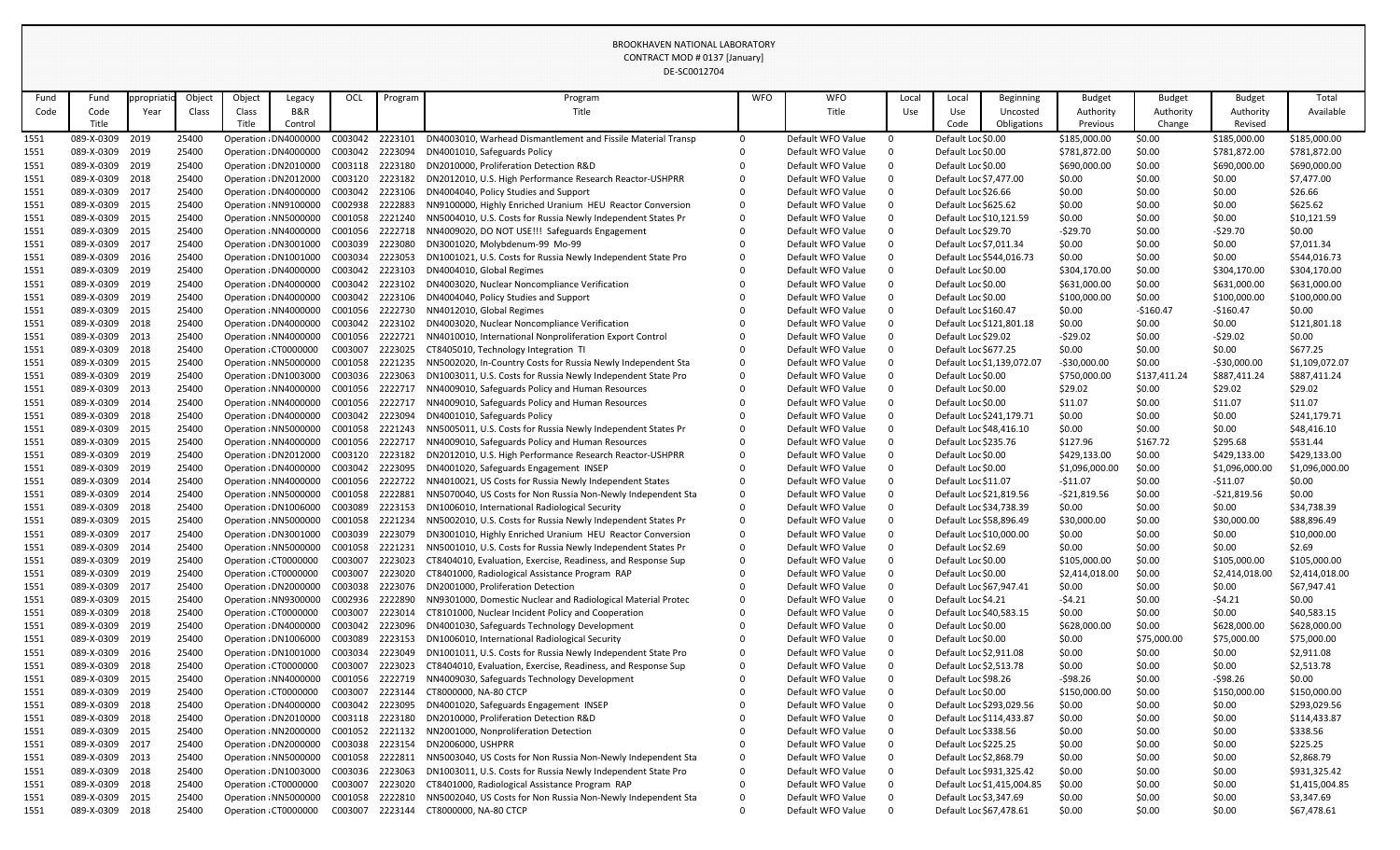|              |                                    |            |                |        |                                                |                    |                    | DE-SC0012704                                                                                              |            |                                        |                      |                         |                            |                     |                  |                     |                        |
|--------------|------------------------------------|------------|----------------|--------|------------------------------------------------|--------------------|--------------------|-----------------------------------------------------------------------------------------------------------|------------|----------------------------------------|----------------------|-------------------------|----------------------------|---------------------|------------------|---------------------|------------------------|
| Fund         | Fund                               | ppropriati | Object         | Object | Legacy                                         | OCL                | Program            | Program                                                                                                   | <b>WFO</b> | <b>WFO</b>                             | Local                | Local                   | Beginning                  | <b>Budget</b>       | <b>Budget</b>    | <b>Budget</b>       | Total                  |
| Code         | Code                               | Year       | Class          | Class  | B&R                                            |                    |                    | Title                                                                                                     |            | Title                                  | Use                  | Use                     | Uncosted                   | Authority           | Authority        | Authority           | Available              |
|              | Title                              |            |                | Title  | Control                                        |                    |                    |                                                                                                           |            |                                        |                      | Code                    | Obligations                | Previous            | Change           | Revised             |                        |
| 1551         | 089-X-0309                         | 2019       | 25400          |        | Operation : DN4000000                          | C003042            | 2223101            | DN4003010, Warhead Dismantlement and Fissile Material Transp                                              | $\Omega$   | Default WFO Value                      | $\Omega$             | Default Loc \$0.00      |                            | \$185,000.00        | \$0.00           | \$185,000.00        | \$185,000.00           |
| 1551         | 089-X-0309                         | 2019       | 25400          |        | Operation : DN4000000                          | C003042            | 2223094            | DN4001010, Safeguards Policy                                                                              |            | Default WFO Value                      | $\Omega$             | Default Loc \$0.00      |                            | \$781,872.00        | \$0.00           | \$781,872.00        | \$781,872.00           |
| 1551         | 089-X-0309 2019                    |            | 25400          |        | Operation : DN2010000                          | C003118            | 2223180            | DN2010000, Proliferation Detection R&D                                                                    |            | Default WFO Value                      | $\Omega$             | Default Loc \$0.00      |                            | \$690,000.00        | \$0.00           | \$690,000.00        | \$690,000.00           |
| 1551         | 089-X-0309 2018                    |            | 25400          |        | Operation : DN2012000                          | C003120            | 2223182            | DN2012010, U.S. High Performance Research Reactor-USHPRR                                                  |            | Default WFO Value                      | $\Omega$             | Default Loc \$7,477.00  |                            | \$0.00              | \$0.00           | \$0.00              | \$7,477.00             |
| 1551         | 089-X-0309                         | 2017       | 25400          |        | Operation : DN4000000                          | C003042            | 2223106            | DN4004040, Policy Studies and Support                                                                     |            | Default WFO Value                      | $\Omega$             | Default Loc \$26.66     |                            | \$0.00              | \$0.00           | \$0.00              | \$26.66                |
| 1551         | 089-X-0309 2015                    |            | 25400          |        | Operation : NN9100000                          | C002938            | 2222883            | NN9100000, Highly Enriched Uranium HEU Reactor Conversion                                                 |            | Default WFO Value                      | $\Omega$             | Default Loc \$625.62    |                            | \$0.00              | \$0.00           | \$0.00              | \$625.62               |
| 1551         | 089-X-0309 2015                    |            | 25400          |        | Operation : NN5000000                          | C001058            | 2221240            | NN5004010, U.S. Costs for Russia Newly Independent States Pr                                              |            | Default WFO Value                      | $\Omega$             | Default Loc \$10,121.59 |                            | \$0.00              | \$0.00           | \$0.00              | \$10,121.59            |
| 1551         | 089-X-0309 2015                    |            | 25400          |        | Operation : NN4000000                          | C001056            | 2222718            | NN4009020, DO NOT USE!!! Safeguards Engagement                                                            |            | Default WFO Value                      | $\Omega$             | Default Loc \$29.70     |                            | $-529.70$           | \$0.00           | $-529.70$           | \$0.00                 |
| 1551         | 089-X-0309 2017                    |            | 25400          |        | Operation : DN3001000                          | C003039            | 2223080            | DN3001020, Molybdenum-99 Mo-99                                                                            |            | Default WFO Value                      | $\Omega$             | Default Loc \$7,011.34  |                            | \$0.00              | \$0.00           | \$0.00              | \$7,011.34             |
| 1551         | 089-X-0309                         | 2016       | 25400          |        | Operation : DN1001000                          | C003034            | 2223053            | DN1001021, U.S. Costs for Russia Newly Independent State Pro                                              |            | Default WFO Value                      | $\Omega$             |                         | Default Loc \$544,016.73   | \$0.00              | \$0.00           | \$0.00              | \$544,016.73           |
| 1551         | 089-X-0309 2019                    |            | 25400          |        | Operation : DN4000000                          | C003042            | 2223103            | DN4004010, Global Regimes                                                                                 |            | Default WFO Value                      | $\Omega$             | Default Loc \$0.00      |                            | \$304,170.00        | \$0.00           | \$304,170.00        | \$304,170.00           |
| 1551         | 089-X-0309 2019                    |            | 25400          |        | Operation : DN4000000                          | C003042            | 2223102            | DN4003020, Nuclear Noncompliance Verification                                                             |            | Default WFO Value                      | $\Omega$             | Default Loc \$0.00      |                            | \$631,000.00        | \$0.00           | \$631,000.00        | \$631,000.00           |
| 1551         | 089-X-0309                         | 2019       | 25400          |        | Operation : DN4000000                          | C003042<br>C001056 | 2223106<br>2222730 | DN4004040, Policy Studies and Support                                                                     |            | Default WFO Value<br>Default WFO Value | $\Omega$<br>$\Omega$ | Default Loc \$0.00      |                            | \$100,000.00        | \$0.00           | \$100,000.00        | \$100,000.00<br>\$0.00 |
| 1551         | 089-X-0309 2015<br>089-X-0309 2018 |            | 25400<br>25400 |        | Operation : NN4000000                          |                    | 2223102            | NN4012010, Global Regimes                                                                                 |            | Default WFO Value                      | $\Omega$             | Default Loc \$160.47    |                            | \$0.00              | $-$160.47$       | $-5160.47$          |                        |
| 1551         | 089-X-0309                         | 2013       | 25400          |        | Operation : DN4000000<br>Operation : NN4000000 | C003042<br>C001056 | 2222721            | DN4003020, Nuclear Noncompliance Verification<br>NN4010010, International Nonproliferation Export Control |            | Default WFO Value                      | $\Omega$             | Default Loc \$29.02     | Default Loc \$121,801.18   | \$0.00              | \$0.00           | \$0.00<br>$-529.02$ | \$121,801.18<br>\$0.00 |
| 1551         | 089-X-0309 2018                    |            | 25400          |        | Operation : CT0000000                          | C003007            | 2223025            |                                                                                                           |            | Default WFO Value                      | $\Omega$             | Default Loc \$677.25    |                            | $-529.02$<br>\$0.00 | \$0.00<br>\$0.00 | \$0.00              | \$677.25               |
| 1551<br>1551 | 089-X-0309 2015                    |            | 25400          |        | Operation : NN5000000                          | C001058            | 2221235            | CT8405010, Technology Integration TI<br>NN5002020, In-Country Costs for Russia Newly Independent Sta      |            | Default WFO Value                      | $\Omega$             |                         | Default Loc \$1,139,072.07 | $-$30,000.00$       | \$0.00           | $-530,000.00$       | \$1,109,072.07         |
| 1551         | 089-X-0309                         | 2019       | 25400          |        | Operation : DN1003000                          | C003036            | 2223063            | DN1003011, U.S. Costs for Russia Newly Independent State Pro                                              |            | Default WFO Value                      | $\Omega$             | Default Loc \$0.00      |                            | \$750,000.00        | \$137,411.24     | \$887,411.24        | \$887,411.24           |
| 1551         | 089-X-0309 2013                    |            | 25400          |        | Operation : NN4000000                          | C001056            | 2222717            | NN4009010, Safeguards Policy and Human Resources                                                          |            | Default WFO Value                      | $\Omega$             | Default Loc \$0.00      |                            | \$29.02             | \$0.00           | \$29.02             | \$29.02                |
| 1551         | 089-X-0309                         | 2014       | 25400          |        | Operation : NN4000000                          | C001056            | 2222717            | NN4009010, Safeguards Policy and Human Resources                                                          |            | Default WFO Value                      | $\Omega$             | Default Loc \$0.00      |                            | \$11.07             | \$0.00           | \$11.07             | \$11.07                |
| 1551         | 089-X-0309                         | 2018       | 25400          |        | Operation : DN4000000                          | C003042            | 2223094            | DN4001010, Safeguards Policy                                                                              |            | Default WFO Value                      | $\Omega$             |                         | Default Loc \$241,179.71   | \$0.00              | \$0.00           | \$0.00              | \$241,179.71           |
| 1551         | 089-X-0309 2015                    |            | 25400          |        | Operation : NN5000000                          | C001058            | 2221243            | NN5005011, U.S. Costs for Russia Newly Independent States Pr                                              |            | Default WFO Value                      | $\Omega$             | Default Loc \$48,416.10 |                            | \$0.00              | \$0.00           | \$0.00              | \$48,416.10            |
| 1551         | 089-X-0309                         | 2015       | 25400          |        | Operation : NN4000000                          | C001056            | 2222717            | NN4009010, Safeguards Policy and Human Resources                                                          |            | Default WFO Value                      | $\Omega$             | Default Loc \$235.76    |                            | \$127.96            | \$167.72         | \$295.68            | \$531.44               |
| 1551         | 089-X-0309                         | 2019       | 25400          |        | Operation : DN2012000                          | C003120            | 2223182            | DN2012010, U.S. High Performance Research Reactor-USHPRR                                                  |            | Default WFO Value                      | $\Omega$             | Default Loc \$0.00      |                            | \$429,133.00        | \$0.00           | \$429,133.00        | \$429,133.00           |
| 1551         | 089-X-0309                         | 2019       | 25400          |        | Operation : DN4000000                          | C003042            | 2223095            | DN4001020, Safeguards Engagement INSEP                                                                    |            | Default WFO Value                      |                      | Default Loc \$0.00      |                            | \$1,096,000.00      | \$0.00           | \$1,096,000.00      | \$1,096,000.00         |
| 1551         | 089-X-0309                         | 2014       | 25400          |        | Operation : NN4000000                          | C001056            | 2222722            | NN4010021, US Costs for Russia Newly Independent States                                                   |            | Default WFO Value                      | $\Omega$             | Default Loc \$11.07     |                            | $-511.07$           | \$0.00           | $-511.07$           | \$0.00                 |
| 1551         | 089-X-0309                         | 2014       | 25400          |        | Operation : NN5000000                          | C001058            | 2222881            | NN5070040, US Costs for Non Russia Non-Newly Independent Sta                                              |            | Default WFO Value                      | $\Omega$             | Default Loc \$21,819.56 |                            | $-521,819.56$       | \$0.00           | $-521,819.56$       | \$0.00                 |
| 1551         | 089-X-0309 2018                    |            | 25400          |        | Operation : DN1006000                          | C003089            | 2223153            | DN1006010, International Radiological Security                                                            |            | Default WFO Value                      | $\Omega$             | Default Loc \$34,738.39 |                            | \$0.00              | \$0.00           | \$0.00              | \$34,738.39            |
| 1551         | 089-X-0309                         | 2015       | 25400          |        | Operation : NN5000000                          | C001058            | 2221234            | NN5002010, U.S. Costs for Russia Newly Independent States Pr                                              |            | Default WFO Value                      | 0                    | Default Loc \$58,896.49 |                            | \$30,000.00         | \$0.00           | \$30,000.00         | \$88,896.49            |
| 1551         | 089-X-0309 2017                    |            | 25400          |        | Operation : DN3001000                          | C003039            | 2223079            | DN3001010, Highly Enriched Uranium HEU Reactor Conversion                                                 | 0          | Default WFO Value                      | $\Omega$             | Default Loc \$10,000.00 |                            | \$0.00              | \$0.00           | \$0.00              | \$10,000.00            |
| 1551         | 089-X-0309 2014                    |            | 25400          |        | Operation : NN5000000                          | C001058            | 2221231            | NN5001010, U.S. Costs for Russia Newly Independent States Pr                                              | $\Omega$   | Default WFO Value                      | $\Omega$             | Default Loc \$2.69      |                            | \$0.00              | \$0.00           | \$0.00              | \$2.69                 |
| 1551         | 089-X-0309 2019                    |            | 25400          |        | Operation: CT0000000                           | C003007            | 2223023            | CT8404010, Evaluation, Exercise, Readiness, and Response Sup                                              |            | Default WFO Value                      | 0                    | Default Loc \$0.00      |                            | \$105,000.00        | \$0.00           | \$105,000.00        | \$105,000.00           |
| 1551         | 089-X-0309 2019                    |            | 25400          |        | Operation : CT0000000                          | C003007            | 2223020            | CT8401000, Radiological Assistance Program RAP                                                            |            | Default WFO Value                      | $\Omega$             | Default Loc \$0.00      |                            | \$2,414,018.00      | \$0.00           | \$2,414,018.00      | \$2,414,018.00         |
| 1551         | 089-X-0309 2017                    |            | 25400          |        | Operation : DN2000000                          | C003038            | 2223076            | DN2001000, Proliferation Detection                                                                        |            | Default WFO Value                      | 0                    | Default Loc \$67,947.41 |                            | \$0.00              | \$0.00           | \$0.00              | \$67,947.41            |
| 1551         | 089-X-0309 2015                    |            | 25400          |        | Operation : NN9300000                          | C002936            | 2222890            | NN9301000, Domestic Nuclear and Radiological Material Protec                                              |            | Default WFO Value                      | $\Omega$             | Default Loc \$4.21      |                            | $-54.21$            | \$0.00           | $-54.21$            | \$0.00                 |
| 1551         | 089-X-0309 2018                    |            | 25400          |        | Operation : CT0000000                          | C003007            | 2223014            | CT8101000, Nuclear Incident Policy and Cooperation                                                        |            | Default WFO Value                      | $\Omega$             | Default Loc \$40,583.15 |                            | \$0.00              | \$0.00           | \$0.00              | \$40,583.15            |
| 1551         | 089-X-0309 2019                    |            | 25400          |        | Operation : DN4000000                          | C003042            | 2223096            | DN4001030, Safeguards Technology Development                                                              |            | Default WFO Value                      | 0                    | Default Loc \$0.00      |                            | \$628,000.00        | \$0.00           | \$628,000.00        | \$628,000.00           |
| 1551         | 089-X-0309 2019                    |            | 25400          |        | Operation : DN1006000                          | C003089            | 2223153            | DN1006010, International Radiological Security                                                            |            | Default WFO Value                      | $\Omega$             | Default Loc \$0.00      |                            | \$0.00              | \$75,000.00      | \$75,000.00         | \$75,000.00            |
| 1551         | 089-X-0309 2016                    |            | 25400          |        | Operation : DN1001000                          | C003034            | 2223049            | DN1001011, U.S. Costs for Russia Newly Independent State Pro                                              |            | Default WFO Value                      | $\Omega$             | Default Loc \$2,911.08  |                            | \$0.00              | \$0.00           | \$0.00              | \$2,911.08             |
| 1551         | 089-X-0309 2018                    |            | 25400          |        | Operation : CT0000000                          | C003007            | 2223023            | CT8404010, Evaluation, Exercise, Readiness, and Response Sup                                              |            | Default WFO Value                      | 0                    | Default Loc \$2,513.78  |                            | \$0.00              | \$0.00           | \$0.00              | \$2,513.78             |
| 1551         | 089-X-0309 2015                    |            | 25400          |        | Operation : NN4000000                          | C001056            | 2222719            | NN4009030, Safeguards Technology Development                                                              |            | Default WFO Value                      | $\Omega$             | Default Loc \$98.26     |                            | $-598.26$           | \$0.00           | $-$ \$98.26         | \$0.00                 |
| 1551         | 089-X-0309 2019                    |            | 25400          |        | Operation : CT0000000                          | C003007            | 2223144            | CT8000000, NA-80 CTCP                                                                                     |            | Default WFO Value                      | $\Omega$             | Default Loc \$0.00      |                            | \$150,000.00        | \$0.00           | \$150,000.00        | \$150,000.00           |
| 1551         | 089-X-0309                         | 2018       | 25400          |        | Operation : DN4000000                          | C003042            | 2223095            | DN4001020, Safeguards Engagement INSEP                                                                    |            | Default WFO Value                      | 0                    |                         | Default Loc \$293,029.56   | \$0.00              | \$0.00           | \$0.00              | \$293,029.56           |
| 1551         | 089-X-0309 2018                    |            | 25400          |        | Operation : DN2010000                          | C003118            | 2223180            | DN2010000, Proliferation Detection R&D                                                                    |            | Default WFO Value                      | $\Omega$             |                         | Default Loc \$114,433.87   | \$0.00              | \$0.00           | \$0.00              | \$114,433.87           |
| 1551         | 089-X-0309 2015                    |            | 25400          |        | Operation : NN2000000                          | C001052            | 2221132            | NN2001000, Nonproliferation Detection                                                                     |            | Default WFO Value                      | $\Omega$             | Default Loc \$338.56    |                            | \$0.00              | \$0.00           | \$0.00              | \$338.56               |
| 1551         | 089-X-0309 2017                    |            | 25400          |        | Operation : DN2000000                          | C003038            | 2223154            | DN2006000, USHPRR                                                                                         |            | Default WFO Value                      | 0                    | Default Loc \$225.25    |                            | \$0.00              | \$0.00           | \$0.00              | \$225.25               |
| 1551         | 089-X-0309 2013                    |            | 25400          |        | Operation : NN5000000                          | C001058            | 2222811            | NN5003040, US Costs for Non Russia Non-Newly Independent Sta                                              | $\Omega$   | Default WFO Value                      | $\Omega$             | Default Loc \$2,868.79  |                            | \$0.00              | \$0.00           | \$0.00              | \$2,868.79             |
| 1551         | 089-X-0309 2018                    |            | 25400          |        | Operation : DN1003000                          | C003036            | 2223063            | DN1003011, U.S. Costs for Russia Newly Independent State Pro                                              | $\Omega$   | Default WFO Value                      | 0                    |                         | Default Loc \$931,325.42   | \$0.00              | \$0.00           | \$0.00              | \$931,325.42           |
| 1551         | 089-X-0309 2018                    |            | 25400          |        | Operation : CT0000000                          | C003007            | 2223020            | CT8401000, Radiological Assistance Program RAP                                                            |            | Default WFO Value                      | $\Omega$             |                         | Default Loc \$1,415,004.85 | \$0.00              | \$0.00           | \$0.00              | \$1,415,004.85         |
| 1551         | 089-X-0309 2015                    |            | 25400          |        | Operation : NN5000000                          | C001058            | 2222810            | NN5002040, US Costs for Non Russia Non-Newly Independent Sta                                              | $\Omega$   | Default WFO Value                      | $\Omega$             | Default Loc \$3,347.69  |                            | \$0.00              | \$0.00           | \$0.00              | \$3,347.69             |
| 1551         | 089-X-0309                         | 2018       | 25400          |        | Operation : CT0000000                          | C003007            | 2223144            | CT8000000, NA-80 CTCP                                                                                     | $\Omega$   | Default WFO Value                      | $\Omega$             | Default Loc \$67,478.61 |                            | \$0.00              | \$0.00           | \$0.00              | \$67,478.61            |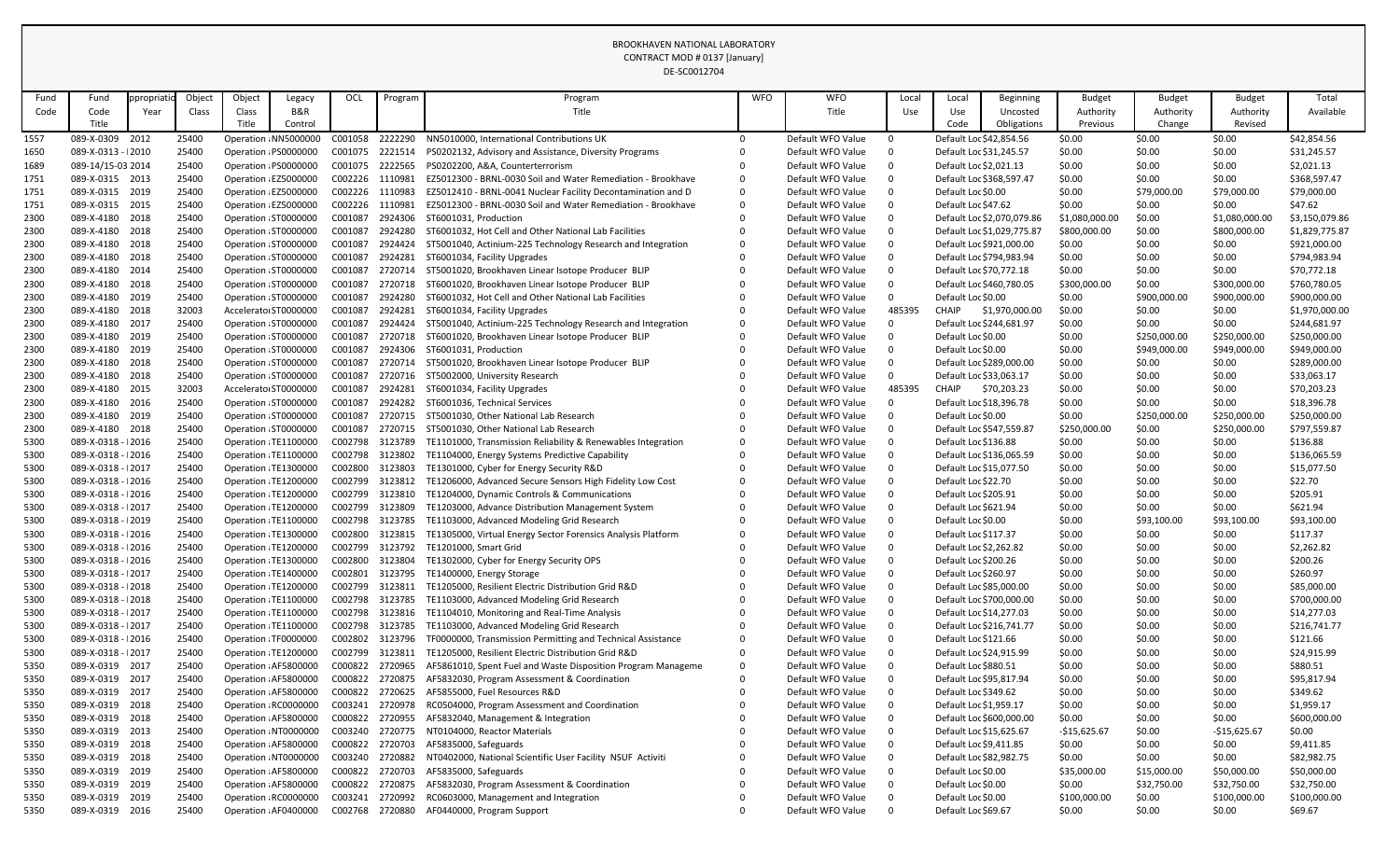|              |                                          |            |                |        |                                                |                    |                    | DE-SC0012704                                                                                |            |                                        |          |                         |                            |                  |                  |                  |                             |
|--------------|------------------------------------------|------------|----------------|--------|------------------------------------------------|--------------------|--------------------|---------------------------------------------------------------------------------------------|------------|----------------------------------------|----------|-------------------------|----------------------------|------------------|------------------|------------------|-----------------------------|
| Fund         | Fund                                     | ppropriati | Object         | Object | Legacy                                         | OCL                | Program            | Program                                                                                     | <b>WFO</b> | <b>WFO</b>                             | Local    | Local                   | <b>Beginning</b>           | <b>Budget</b>    | <b>Budget</b>    | <b>Budget</b>    | Total                       |
| Code         | Code                                     | Year       | Class          | Class  | <b>B&amp;R</b>                                 |                    |                    | Title                                                                                       |            | Title                                  | Use      | Use                     | Uncosted                   | Authority        | Authority        | Authority        | Available                   |
|              | Title                                    |            |                | Title  | Control                                        |                    |                    |                                                                                             |            |                                        |          | Code                    | Obligations                | Previous         | Change           | Revised          |                             |
| 1557         | 089-X-0309                               | 2012       | 25400          |        | Operation : NN5000000                          | C001058            | 2222290            | NN5010000, International Contributions UK                                                   |            | Default WFO Value                      |          | Default Loc \$42,854.56 |                            | \$0.00           | \$0.00           | \$0.00           | \$42,854.56                 |
| 1650         | 089-X-0313 - 12010                       |            | 25400          |        | Operation : PS0000000                          | C001075            | 2221514            | PS0202132, Advisory and Assistance, Diversity Programs                                      |            | Default WFO Value                      |          | Default Loc \$31,245.57 |                            | \$0.00           | \$0.00           | \$0.00           | \$31,245.57                 |
| 1689         | 089-14/15-03 2014                        |            | 25400          |        | Operation : PS0000000                          | C001075 2222565    |                    | PS0202200, A&A, Counterterrorism                                                            |            | Default WFO Value                      |          | Default Loc \$2,021.13  |                            | \$0.00           | \$0.00           | \$0.00           | \$2,021.13                  |
| 1751         | 089-X-0315 2013                          |            | 25400          |        | Operation : EZ5000000                          | C002226            | 1110981            | EZ5012300 - BRNL-0030 Soil and Water Remediation - Brookhave                                |            | Default WFO Value                      |          |                         | Default Loc \$368,597.47   | \$0.00           | \$0.00           | \$0.00           | \$368,597.47                |
| 1751         | 089-X-0315 2019                          |            | 25400          |        | Operation : EZ5000000                          | C002226            | 1110983            | EZ5012410 - BRNL-0041 Nuclear Facility Decontamination and D                                | $\Omega$   | Default WFO Value                      |          | Default Loc \$0.00      |                            | \$0.00           | \$79,000.00      | \$79,000.00      | \$79,000.00                 |
| 1751         | 089-X-0315 2015                          |            | 25400          |        | Operation : EZ5000000                          | C002226            | 1110981            | EZ5012300 - BRNL-0030 Soil and Water Remediation - Brookhave                                | $\Omega$   | Default WFO Value                      |          | Default Loc \$47.62     |                            | \$0.00           | \$0.00           | \$0.00           | \$47.62                     |
| 2300         | 089-X-4180 2018                          |            | 25400          |        | Operation : ST0000000                          | C001087            | 2924306            | ST6001031, Production                                                                       |            | Default WFO Value                      |          |                         | Default Loc \$2,070,079.86 | \$1,080,000.00   | \$0.00           | \$1,080,000.00   | \$3,150,079.86              |
| 2300         | 089-X-4180 2018                          |            | 25400          |        | Operation : ST0000000                          | C001087            | 2924280            | ST6001032, Hot Cell and Other National Lab Facilities                                       |            | Default WFO Value                      |          |                         | Default Loc \$1,029,775.87 | \$800,000.00     | \$0.00           | \$800,000.00     | \$1,829,775.87              |
| 2300         | 089-X-4180                               | 2018       | 25400          |        | Operation : ST0000000                          | C001087            | 2924424            | ST5001040, Actinium-225 Technology Research and Integration                                 |            | Default WFO Value                      |          |                         | Default Loc \$921,000.00   | \$0.00           | \$0.00           | \$0.00           | \$921,000.00                |
| 2300         | 089-X-4180 2018                          |            | 25400          |        | Operation : ST0000000                          | C001087            | 2924281            | ST6001034, Facility Upgrades                                                                |            | Default WFO Value                      |          |                         | Default Loc \$794,983.94   | \$0.00           | \$0.00           | \$0.00           | \$794,983.94                |
| 2300         | 089-X-4180 2014                          |            | 25400          |        | Operation : ST0000000                          | C001087            | 2720714            | ST5001020, Brookhaven Linear Isotope Producer BLIP                                          |            | Default WFO Value                      |          |                         | Default Loc \$70,772.18    | \$0.00           | \$0.00           | \$0.00           | \$70,772.18                 |
| 2300         | 089-X-4180                               | 2018       | 25400          |        | Operation : ST0000000                          | C001087            | 2720718            | ST6001020, Brookhaven Linear Isotope Producer BLIP                                          |            | Default WFO Value                      |          |                         | Default Loc \$460,780.05   | \$300,000.00     | \$0.00           | \$300,000.00     | \$760,780.05                |
| 2300         | 089-X-4180 2019                          |            | 25400          |        | Operation : ST0000000                          | C001087            | 2924280            | ST6001032, Hot Cell and Other National Lab Facilities                                       |            | Default WFO Value                      |          | Default Loc \$0.00      |                            | \$0.00           | \$900,000.00     | \$900,000.00     | \$900,000.00                |
| 2300         | 089-X-4180 2018                          |            | 32003          |        | Accelerato ST0000000                           | C001087            | 2924281            | ST6001034, Facility Upgrades                                                                |            | Default WFO Value                      | 485395   | CHAIP                   | \$1,970,000.00             | \$0.00           | \$0.00           | \$0.00           | \$1,970,000.00              |
| 2300         | 089-X-4180 2017                          |            | 25400          |        | Operation : ST0000000                          | C001087            | 2924424            | ST5001040, Actinium-225 Technology Research and Integration                                 |            | Default WFO Value                      |          |                         | Default Loc \$244,681.97   | \$0.00           | \$0.00           | \$0.00           | \$244,681.97                |
| 2300         | 089-X-4180 2019                          |            | 25400          |        | Operation : ST0000000                          | C001087            | 2720718            | ST6001020, Brookhaven Linear Isotope Producer BLIP                                          |            | Default WFO Value                      |          | Default Loc \$0.00      |                            | \$0.00           | \$250,000.00     | \$250,000.00     | \$250,000.00                |
| 2300         | 089-X-4180 2019                          |            | 25400          |        | Operation : ST0000000                          | C001087            | 2924306            | ST6001031, Production                                                                       |            | Default WFO Value                      |          | Default Loc \$0.00      |                            | \$0.00           | \$949,000.00     | \$949,000.00     | \$949,000.00                |
| 2300         | 089-X-4180 2018                          |            | 25400          |        | Operation : ST0000000                          | C001087            | 2720714            | ST5001020, Brookhaven Linear Isotope Producer BLIP                                          |            | Default WFO Value                      |          |                         | Default Loc \$289,000.00   | \$0.00           | \$0.00           | \$0.00           | \$289,000.00                |
| 2300         | 089-X-4180 2018                          |            | 25400          |        | Operation : ST0000000                          | C001087            | 2720716            | ST5002000, University Research                                                              |            | Default WFO Value                      | $\Omega$ | Default Loc \$33,063.17 |                            | \$0.00           | \$0.00           | \$0.00           | \$33,063.17                 |
| 2300         | 089-X-4180 2015                          |            | 32003          |        | Accelerato ST0000000                           | C001087            | 2924281            | ST6001034, Facility Upgrades                                                                |            | Default WFO Value                      | 485395   | CHAIP                   | \$70,203.23                | \$0.00           | \$0.00           | \$0.00           | \$70,203.23                 |
| 2300         | 089-X-4180 2016                          |            | 25400          |        | Operation : ST0000000                          | C001087            | 2924282            | ST6001036, Technical Services                                                               |            | Default WFO Value                      |          |                         | Default Loc \$18,396.78    | \$0.00           | \$0.00           | \$0.00           | \$18,396.78                 |
| 2300         | 089-X-4180 2019                          |            | 25400          |        | Operation : ST0000000                          | C001087            | 2720715            | ST5001030, Other National Lab Research                                                      |            | Default WFO Value                      |          | Default Loc \$0.00      |                            | \$0.00           | \$250,000.00     | \$250,000.00     | \$250,000.00                |
| 2300         | 089-X-4180 2018                          |            | 25400          |        | Operation : ST0000000                          | C001087            | 2720715            | ST5001030, Other National Lab Research                                                      |            | Default WFO Value                      |          |                         | Default Loc \$547,559.87   | \$250,000.00     | \$0.00           | \$250,000.00     | \$797,559.87                |
| 5300         | 089-X-0318 - 12016                       |            | 25400          |        | Operation : TE1100000                          | C002798            | 3123789            | TE1101000, Transmission Reliability & Renewables Integration                                |            | Default WFO Value<br>Default WFO Value |          | Default Loc \$136.88    |                            | \$0.00           | \$0.00           | \$0.00           | \$136.88                    |
| 5300<br>5300 | 089-X-0318 - 12016<br>089-X-0318 - 12017 |            | 25400<br>25400 |        | Operation : TE1100000<br>Operation : TE1300000 | C002798<br>C002800 | 3123802<br>3123803 | TE1104000, Energy Systems Predictive Capability<br>TE1301000, Cyber for Energy Security R&D |            | Default WFO Value                      |          | Default Loc \$15,077.50 | Default Loc \$136,065.59   | \$0.00<br>\$0.00 | \$0.00<br>\$0.00 | \$0.00<br>\$0.00 | \$136,065.59<br>\$15,077.50 |
| 5300         | 089-X-0318 - 12016                       |            | 25400          |        | Operation: TE1200000                           | C002799            | 3123812            | TE1206000, Advanced Secure Sensors High Fidelity Low Cost                                   |            | Default WFO Value                      |          | Default Loc \$22.70     |                            | \$0.00           | \$0.00           | \$0.00           | \$22.70                     |
| 5300         | 089-X-0318 - 12016                       |            |                |        | Operation : TE1200000                          | C002799            |                    | TE1204000, Dynamic Controls & Communications                                                |            | Default WFO Value                      |          | Default Loc \$205.91    |                            | \$0.00           | \$0.00           | \$0.00           | \$205.91                    |
| 5300         | 089-X-0318 - 12017                       |            | 25400<br>25400 |        | Operation : TE1200000                          | C002799            | 3123810<br>3123809 | TE1203000, Advance Distribution Management System                                           |            | Default WFO Value                      |          | Default Loc \$621.94    |                            | \$0.00           | \$0.00           | \$0.00           | \$621.94                    |
| 5300         | 089-X-0318 - 12019                       |            | 25400          |        | Operation : TE1100000                          | C002798            | 3123785            | TE1103000, Advanced Modeling Grid Research                                                  |            | Default WFO Value                      |          | Default Loc \$0.00      |                            | \$0.00           | \$93,100.00      | \$93,100.00      | \$93,100.00                 |
| 5300         | 089-X-0318 - 12016                       |            | 25400          |        | Operation : TE1300000                          | C002800            | 3123815            | TE1305000, Virtual Energy Sector Forensics Analysis Platform                                |            | Default WFO Value                      |          | Default Loc \$117.37    |                            | \$0.00           | \$0.00           | \$0.00           | \$117.37                    |
| 5300         | 089-X-0318 - 12016                       |            | 25400          |        | Operation : TE1200000                          | C002799            | 3123792            | TE1201000, Smart Grid                                                                       |            | Default WFO Value                      |          | Default Loc \$2,262.82  |                            | \$0.00           | \$0.00           | \$0.00           | \$2,262.82                  |
| 5300         | 089-X-0318 - 12016                       |            | 25400          |        | Operation : TE1300000                          | C002800            | 3123804            | TE1302000, Cyber for Energy Security OPS                                                    |            | Default WFO Value                      |          | Default Loc \$200.26    |                            | \$0.00           | \$0.00           | \$0.00           | \$200.26                    |
| 5300         | 089-X-0318 - 12017                       |            | 25400          |        | Operation : TE1400000                          | C002801            | 3123795            | TE1400000, Energy Storage                                                                   |            | Default WFO Value                      |          | Default Loc \$260.97    |                            | \$0.00           | \$0.00           | \$0.00           | \$260.97                    |
| 5300         | 089-X-0318 - 12018                       |            | 25400          |        | Operation : TE1200000                          | C002799            | 3123811            | TE1205000, Resilient Electric Distribution Grid R&D                                         |            | Default WFO Value                      |          | Default Loc \$85,000.00 |                            | \$0.00           | \$0.00           | \$0.00           | \$85,000.00                 |
| 5300         | 089-X-0318 - 12018                       |            | 25400          |        | Operation : TE1100000                          | C002798            | 3123785            | TE1103000, Advanced Modeling Grid Research                                                  |            | Default WFO Value                      |          |                         | Default Loc \$700,000.00   | \$0.00           | \$0.00           | \$0.00           | \$700,000.00                |
| 5300         | 089-X-0318 - 12017                       |            | 25400          |        | Operation : TE1100000                          | C002798            | 3123816            | TE1104010, Monitoring and Real-Time Analysis                                                |            | Default WFO Value                      |          |                         | Default Loc \$14,277.03    | \$0.00           | \$0.00           | \$0.00           | \$14,277.03                 |
| 5300         | 089-X-0318 - 12017                       |            | 25400          |        | Operation : TE1100000                          | C002798 3123785    |                    | TE1103000, Advanced Modeling Grid Research                                                  |            | Default WFO Value                      |          |                         | Default Loc \$216,741.77   | \$0.00           | \$0.00           | \$0.00           | \$216,741.77                |
| 5300         | 089-X-0318 - 12016                       |            | 25400          |        | Operation : TF0000000                          | C002802            | 3123796            | TF0000000, Transmission Permitting and Technical Assistance                                 |            | Default WFO Value                      |          | Default Loc \$121.66    |                            | \$0.00           | \$0.00           | \$0.00           | \$121.66                    |
| 5300         | 089-X-0318 - 12017                       |            | 25400          |        | Operation : TE1200000                          | C002799            | 3123811            | TE1205000, Resilient Electric Distribution Grid R&D                                         |            | Default WFO Value                      |          |                         | Default Loc \$24,915.99    | \$0.00           | \$0.00           | \$0.00           | \$24,915.99                 |
| 5350         | 089-X-0319 2017                          |            | 25400          |        | Operation : AF5800000                          | C000822            | 2720965            | AF5861010, Spent Fuel and Waste Disposition Program Manageme                                | 0          | Default WFO Value                      |          | Default Loc \$880.51    |                            | \$0.00           | \$0.00           | \$0.00           | \$880.51                    |
| 5350         | 089-X-0319 2017                          |            | 25400          |        | Operation : AF5800000                          | C000822            | 2720875            | AF5832030, Program Assessment & Coordination                                                |            | Default WFO Value                      |          |                         | Default Loc \$95,817.94    | \$0.00           | \$0.00           | \$0.00           | \$95,817.94                 |
| 5350         | 089-X-0319 2017                          |            | 25400          |        | Operation : AF5800000                          | C000822            | 2720625            | AF5855000, Fuel Resources R&D                                                               |            | Default WFO Value                      |          | Default Loc \$349.62    |                            | \$0.00           | \$0.00           | \$0.00           | \$349.62                    |
| 5350         | 089-X-0319 2018                          |            | 25400          |        | Operation: RC0000000                           | C003241 2720978    |                    | RC0504000, Program Assessment and Coordination                                              |            | Default WFO Value                      |          | Default Loc \$1,959.17  |                            | \$0.00           | \$0.00           | \$0.00           | \$1,959.17                  |
| 5350         | 089-X-0319 2018                          |            | 25400          |        | Operation : AF5800000                          | C000822            | 2720955            | AF5832040, Management & Integration                                                         |            | Default WFO Value                      |          |                         | Default Loc \$600,000.00   | \$0.00           | \$0.00           | \$0.00           | \$600,000.00                |
| 5350         | 089-X-0319 2013                          |            | 25400          |        | Operation NT0000000                            | C003240            | 2720775            | NT0104000, Reactor Materials                                                                |            | Default WFO Value                      |          | Default Loc \$15,625.67 |                            | $-$15,625.67$    | \$0.00           | $-$15,625.67$    | \$0.00                      |
| 5350         | 089-X-0319 2018                          |            | 25400          |        | Operation : AF5800000                          | C000822            | 2720703            | AF5835000, Safeguards                                                                       |            | Default WFO Value                      |          | Default Loc \$9,411.85  |                            | \$0.00           | \$0.00           | \$0.00           | \$9,411.85                  |
| 5350         | 089-X-0319 2018                          |            | 25400          |        | Operation : NT0000000                          | C003240            | 2720882            | NT0402000, National Scientific User Facility NSUF Activiti                                  |            | Default WFO Value                      |          |                         | Default Loc \$82,982.75    | \$0.00           | \$0.00           | \$0.00           | \$82,982.75                 |
| 5350         | 089-X-0319 2019                          |            | 25400          |        | Operation : AF5800000                          | C000822            | 2720703            | AF5835000, Safeguards                                                                       |            | Default WFO Value                      |          | Default Loc \$0.00      |                            | \$35,000.00      | \$15,000.00      | \$50,000.00      | \$50,000.00                 |
| 5350         | 089-X-0319 2019                          |            | 25400          |        | Operation : AF5800000                          | C000822            | 2720875            | AF5832030, Program Assessment & Coordination                                                |            | Default WFO Value                      |          | Default Loc \$0.00      |                            | \$0.00           | \$32,750.00      | \$32,750.00      | \$32,750.00                 |
| 5350         | 089-X-0319 2019                          |            | 25400          |        | Operation : RC0000000                          | C003241            | 2720992            | RC0603000, Management and Integration                                                       |            | Default WFO Value                      |          | Default Loc \$0.00      |                            | \$100,000.00     | \$0.00           | \$100,000.00     | \$100,000.00                |
| 5350         | 089-X-0319 2016                          |            | 25400          |        | Operation : AF0400000                          | C002768            | 2720880            | AF0440000, Program Support                                                                  |            | Default WFO Value                      | 0        | Default Loc \$69.67     |                            | \$0.00           | \$0.00           | \$0.00           | \$69.67                     |
|              |                                          |            |                |        |                                                |                    |                    |                                                                                             |            |                                        |          |                         |                            |                  |                  |                  |                             |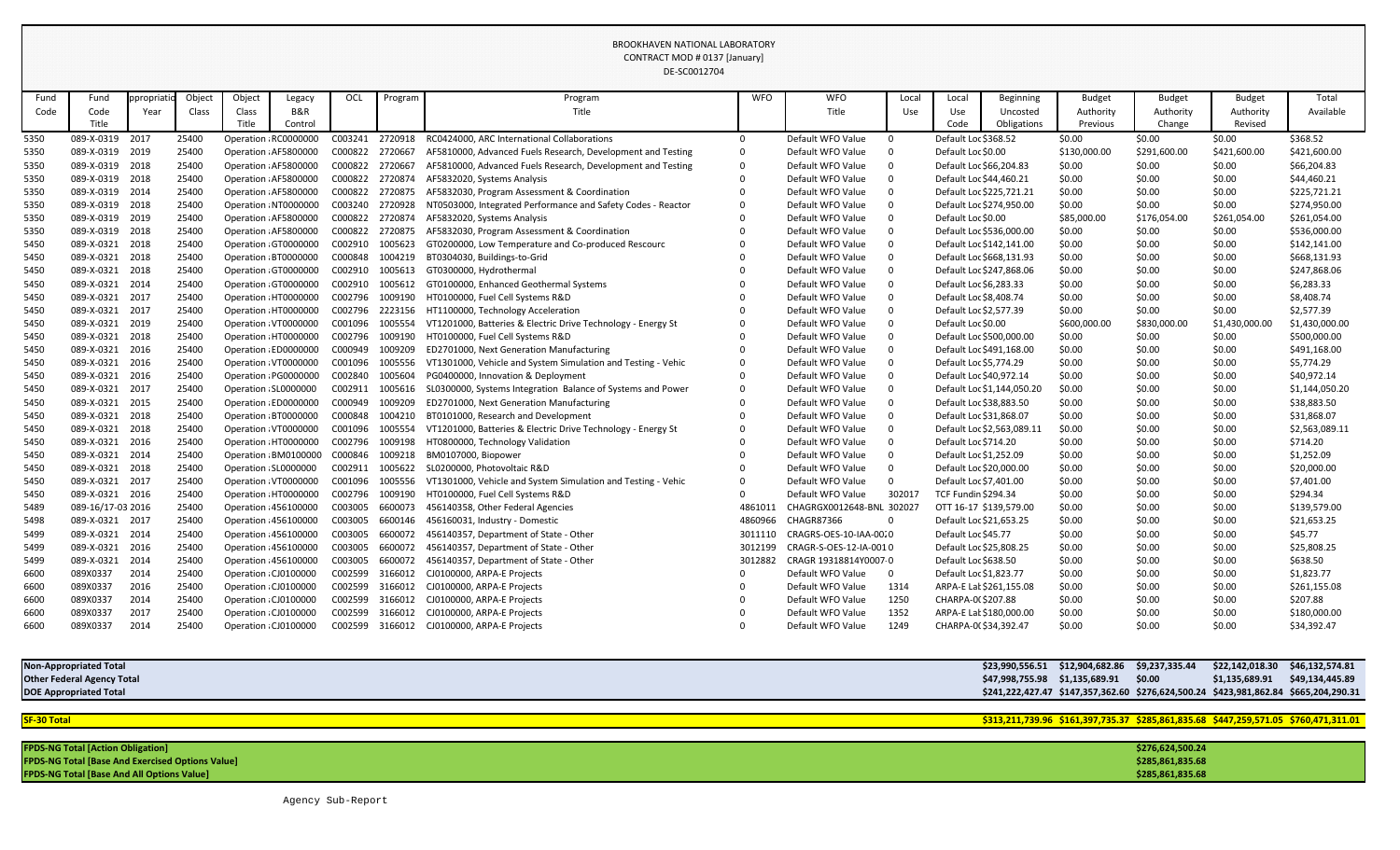|      |                   |              |        |        |                       |         |         | DE-SC0012704                                                 |            |                           |              |                          |                            |               |               |                |                |
|------|-------------------|--------------|--------|--------|-----------------------|---------|---------|--------------------------------------------------------------|------------|---------------------------|--------------|--------------------------|----------------------------|---------------|---------------|----------------|----------------|
| Fund | Fund              | ppropriation | Object | Object | Legacy                | OCL     | Program | Program                                                      | <b>WFO</b> | <b>WFO</b>                | Local        | Local                    | <b>Beginning</b>           | <b>Budget</b> | <b>Budget</b> | <b>Budget</b>  | Total          |
| Code | Code              | Year         | Class  | Class  | <b>B&amp;R</b>        |         |         | Title                                                        |            | Title                     | Use          | Use                      | Uncosted                   | Authority     | Authority     | Authority      | Available      |
|      | Title             |              |        | Title  | Control               |         |         |                                                              |            |                           |              | Code                     | Obligations                | Previous      | Change        | Revised        |                |
| 5350 | 089-X-0319        | 2017         | 25400  |        | Operation : RC0000000 | C003241 | 2720918 | RC0424000, ARC International Collaborations                  |            | Default WFO Value         | $\Omega$     | Default Loc \$368.52     |                            | \$0.00        | \$0.00        | \$0.00         | \$368.52       |
| 5350 | 089-X-0319 2019   |              | 25400  |        | Operation : AF5800000 | C000822 | 2720667 | AF5810000, Advanced Fuels Research, Development and Testing  |            | Default WFO Value         | $\Omega$     | Default Loc \$0.00       |                            | \$130,000.00  | \$291,600.00  | \$421,600.00   | \$421,600.00   |
| 5350 | 089-X-0319 2018   |              | 25400  |        | Operation : AF5800000 | C000822 | 2720667 | AF5810000, Advanced Fuels Research, Development and Testing  |            | Default WFO Value         |              | Default Loc \$66,204.83  |                            | \$0.00        | \$0.00        | \$0.00         | \$66,204.83    |
| 5350 | 089-X-0319 2018   |              | 25400  |        | Operation : AF5800000 | C000822 | 2720874 | AF5832020, Systems Analysis                                  |            | Default WFO Value         | $\Omega$     | Default Loc \$44,460.21  |                            | \$0.00        | \$0.00        | \$0.00         | \$44,460.21    |
| 5350 | 089-X-0319 2014   |              | 25400  |        | Operation : AF5800000 | C000822 | 2720875 | AF5832030, Program Assessment & Coordination                 |            | Default WFO Value         | $\Omega$     | Default Loc \$225,721.21 |                            | \$0.00        | \$0.00        | \$0.00         | \$225,721.21   |
| 5350 | 089-X-0319 2018   |              | 25400  |        | Operation : NT0000000 | C003240 | 2720928 | NT0503000, Integrated Performance and Safety Codes - Reactor |            | Default WFO Value         | 0            |                          | Default Loc \$274,950.00   | \$0.00        | \$0.00        | \$0.00         | \$274,950.00   |
| 5350 | 089-X-0319 2019   |              | 25400  |        | Operation : AF5800000 | C000822 | 2720874 | AF5832020, Systems Analysis                                  |            | Default WFO Value         | $\Omega$     | Default Loc \$0.00       |                            | \$85,000.00   | \$176,054.00  | \$261,054.00   | \$261,054.00   |
| 5350 | 089-X-0319 2018   |              | 25400  |        | Operation : AF5800000 | C000822 | 2720875 | AF5832030, Program Assessment & Coordination                 |            | Default WFO Value         | $\Omega$     | Default Loc \$536,000.00 |                            | \$0.00        | \$0.00        | \$0.00         | \$536,000.00   |
| 5450 | 089-X-0321        | 2018         | 25400  |        | Operation GT0000000   | C002910 | 1005623 | GT0200000, Low Temperature and Co-produced Rescourc          |            | Default WFO Value         | 0            | Default Loc \$142,141.00 |                            | \$0.00        | \$0.00        | \$0.00         | \$142,141.00   |
| 5450 | 089-X-0321        | 2018         | 25400  |        | Operation : BT0000000 | C000848 | 1004219 | BT0304030, Buildings-to-Grid                                 |            | Default WFO Value         | 0            | Default Loc \$668,131.93 |                            | \$0.00        | \$0.00        | \$0.00         | \$668,131.93   |
| 5450 | 089-X-0321 2018   |              | 25400  |        | Operation : GT0000000 | C002910 | 1005613 | GT0300000, Hydrothermal                                      |            | Default WFO Value         | $\Omega$     |                          | Default Loc \$247,868.06   | \$0.00        | \$0.00        | \$0.00         | \$247,868.06   |
| 5450 | 089-X-0321 2014   |              | 25400  |        | Operation : GT0000000 | C002910 | 1005612 | GT0100000, Enhanced Geothermal Systems                       |            | Default WFO Value         | $\Omega$     | Default Loc \$6,283.33   |                            | \$0.00        | \$0.00        | \$0.00         | \$6,283.33     |
| 5450 | 089-X-0321 2017   |              | 25400  |        | Operation HT0000000   | C002796 | 1009190 | HT0100000, Fuel Cell Systems R&D                             |            | Default WFO Value         | $\Omega$     | Default Loc \$8,408.74   |                            | \$0.00        | \$0.00        | \$0.00         | \$8,408.74     |
| 5450 | 089-X-0321 2017   |              | 25400  |        | Operation : HT0000000 | C002796 | 2223156 | HT1100000, Technology Acceleration                           |            | Default WFO Value         | $\Omega$     | Default Loc \$2,577.39   |                            | \$0.00        | \$0.00        | \$0.00         | \$2,577.39     |
| 5450 | 089-X-0321 2019   |              | 25400  |        | Operation : VT0000000 | C001096 | 1005554 | VT1201000, Batteries & Electric Drive Technology - Energy St |            | Default WFO Value         | $\Omega$     | Default Loc \$0.00       |                            | \$600,000.00  | \$830,000.00  | \$1,430,000.00 | \$1,430,000.00 |
| 5450 | 089-X-0321 2018   |              | 25400  |        | Operation : HT0000000 | C002796 | 1009190 | HT0100000, Fuel Cell Systems R&D                             |            | Default WFO Value         | $\Omega$     | Default Loc \$500,000.00 |                            | \$0.00        | \$0.00        | \$0.00         | \$500,000.00   |
| 5450 | 089-X-0321 2016   |              | 25400  |        | Operation : ED0000000 | C000949 | 1009209 | ED2701000, Next Generation Manufacturing                     |            | Default WFO Value         | $\Omega$     |                          | Default Loc \$491,168.00   | \$0.00        | \$0.00        | \$0.00         | \$491,168.00   |
| 5450 | 089-X-0321        | 2016         | 25400  |        | Operation : VT0000000 | C001096 | 1005556 | VT1301000, Vehicle and System Simulation and Testing - Vehic |            | Default WFO Value         | $\Omega$     | Default Loc \$5,774.29   |                            | \$0.00        | \$0.00        | \$0.00         | \$5,774.29     |
| 5450 | 089-X-0321 2016   |              | 25400  |        | Operation : PG0000000 | C002840 | 1005604 | PG0400000, Innovation & Deployment                           |            | Default WFO Value         | $\Omega$     | Default Loc \$40,972.14  |                            | \$0.00        | \$0.00        | \$0.00         | \$40,972.14    |
| 5450 | 089-X-0321 2017   |              | 25400  |        | Operation : SL0000000 | C002911 | 1005616 | SL0300000, Systems Integration Balance of Systems and Power  |            | Default WFO Value         | $\Omega$     |                          | Default Loc \$1,144,050.20 | \$0.00        | \$0.00        | \$0.00         | \$1,144,050.20 |
| 5450 | 089-X-0321        | 2015         | 25400  |        | Operation : ED0000000 | C000949 | 1009209 | ED2701000, Next Generation Manufacturing                     |            | Default WFO Value         | $\Omega$     | Default Loc \$38,883.50  |                            | \$0.00        | \$0.00        | \$0.00         | \$38,883.50    |
| 5450 | 089-X-0321 2018   |              | 25400  |        | Operation : BT0000000 | C000848 | 1004210 | BT0101000, Research and Development                          |            | Default WFO Value         | $\Omega$     | Default Loc \$31,868.07  |                            | \$0.00        | \$0.00        | \$0.00         | \$31,868.07    |
| 5450 | 089-X-0321        | 2018         | 25400  |        | Operation : VT0000000 | C001096 | 1005554 | VT1201000, Batteries & Electric Drive Technology - Energy St |            | Default WFO Value         | $\Omega$     |                          | Default Loc \$2,563,089.11 | \$0.00        | \$0.00        | \$0.00         | \$2,563,089.11 |
| 5450 | 089-X-0321 2016   |              | 25400  |        | Operation : HT0000000 | C002796 | 1009198 | HT0800000, Technology Validation                             |            | Default WFO Value         | $\Omega$     | Default Loc \$714.20     |                            | \$0.00        | \$0.00        | \$0.00         | \$714.20       |
| 5450 | 089-X-0321 2014   |              | 25400  |        | Operation : BM0100000 | C000846 | 1009218 | BM0107000, Biopower                                          |            | Default WFO Value         |              | Default Loc \$1,252.09   |                            | \$0.00        | \$0.00        | \$0.00         | \$1,252.09     |
| 5450 | 089-X-0321        | 2018         | 25400  |        | Operation : SL0000000 | C002911 | 1005622 | SL0200000, Photovoltaic R&D                                  |            | Default WFO Value         |              | Default Loc \$20,000.00  |                            | \$0.00        | \$0.00        | \$0.00         | \$20,000.00    |
| 5450 | 089-X-0321        | 2017         | 25400  |        | Operation : VT0000000 | C001096 | 1005556 | VT1301000, Vehicle and System Simulation and Testing - Vehic |            | Default WFO Value         |              | Default Loc \$7,401.00   |                            | \$0.00        | \$0.00        | \$0.00         | \$7,401.00     |
| 5450 | 089-X-0321 2016   |              | 25400  |        | Operation : HT0000000 | C002796 | 1009190 | HT0100000, Fuel Cell Systems R&D                             |            | Default WFO Value         | 302017       | TCF Fundin \$294.34      |                            | \$0.00        | \$0.00        | \$0.00         | \$294.34       |
| 5489 | 089-16/17-03 2016 |              | 25400  |        | Operation : 456100000 | C003005 | 6600073 | 456140358, Other Federal Agencies                            | 4861011    | CHAGRGX0012648-BNL 302027 |              |                          | OTT 16-17 \$139,579.00     | \$0.00        | \$0.00        | \$0.00         | \$139,579.00   |
| 5498 | 089-X-0321 2017   |              | 25400  |        | Operation : 456100000 | C003005 | 6600146 | 456160031, Industry - Domestic                               | 4860966    | CHAGR87366                | 0            | Default Loc \$21,653.25  |                            | \$0.00        | \$0.00        | \$0.00         | \$21,653.25    |
| 5499 | 089-X-0321 2014   |              | 25400  |        | Operation : 456100000 | C003005 | 6600072 | 456140357, Department of State - Other                       | 3011110    | CRAGRS-OES-10-IAA-00.0    |              | Default Loc \$45.77      |                            | \$0.00        | \$0.00        | \$0.00         | \$45.77        |
| 5499 | 089-X-0321 2016   |              | 25400  |        | Operation : 456100000 | C003005 | 6600072 | 456140357, Department of State - Other                       | 3012199    | CRAGR-S-OES-12-IA-0010    |              | Default Loc \$25,808.25  |                            | \$0.00        | \$0.00        | \$0.00         | \$25,808.25    |
| 5499 | 089-X-0321 2014   |              | 25400  |        | Operation : 456100000 | C003005 | 6600072 | 456140357, Department of State - Other                       | 3012882    | CRAGR 19318814Y0007 0     |              | Default Loc \$638.50     |                            | \$0.00        | \$0.00        | \$0.00         | \$638.50       |
| 6600 | 089X0337          | 2014         | 25400  |        | Operation : CJ0100000 | C002599 | 3166012 | CJ0100000, ARPA-E Projects                                   |            | Default WFO Value         | $\mathbf{0}$ | Default Loc \$1,823.77   |                            | \$0.00        | \$0.00        | \$0.00         | \$1,823.77     |
| 6600 | 089X0337          | 2016         | 25400  |        | Operation : CJ0100000 | C002599 | 3166012 | CJ0100000, ARPA-E Projects                                   |            | Default WFO Value         | 1314         |                          | ARPA-E Lat \$261,155.08    | \$0.00        | \$0.00        | \$0.00         | \$261,155.08   |
| 6600 | 089X0337          | 2014         | 25400  |        | Operation : CJ0100000 | C002599 | 3166012 | CJ0100000, ARPA-E Projects                                   |            | Default WFO Value         | 1250         | CHARPA-0(\$207.88        |                            | \$0.00        | \$0.00        | \$0.00         | \$207.88       |
| 6600 | 089X0337          | 2017         | 25400  |        | Operation : CJ0100000 | C002599 | 3166012 | CJ0100000, ARPA-E Projects                                   |            | Default WFO Value         | 1352         | ARPA-E Lat \$180,000.00  |                            | \$0.00        | \$0.00        | \$0.00         | \$180,000.00   |
| 6600 | 089X0337          | 2014         | 25400  |        | Operation : CJ0100000 | C002599 | 3166012 | CJ0100000, ARPA-E Projects                                   |            | Default WFO Value         | 1249         | CHARPA-0(\$34,392.47     |                            | \$0.00        | \$0.00        | \$0.00         | \$34,392.47    |
|      |                   |              |        |        |                       |         |         |                                                              |            |                           |              |                          |                            |               |               |                |                |

**FPDS-NG Total [Action Obligation] FPDS-NG Total [Base And Exercised Options Value] \$285,861,835.68 FPDS-NG Total [Base And All Options Value]** 

| <b>Non-Appropriated Total</b>     |  |                | \$23,990,556.51    \$12,904,682.86    \$9,237,335.44    \$22,142,018.30    \$46,132,574.81 |
|-----------------------------------|--|----------------|--------------------------------------------------------------------------------------------|
| <b>Other Federal Agency Total</b> |  | \$1,135,689.91 | \$49,134,445.89                                                                            |
| <b>DOE Appropriated Total</b>     |  |                | \$241,222,427.47 \$147,357,362.60 \$276,624,500.24 \$423,981,862.84 \$665,204,290.31       |
|                                   |  |                |                                                                                            |

**SF-30 Total \$313,211,739.96 \$161,397,735.37 \$285,861,835.68 \$447,259,571.05 \$760,471,311.01**

| \$276,624,500.24 |  |
|------------------|--|
| \$285,861,835.68 |  |
| \$285,861,835.68 |  |
|                  |  |